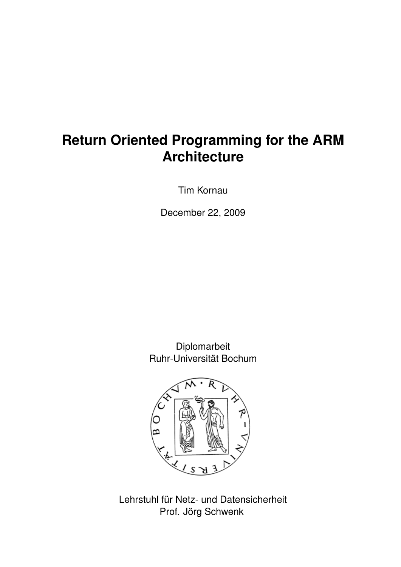# **Return Oriented Programming for the ARM Architecture**

Tim Kornau

December 22, 2009

Diplomarbeit Ruhr-Universität Bochum



Lehrstuhl für Netz- und Datensicherheit Prof. Jörg Schwenk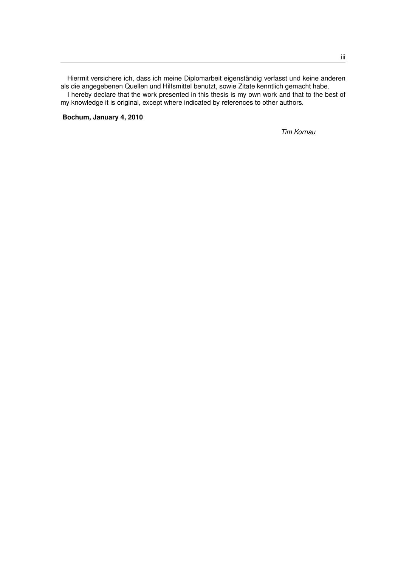Hiermit versichere ich, dass ich meine Diplomarbeit eigenständig verfasst und keine anderen als die angegebenen Quellen und Hilfsmittel benutzt, sowie Zitate kenntlich gemacht habe. I hereby declare that the work presented in this thesis is my own work and that to the best of my knowledge it is original, except where indicated by references to other authors.

**Bochum, January 4, 2010**

*Tim Kornau*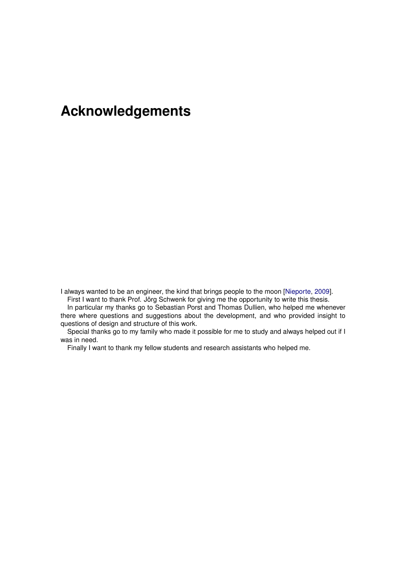# **Acknowledgements**

I always wanted to be an engineer, the kind that brings people to the moon [\[Nieporte,](#page-99-0) [2009\]](#page-99-0). First I want to thank Prof. Jörg Schwenk for giving me the opportunity to write this thesis.

In particular my thanks go to Sebastian Porst and Thomas Dullien, who helped me whenever there where questions and suggestions about the development, and who provided insight to questions of design and structure of this work.

Special thanks go to my family who made it possible for me to study and always helped out if I was in need.

Finally I want to thank my fellow students and research assistants who helped me.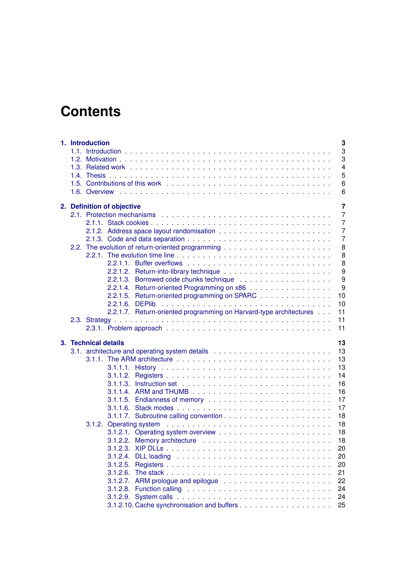# **Contents**

| 1. Introduction<br>3<br>3<br>3<br>$\overline{4}$<br>5<br>6<br>6                                                                                                                                                                                                                                                                                                                                                                                                                                                   |
|-------------------------------------------------------------------------------------------------------------------------------------------------------------------------------------------------------------------------------------------------------------------------------------------------------------------------------------------------------------------------------------------------------------------------------------------------------------------------------------------------------------------|
| 2. Definition of objective<br>$\overline{7}$<br>2.1. Protection mechanisms $\ldots$ , $\ldots$ , $\ldots$ , $\ldots$ , $\ldots$ , $\ldots$ , $\ldots$ , $\ldots$ , $\ldots$ , $\ldots$<br>$\overline{7}$<br>$\overline{7}$<br>$\overline{7}$<br>$\overline{7}$<br>8<br>8<br>8<br>9<br>9<br>9<br>2.2.1.4. Return-oriented Programming on x86<br>2.2.1.5. Return-oriented programming on SPARC<br>10<br>10<br>2.2.1.7. Return-oriented programming on Harvard-type architectures<br>11                              |
| 11<br>11                                                                                                                                                                                                                                                                                                                                                                                                                                                                                                          |
| 3. Technical details<br>13<br>13<br>13<br>13<br>14<br>16<br>16<br>17<br>17<br>18<br>18<br>18<br>3.1.2.2. Memory architecture enterprise in the set of the set of the set of the set of the set of the set of the set of the set of the set of the set of the set of the set of the set of the set of the set of the set of the<br>18<br>20<br>20<br>3.1.2.4.<br>20<br>3.1.2.5.<br>21<br>3.1.2.6.<br>3.1.2.7. ARM prologue and epilogue $\ldots \ldots \ldots \ldots \ldots \ldots \ldots$<br>22<br>24<br>24<br>25 |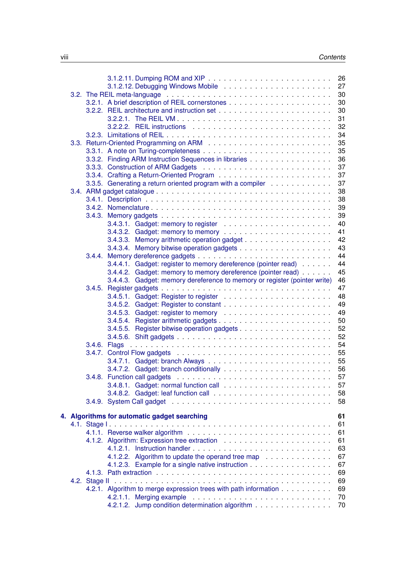|  |                                                                           | 26       |
|--|---------------------------------------------------------------------------|----------|
|  |                                                                           | 27       |
|  |                                                                           | 30       |
|  |                                                                           | 30       |
|  |                                                                           | 30       |
|  | 3.2.2.1. The REIL VM                                                      | 31       |
|  |                                                                           |          |
|  |                                                                           | 32       |
|  |                                                                           | 34       |
|  |                                                                           | 35       |
|  |                                                                           | 35       |
|  | 3.3.2. Finding ARM Instruction Sequences in libraries                     | 36       |
|  |                                                                           | 37       |
|  |                                                                           | 37       |
|  | 3.3.5. Generating a return oriented program with a compiler               | 37       |
|  |                                                                           | 38       |
|  |                                                                           | 38       |
|  |                                                                           |          |
|  |                                                                           | 39       |
|  |                                                                           | 39       |
|  |                                                                           | 40       |
|  |                                                                           | 41       |
|  | 3.4.3.3. Memory arithmetic operation gadget                               | 42       |
|  |                                                                           | 43       |
|  |                                                                           | 44       |
|  | 3.4.4.1. Gadget: register to memory dereference (pointer read)            | 44       |
|  | 3.4.4.2. Gadget: memory to memory dereference (pointer read)              | 45       |
|  | 3.4.4.3. Gadget: memory dereference to memory or register (pointer write) | 46       |
|  |                                                                           | 47       |
|  |                                                                           |          |
|  |                                                                           | 48       |
|  |                                                                           | 49       |
|  |                                                                           | 49       |
|  |                                                                           | 50       |
|  |                                                                           | 52       |
|  |                                                                           | 52       |
|  | 3.4.6. Flags                                                              | 54       |
|  |                                                                           | 55       |
|  |                                                                           | 55       |
|  |                                                                           | 56       |
|  |                                                                           |          |
|  |                                                                           | 57       |
|  |                                                                           | 57       |
|  |                                                                           | 58       |
|  |                                                                           | 58       |
|  |                                                                           |          |
|  | 4. Algorithms for automatic gadget searching                              | 61       |
|  |                                                                           | 61       |
|  |                                                                           | 61       |
|  |                                                                           | 61       |
|  |                                                                           | 63       |
|  | 4.1.2.2. Algorithm to update the operand tree map                         | 67       |
|  |                                                                           |          |
|  |                                                                           |          |
|  | 4.1.2.3. Example for a single native instruction                          | 67       |
|  |                                                                           | 69       |
|  |                                                                           | 69       |
|  | 4.2.1. Algorithm to merge expression trees with path information          | 69       |
|  | 4.2.1.2. Jump condition determination algorithm                           | 70<br>70 |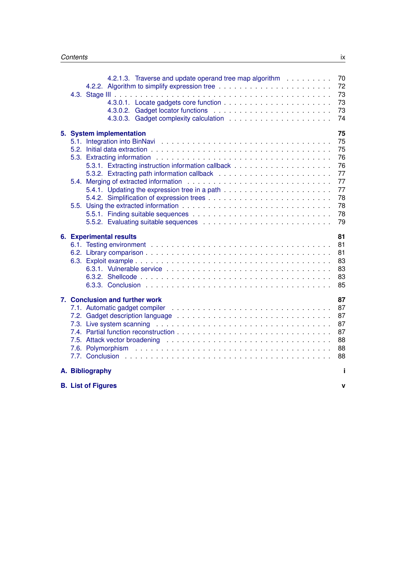|  |                                                                                                                                                                                                                                                                 | 4.2.1.3. Traverse and update operand tree map algorithm |  |  |  |  |  |  |  |  | 70<br>72<br>73<br>73<br>73<br>74                               |
|--|-----------------------------------------------------------------------------------------------------------------------------------------------------------------------------------------------------------------------------------------------------------------|---------------------------------------------------------|--|--|--|--|--|--|--|--|----------------------------------------------------------------|
|  | 5. System implementation                                                                                                                                                                                                                                        |                                                         |  |  |  |  |  |  |  |  | 75<br>75<br>75<br>76<br>76<br>77<br>77<br>77<br>78<br>78<br>78 |
|  | <b>6. Experimental results</b>                                                                                                                                                                                                                                  |                                                         |  |  |  |  |  |  |  |  | 79<br>81<br>81<br>81<br>83<br>83<br>83<br>85                   |
|  | 7. Conclusion and further work<br>7.2. Gadget description language enterprised by contact and contact the contact of the contact of the contact of the contact of the contact of the contact of the contact of the contact of the contact of the contact of the |                                                         |  |  |  |  |  |  |  |  | 87<br>87<br>87<br>87<br>87<br>88<br>88                         |
|  |                                                                                                                                                                                                                                                                 |                                                         |  |  |  |  |  |  |  |  | 88                                                             |
|  | A. Bibliography                                                                                                                                                                                                                                                 |                                                         |  |  |  |  |  |  |  |  | i                                                              |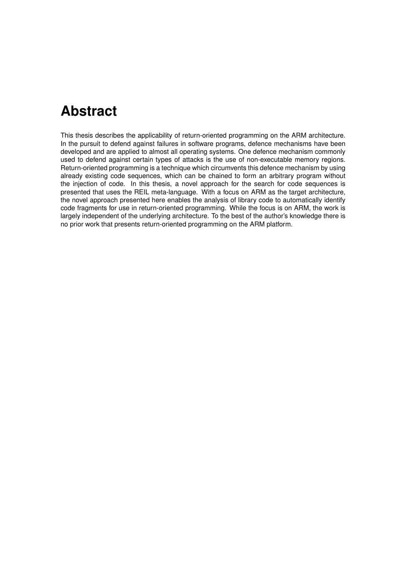# **Abstract**

This thesis describes the applicability of return-oriented programming on the ARM architecture. In the pursuit to defend against failures in software programs, defence mechanisms have been developed and are applied to almost all operating systems. One defence mechanism commonly used to defend against certain types of attacks is the use of non-executable memory regions. Return-oriented programming is a technique which circumvents this defence mechanism by using already existing code sequences, which can be chained to form an arbitrary program without the injection of code. In this thesis, a novel approach for the search for code sequences is presented that uses the REIL meta-language. With a focus on ARM as the target architecture, the novel approach presented here enables the analysis of library code to automatically identify code fragments for use in return-oriented programming. While the focus is on ARM, the work is largely independent of the underlying architecture. To the best of the author's knowledge there is no prior work that presents return-oriented programming on the ARM platform.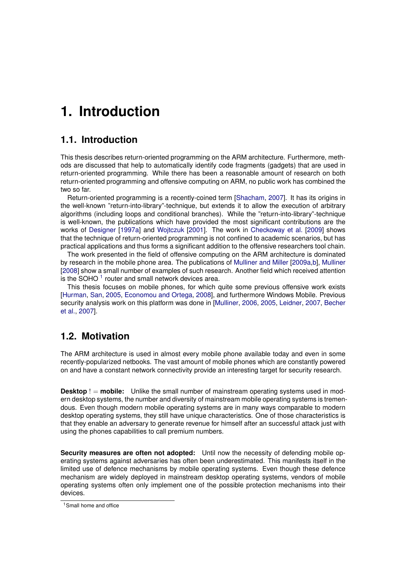# <span id="page-12-0"></span>**1. Introduction**

## <span id="page-12-1"></span>**1.1. Introduction**

This thesis describes return-oriented programming on the ARM architecture. Furthermore, methods are discussed that help to automatically identify code fragments (gadgets) that are used in return-oriented programming. While there has been a reasonable amount of research on both return-oriented programming and offensive computing on ARM, no public work has combined the two so far.

Return-oriented programming is a recently-coined term [\[Shacham,](#page-100-0) [2007\]](#page-100-0). It has its origins in the well-known "return-into-library"-technique, but extends it to allow the execution of arbitrary algorithms (including loops and conditional branches). While the "return-into-library"-technique is well-known, the publications which have provided the most significant contributions are the works of [Designer](#page-98-1) [\[1997a\]](#page-98-1) and [Wojtczuk](#page-100-1) [\[2001\]](#page-100-1). The work in [Checkoway et al.](#page-98-2) [\[2009\]](#page-98-2) shows that the technique of return-oriented programming is not confined to academic scenarios, but has practical applications and thus forms a significant addition to the offensive researchers tool chain.

The work presented in the field of offensive computing on the ARM architecture is dominated by research in the mobile phone area. The publications of [Mulliner and Miller](#page-99-1) [\[2009a](#page-99-1)[,b\]](#page-99-2), [Mulliner](#page-99-3) [\[2008\]](#page-99-3) show a small number of examples of such research. Another field which received attention is the SOHO  $^1$  $^1$  router and small network devices area.

This thesis focuses on mobile phones, for which quite some previous offensive work exists [\[Hurman,](#page-99-4) [San,](#page-99-5) [2005,](#page-99-5) [Economou and Ortega,](#page-99-6) [2008\]](#page-99-6), and furthermore Windows Mobile. Previous security analysis work on this platform was done in [\[Mulliner,](#page-99-7) [2006,](#page-99-7) [2005,](#page-99-8) [Leidner,](#page-99-9) [2007,](#page-99-9) [Becher](#page-98-3) [et al.,](#page-98-3) [2007\]](#page-98-3).

# <span id="page-12-2"></span>**1.2. Motivation**

The ARM architecture is used in almost every mobile phone available today and even in some recently-popularized netbooks. The vast amount of mobile phones which are constantly powered on and have a constant network connectivity provide an interesting target for security research.

**Desktop** ! = **mobile:** Unlike the small number of mainstream operating systems used in modern desktop systems, the number and diversity of mainstream mobile operating systems is tremendous. Even though modern mobile operating systems are in many ways comparable to modern desktop operating systems, they still have unique characteristics. One of those characteristics is that they enable an adversary to generate revenue for himself after an successful attack just with using the phones capabilities to call premium numbers.

**Security measures are often not adopted:** Until now the necessity of defending mobile operating systems against adversaries has often been underestimated. This manifests itself in the limited use of defence mechanisms by mobile operating systems. Even though these defence mechanism are widely deployed in mainstream desktop operating systems, vendors of mobile operating systems often only implement one of the possible protection mechanisms into their devices.

<span id="page-12-3"></span><sup>1</sup>Small home and office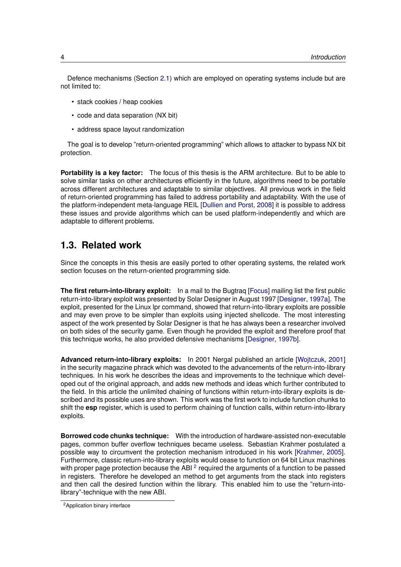Defence mechanisms (Section [2.1\)](#page-16-1) which are employed on operating systems include but are not limited to:

- stack cookies / heap cookies
- code and data separation (NX bit)
- address space layout randomization

The goal is to develop "return-oriented programming" which allows to attacker to bypass NX bit protection.

**Portability is a key factor:** The focus of this thesis is the ARM architecture. But to be able to solve similar tasks on other architectures efficiently in the future, algorithms need to be portable across different architectures and adaptable to similar objectives. All previous work in the field of return-oriented programming has failed to address portability and adaptability. With the use of the platform-independent meta-language REIL [\[Dullien and Porst,](#page-99-10) [2008\]](#page-99-10) it is possible to address these issues and provide algorithms which can be used platform-independently and which are adaptable to different problems.

## <span id="page-13-0"></span>**1.3. Related work**

Since the concepts in this thesis are easily ported to other operating systems, the related work section focuses on the return-oriented programming side.

**The first return-into-library exploit:** In a mail to the Bugtraq [\[Focus\]](#page-99-11) mailing list the first public return-into-library exploit was presented by Solar Designer in August 1997 [\[Designer,](#page-98-1) [1997a\]](#page-98-1). The exploit, presented for the Linux lpr command, showed that return-into-library exploits are possible and may even prove to be simpler than exploits using injected shellcode. The most interesting aspect of the work presented by Solar Designer is that he has always been a researcher involved on both sides of the security game. Even though he provided the exploit and therefore proof that this technique works, he also provided defensive mechanisms [\[Designer,](#page-98-4) [1997b\]](#page-98-4).

**Advanced return-into-library exploits:** In 2001 Nergal published an article [\[Wojtczuk,](#page-100-1) [2001\]](#page-100-1) in the security magazine phrack which was devoted to the advancements of the return-into-library techniques. In his work he describes the ideas and improvements to the technique which developed out of the original approach, and adds new methods and ideas which further contributed to the field. In this article the unlimited chaining of functions within return-into-library exploits is described and its possible uses are shown. This work was the first work to include function chunks to shift the **esp** register, which is used to perform chaining of function calls, within return-into-library exploits.

**Borrowed code chunks technique:** With the introduction of hardware-assisted non-executable pages, common buffer overflow techniques became useless. Sebastian Krahmer postulated a possible way to circumvent the protection mechanism introduced in his work [\[Krahmer,](#page-99-12) [2005\]](#page-99-12). Furthermore, classic return-into-library exploits would cease to function on 64 bit Linux machines with proper page protection because the ABI  $^2$  $^2$  required the arguments of a function to be passed in registers. Therefore he developed an method to get arguments from the stack into registers and then call the desired function within the library. This enabled him to use the "return-intolibrary"-technique with the new ABI.

<span id="page-13-1"></span><sup>2</sup>Application binary interface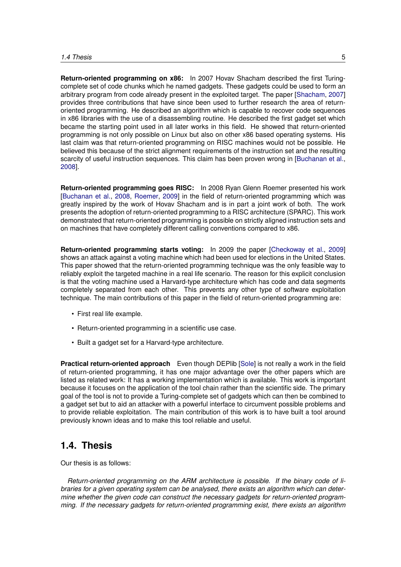**Return-oriented programming on x86:** In 2007 Hovav Shacham described the first Turingcomplete set of code chunks which he named gadgets. These gadgets could be used to form an arbitrary program from code already present in the exploited target. The paper [\[Shacham,](#page-100-0) [2007\]](#page-100-0) provides three contributions that have since been used to further research the area of returnoriented programming. He described an algorithm which is capable to recover code sequences in x86 libraries with the use of a disassembling routine. He described the first gadget set which became the starting point used in all later works in this field. He showed that return-oriented programming is not only possible on Linux but also on other x86 based operating systems. His last claim was that return-oriented programming on RISC machines would not be possible. He believed this because of the strict alignment requirements of the instruction set and the resulting scarcity of useful instruction sequences. This claim has been proven wrong in [\[Buchanan et al.,](#page-98-5) [2008\]](#page-98-5).

**Return-oriented programming goes RISC:** In 2008 Ryan Glenn Roemer presented his work [\[Buchanan et al.,](#page-98-5) [2008,](#page-98-5) [Roemer,](#page-99-13) [2009\]](#page-99-13) in the field of return-oriented programming which was greatly inspired by the work of Hovav Shacham and is in part a joint work of both. The work presents the adoption of return-oriented programming to a RISC architecture (SPARC). This work demonstrated that return-oriented programming is possible on strictly aligned instruction sets and on machines that have completely different calling conventions compared to x86.

**Return-oriented programming starts voting:** In 2009 the paper [\[Checkoway et al.,](#page-98-2) [2009\]](#page-98-2) shows an attack against a voting machine which had been used for elections in the United States. This paper showed that the return-oriented programming technique was the only feasible way to reliably exploit the targeted machine in a real life scenario. The reason for this explicit conclusion is that the voting machine used a Harvard-type architecture which has code and data segments completely separated from each other. This prevents any other type of software exploitation technique. The main contributions of this paper in the field of return-oriented programming are:

- First real life example.
- Return-oriented programming in a scientific use case.
- Built a gadget set for a Harvard-type architecture.

**Practical return-oriented approach** Even though DEPlib [\[Sole\]](#page-100-2) is not really a work in the field of return-oriented programming, it has one major advantage over the other papers which are listed as related work: It has a working implementation which is available. This work is important because it focuses on the application of the tool chain rather than the scientific side. The primary goal of the tool is not to provide a Turing-complete set of gadgets which can then be combined to a gadget set but to aid an attacker with a powerful interface to circumvent possible problems and to provide reliable exploitation. The main contribution of this work is to have built a tool around previously known ideas and to make this tool reliable and useful.

## <span id="page-14-0"></span>**1.4. Thesis**

Our thesis is as follows:

*Return-oriented programming on the ARM architecture is possible. If the binary code of libraries for a given operating system can be analysed, there exists an algorithm which can determine whether the given code can construct the necessary gadgets for return-oriented programming. If the necessary gadgets for return-oriented programming exist, there exists an algorithm*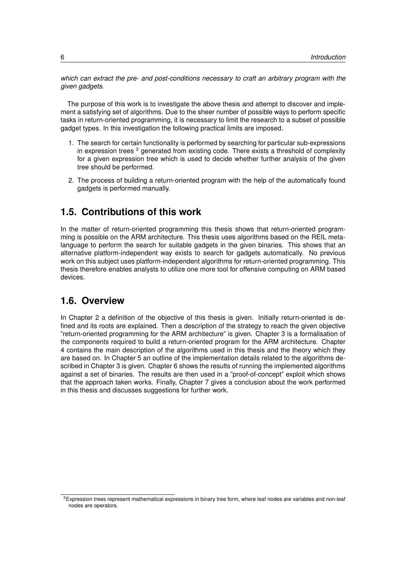*which can extract the pre- and post-conditions necessary to craft an arbitrary program with the given gadgets.*

The purpose of this work is to investigate the above thesis and attempt to discover and implement a satisfying set of algorithms. Due to the sheer number of possible ways to perform specific tasks in return-oriented programming, it is necessary to limit the research to a subset of possible gadget types. In this investigation the following practical limits are imposed.

- 1. The search for certain functionality is performed by searching for particular sub-expressions in expression trees <sup>[3](#page-15-2)</sup> generated from existing code. There exists a threshold of complexity for a given expression tree which is used to decide whether further analysis of the given tree should be performed.
- 2. The process of building a return-oriented program with the help of the automatically found gadgets is performed manually.

## <span id="page-15-0"></span>**1.5. Contributions of this work**

In the matter of return-oriented programming this thesis shows that return-oriented programming is possible on the ARM architecture. This thesis uses algorithms based on the REIL metalanguage to perform the search for suitable gadgets in the given binaries. This shows that an alternative platform-independent way exists to search for gadgets automatically. No previous work on this subject uses platform-independent algorithms for return-oriented programming. This thesis therefore enables analysts to utilize one more tool for offensive computing on ARM based devices.

## <span id="page-15-1"></span>**1.6. Overview**

In Chapter 2 a definition of the objective of this thesis is given. Initially return-oriented is defined and its roots are explained. Then a description of the strategy to reach the given objective "return-oriented programming for the ARM architecture" is given. Chapter 3 is a formalisation of the components required to build a return-oriented program for the ARM architecture. Chapter 4 contains the main description of the algorithms used in this thesis and the theory which they are based on. In Chapter 5 an outline of the implementation details related to the algorithms described in Chapter 3 is given. Chapter 6 shows the results of running the implemented algorithms against a set of binaries. The results are then used in a "proof-of-concept" exploit which shows that the approach taken works. Finally, Chapter 7 gives a conclusion about the work performed in this thesis and discusses suggestions for further work.

<span id="page-15-2"></span> $3$ Expression trees represent mathematical expressions in binary tree form, where leaf nodes are variables and non-leaf nodes are operators.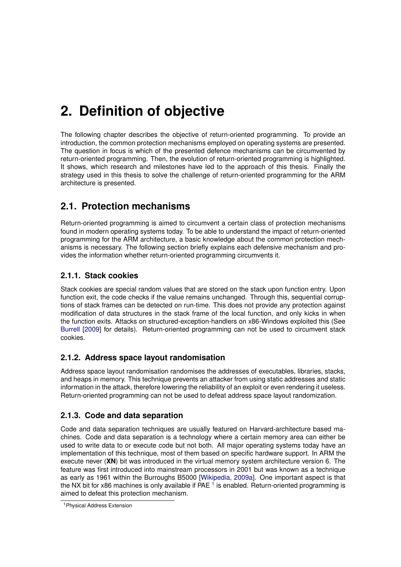# <span id="page-16-0"></span>**2. Definition of objective**

The following chapter describes the objective of return-oriented programming. To provide an introduction, the common protection mechanisms employed on operating systems are presented. The question in focus is which of the presented defence mechanisms can be circumvented by return-oriented programming. Then, the evolution of return-oriented programming is highlighted. It shows, which research and milestones have led to the approach of this thesis. Finally the strategy used in this thesis to solve the challenge of return-oriented programming for the ARM architecture is presented.

# <span id="page-16-1"></span>**2.1. Protection mechanisms**

Return-oriented programming is aimed to circumvent a certain class of protection mechanisms found in modern operating systems today. To be able to understand the impact of return-oriented programming for the ARM architecture, a basic knowledge about the common protection mechanisms is necessary. The following section briefly explains each defensive mechanism and provides the information whether return-oriented programming circumvents it.

## <span id="page-16-2"></span>**2.1.1. Stack cookies**

Stack cookies are special random values that are stored on the stack upon function entry. Upon function exit, the code checks if the value remains unchanged. Through this, sequential corruptions of stack frames can be detected on run-time. This does not provide any protection against modification of data structures in the stack frame of the local function, and only kicks in when the function exits. Attacks on structured-exception-handlers on x86-Windows exploited this (See [Burrell](#page-98-6) [\[2009\]](#page-98-6) for details). Return-oriented programming can not be used to circumvent stack cookies.

## <span id="page-16-3"></span>**2.1.2. Address space layout randomisation**

Address space layout randomisation randomises the addresses of executables, libraries, stacks, and heaps in memory. This technique prevents an attacker from using static addresses and static information in the attack, therefore lowering the reliability of an exploit or even rendering it useless. Return-oriented programming can not be used to defeat address space layout randomization.

## <span id="page-16-4"></span>**2.1.3. Code and data separation**

Code and data separation techniques are usually featured on Harvard-architecture based machines. Code and data separation is a technology where a certain memory area can either be used to write data to or execute code but not both. All major operating systems today have an implementation of this technique, most of them based on specific hardware support. In ARM the execute never (**XN**) bit was introduced in the virtual memory system architecture version 6. The feature was first introduced into mainstream processors in 2001 but was known as a technique as early as 1961 within the Burroughs B5000 [\[Wikipedia,](#page-100-3) [2009a\]](#page-100-3). One important aspect is that the NX bit for x86 machines is only available if PAE  $^1$  $^1$  is enabled. Return-oriented programming is aimed to defeat this protection mechanism.

<span id="page-16-5"></span><sup>1</sup>Physical Address Extension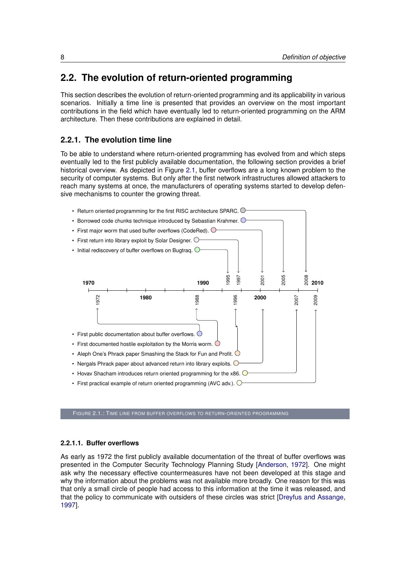# <span id="page-17-0"></span>**2.2. The evolution of return-oriented programming**

This section describes the evolution of return-oriented programming and its applicability in various scenarios. Initially a time line is presented that provides an overview on the most important contributions in the field which have eventually led to return-oriented programming on the ARM architecture. Then these contributions are explained in detail.

## <span id="page-17-1"></span>**2.2.1. The evolution time line**

To be able to understand where return-oriented programming has evolved from and which steps eventually led to the first publicly available documentation, the following section provides a brief historical overview. As depicted in Figure [2.1,](#page-17-3) buffer overflows are a long known problem to the security of computer systems. But only after the first network infrastructures allowed attackers to reach many systems at once, the manufacturers of operating systems started to develop defensive mechanisms to counter the growing threat.

<span id="page-17-3"></span>

FIGURE 2.1.: TIME LINE FROM BUFFER OVERFLOWS TO RETURN-ORIENTED PROGRAMMING

## <span id="page-17-2"></span>**2.2.1.1. Buffer overflows**

As early as 1972 the first publicly available documentation of the threat of buffer overflows was presented in the Computer Security Technology Planning Study [\[Anderson,](#page-98-7) [1972\]](#page-98-7). One might ask why the necessary effective countermeasures have not been developed at this stage and why the information about the problems was not available more broadly. One reason for this was that only a small circle of people had access to this information at the time it was released, and that the policy to communicate with outsiders of these circles was strict [\[Dreyfus and Assange,](#page-98-8) [1997\]](#page-98-8).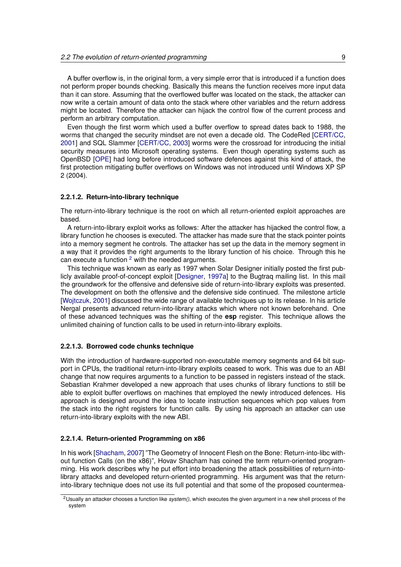A buffer overflow is, in the original form, a very simple error that is introduced if a function does not perform proper bounds checking. Basically this means the function receives more input data than it can store. Assuming that the overflowed buffer was located on the stack, the attacker can now write a certain amount of data onto the stack where other variables and the return address might be located. Therefore the attacker can hijack the control flow of the current process and perform an arbitrary computation.

Even though the first worm which used a buffer overflow to spread dates back to 1988, the worms that changed the security mindset are not even a decade old. The CodeRed [\[CERT/CC,](#page-98-9) [2001\]](#page-98-9) and SQL Slammer [\[CERT/CC,](#page-98-10) [2003\]](#page-98-10) worms were the crossroad for introducing the initial security measures into Microsoft operating systems. Even though operating systems such as OpenBSD [\[OPE\]](#page-98-11) had long before introduced software defences against this kind of attack, the first protection mitigating buffer overflows on Windows was not introduced until Windows XP SP 2 (2004).

### <span id="page-18-0"></span>**2.2.1.2. Return-into-library technique**

The return-into-library technique is the root on which all return-oriented exploit approaches are based.

A return-into-library exploit works as follows: After the attacker has hijacked the control flow, a library function he chooses is executed. The attacker has made sure that the stack pointer points into a memory segment he controls. The attacker has set up the data in the memory segment in a way that it provides the right arguments to the library function of his choice. Through this he can execute a function  $2$  with the needed arguments.

This technique was known as early as 1997 when Solar Designer initially posted the first publicly available proof-of-concept exploit [\[Designer,](#page-98-1) [1997a\]](#page-98-1) to the Bugtraq mailing list. In this mail the groundwork for the offensive and defensive side of return-into-library exploits was presented. The development on both the offensive and the defensive side continued. The milestone article [\[Wojtczuk,](#page-100-1) [2001\]](#page-100-1) discussed the wide range of available techniques up to its release. In his article Nergal presents advanced return-into-library attacks which where not known beforehand. One of these advanced techniques was the shifting of the **esp** register. This technique allows the unlimited chaining of function calls to be used in return-into-library exploits.

## <span id="page-18-1"></span>**2.2.1.3. Borrowed code chunks technique**

With the introduction of hardware-supported non-executable memory segments and 64 bit support in CPUs, the traditional return-into-library exploits ceased to work. This was due to an ABI change that now requires arguments to a function to be passed in registers instead of the stack. Sebastian Krahmer developed a new approach that uses chunks of library functions to still be able to exploit buffer overflows on machines that employed the newly introduced defences. His approach is designed around the idea to locate instruction sequences which pop values from the stack into the right registers for function calls. By using his approach an attacker can use return-into-library exploits with the new ABI.

## <span id="page-18-2"></span>**2.2.1.4. Return-oriented Programming on x86**

In his work [\[Shacham,](#page-100-0) [2007\]](#page-100-0) "The Geometry of Innocent Flesh on the Bone: Return-into-libc without function Calls (on the x86)", Hovav Shacham has coined the term return-oriented programming. His work describes why he put effort into broadening the attack possibilities of return-intolibrary attacks and developed return-oriented programming. His argument was that the returninto-library technique does not use its full potential and that some of the proposed countermea-

<span id="page-18-3"></span><sup>2</sup>Usually an attacker chooses a function like *system()*, which executes the given argument in a new shell process of the system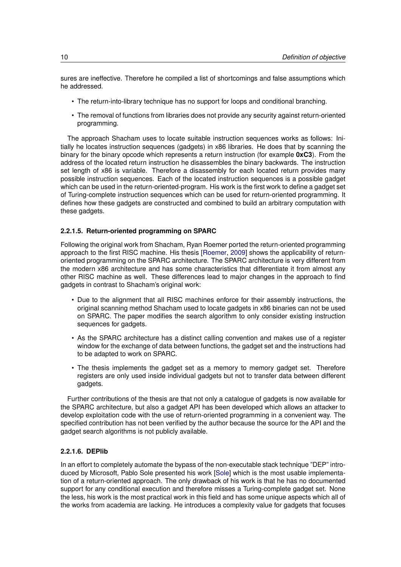sures are ineffective. Therefore he compiled a list of shortcomings and false assumptions which he addressed.

- The return-into-library technique has no support for loops and conditional branching.
- The removal of functions from libraries does not provide any security against return-oriented programming.

The approach Shacham uses to locate suitable instruction sequences works as follows: Initially he locates instruction sequences (gadgets) in x86 libraries. He does that by scanning the binary for the binary opcode which represents a return instruction (for example **0xC3**). From the address of the located return instruction he disassembles the binary backwards. The instruction set length of x86 is variable. Therefore a disassembly for each located return provides many possible instruction sequences. Each of the located instruction sequences is a possible gadget which can be used in the return-oriented-program. His work is the first work to define a gadget set of Turing-complete instruction sequences which can be used for return-oriented programming. It defines how these gadgets are constructed and combined to build an arbitrary computation with these gadgets.

## <span id="page-19-0"></span>**2.2.1.5. Return-oriented programming on SPARC**

Following the original work from Shacham, Ryan Roemer ported the return-oriented programming approach to the first RISC machine. His thesis [\[Roemer,](#page-99-13) [2009\]](#page-99-13) shows the applicability of returnoriented programming on the SPARC architecture. The SPARC architecture is very different from the modern x86 architecture and has some characteristics that differentiate it from almost any other RISC machine as well. These differences lead to major changes in the approach to find gadgets in contrast to Shacham's original work:

- Due to the alignment that all RISC machines enforce for their assembly instructions, the original scanning method Shacham used to locate gadgets in x86 binaries can not be used on SPARC. The paper modifies the search algorithm to only consider existing instruction sequences for gadgets.
- As the SPARC architecture has a distinct calling convention and makes use of a register window for the exchange of data between functions, the gadget set and the instructions had to be adapted to work on SPARC.
- The thesis implements the gadget set as a memory to memory gadget set. Therefore registers are only used inside individual gadgets but not to transfer data between different gadgets.

Further contributions of the thesis are that not only a catalogue of gadgets is now available for the SPARC architecture, but also a gadget API has been developed which allows an attacker to develop exploitation code with the use of return-oriented programming in a convenient way. The specified contribution has not been verified by the author because the source for the API and the gadget search algorithms is not publicly available.

## <span id="page-19-1"></span>**2.2.1.6. DEPlib**

In an effort to completely automate the bypass of the non-executable stack technique "DEP" introduced by Microsoft, Pablo Sole presented his work [\[Sole\]](#page-100-2) which is the most usable implementation of a return-oriented approach. The only drawback of his work is that he has no documented support for any conditional execution and therefore misses a Turing-complete gadget set. None the less, his work is the most practical work in this field and has some unique aspects which all of the works from academia are lacking. He introduces a complexity value for gadgets that focuses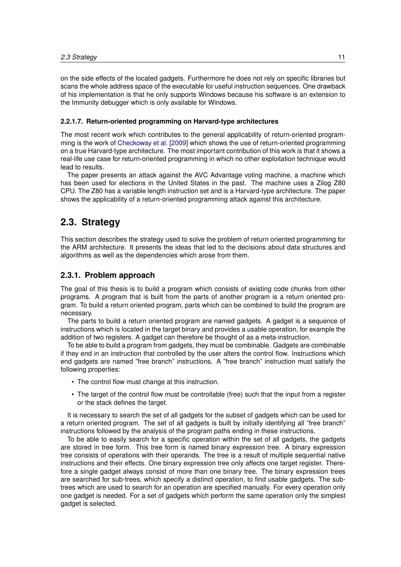on the side effects of the located gadgets. Furthermore he does not rely on specific libraries but scans the whole address space of the executable for useful instruction sequences. One drawback of his implementation is that he only supports Windows because his software is an extension to the Immunity debugger which is only available for Windows.

## <span id="page-20-0"></span>**2.2.1.7. Return-oriented programming on Harvard-type architectures**

The most recent work which contributes to the general applicability of return-oriented programming is the work of [Checkoway et al.](#page-98-2) [\[2009\]](#page-98-2) which shows the use of return-oriented programming on a true Harvard-type architecture. The most important contribution of this work is that it shows a real-life use case for return-oriented programming in which no other exploitation technique would lead to results.

The paper presents an attack against the AVC Advantage voting machine, a machine which has been used for elections in the United States in the past. The machine uses a Zilog Z80 CPU. The Z80 has a variable length instruction set and is a Harvard-type architecture. The paper shows the applicability of a return-oriented programming attack against this architecture.

## <span id="page-20-1"></span>**2.3. Strategy**

This section describes the strategy used to solve the problem of return oriented programming for the ARM architecture. It presents the ideas that led to the decisions about data structures and algorithms as well as the dependencies which arose from them.

## <span id="page-20-2"></span>**2.3.1. Problem approach**

The goal of this thesis is to build a program which consists of existing code chunks from other programs. A program that is built from the parts of another program is a return oriented program. To build a return oriented program, parts which can be combined to build the program are necessary.

The parts to build a return oriented program are named gadgets. A gadget is a sequence of instructions which is located in the target binary and provides a usable operation, for example the addition of two registers. A gadget can therefore be thought of as a meta-instruction.

To be able to build a program from gadgets, they must be combinable. Gadgets are combinable if they end in an instruction that controlled by the user alters the control flow. Instructions which end gadgets are named "free branch" instructions. A "free branch" instruction must satisfy the following properties:

- The control flow must change at this instruction.
- The target of the control flow must be controllable (free) such that the input from a register or the stack defines the target.

It is necessary to search the set of all gadgets for the subset of gadgets which can be used for a return oriented program. The set of all gadgets is built by initially identifying all "free branch" instructions followed by the analysis of the program paths ending in these instructions.

To be able to easily search for a specific operation within the set of all gadgets, the gadgets are stored in tree form. This tree form is named binary expression tree. A binary expression tree consists of operations with their operands. The tree is a result of multiple sequential native instructions and their effects. One binary expression tree only affects one target register. Therefore a single gadget always consist of more than one binary tree. The binary expression trees are searched for sub-trees, which specify a distinct operation, to find usable gadgets. The subtrees which are used to search for an operation are specified manually. For every operation only one gadget is needed. For a set of gadgets which perform the same operation only the simplest gadget is selected.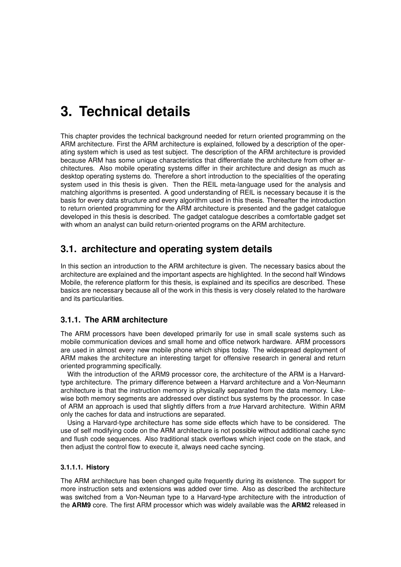# <span id="page-22-0"></span>**3. Technical details**

This chapter provides the technical background needed for return oriented programming on the ARM architecture. First the ARM architecture is explained, followed by a description of the operating system which is used as test subject. The description of the ARM architecture is provided because ARM has some unique characteristics that differentiate the architecture from other architectures. Also mobile operating systems differ in their architecture and design as much as desktop operating systems do. Therefore a short introduction to the specialities of the operating system used in this thesis is given. Then the REIL meta-language used for the analysis and matching algorithms is presented. A good understanding of REIL is necessary because it is the basis for every data structure and every algorithm used in this thesis. Thereafter the introduction to return oriented programming for the ARM architecture is presented and the gadget catalogue developed in this thesis is described. The gadget catalogue describes a comfortable gadget set with whom an analyst can build return-oriented programs on the ARM architecture.

# <span id="page-22-1"></span>**3.1. architecture and operating system details**

In this section an introduction to the ARM architecture is given. The necessary basics about the architecture are explained and the important aspects are highlighted. In the second half Windows Mobile, the reference platform for this thesis, is explained and its specifics are described. These basics are necessary because all of the work in this thesis is very closely related to the hardware and its particularities.

## <span id="page-22-2"></span>**3.1.1. The ARM architecture**

The ARM processors have been developed primarily for use in small scale systems such as mobile communication devices and small home and office network hardware. ARM processors are used in almost every new mobile phone which ships today. The widespread deployment of ARM makes the architecture an interesting target for offensive research in general and return oriented programming specifically.

With the introduction of the ARM9 processor core, the architecture of the ARM is a Harvardtype architecture. The primary difference between a Harvard architecture and a Von-Neumann architecture is that the instruction memory is physically separated from the data memory. Likewise both memory segments are addressed over distinct bus systems by the processor. In case of ARM an approach is used that slightly differs from a *true* Harvard architecture. Within ARM only the caches for data and instructions are separated.

Using a Harvard-type architecture has some side effects which have to be considered. The use of self modifying code on the ARM architecture is not possible without additional cache sync and flush code sequences. Also traditional stack overflows which inject code on the stack, and then adjust the control flow to execute it, always need cache syncing.

## <span id="page-22-3"></span>**3.1.1.1. History**

The ARM architecture has been changed quite frequently during its existence. The support for more instruction sets and extensions was added over time. Also as described the architecture was switched from a Von-Neuman type to a Harvard-type architecture with the introduction of the **ARM9** core. The first ARM processor which was widely available was the **ARM2** released in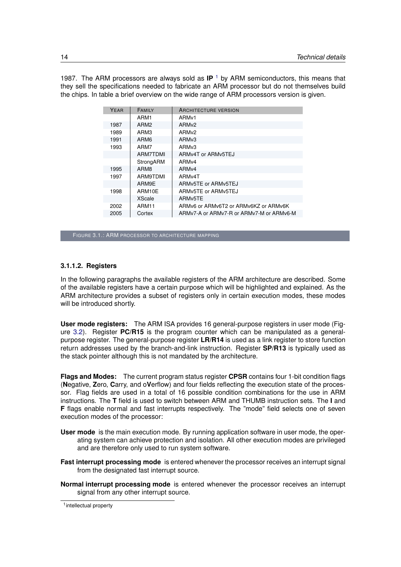1987. The ARM processors are always sold as **IP** [1](#page-23-1) by ARM semiconductors, this means that they sell the specifications needed to fabricate an ARM processor but do not themselves build the chips. In table a brief overview on the wide range of ARM processors version is given.

| ARMv6 or ARMv6T2 or ARMv6KZ or ARMv6K    |
|------------------------------------------|
| ARMv7-A or ARMv7-R or ARMv7-M or ARMv6-M |
|                                          |

FIGURE 3.1.: ARM PROCESSOR TO ARCHITECTURE MAPPING

#### <span id="page-23-0"></span>**3.1.1.2. Registers**

In the following paragraphs the available registers of the ARM architecture are described. Some of the available registers have a certain purpose which will be highlighted and explained. As the ARM architecture provides a subset of registers only in certain execution modes, these modes will be introduced shortly.

**User mode registers:** The ARM ISA provides 16 general-purpose registers in user mode (Figure [3.2\)](#page-24-0). Register **PC/R15** is the program counter which can be manipulated as a generalpurpose register. The general-purpose register **LR/R14** is used as a link register to store function return addresses used by the branch-and-link instruction. Register **SP/R13** is typically used as the stack pointer although this is not mandated by the architecture.

**Flags and Modes:** The current program status register **CPSR** contains four 1-bit condition flags (**N**egative, **Z**ero, **C**arry, and o**V**erflow) and four fields reflecting the execution state of the processor. Flag fields are used in a total of 16 possible condition combinations for the use in ARM instructions. The **T** field is used to switch between ARM and THUMB instruction sets. The **I** and **F** flags enable normal and fast interrupts respectively. The "mode" field selects one of seven execution modes of the processor:

- **User mode** is the main execution mode. By running application software in user mode, the operating system can achieve protection and isolation. All other execution modes are privileged and are therefore only used to run system software.
- **Fast interrupt processing mode** is entered whenever the processor receives an interrupt signal from the designated fast interrupt source.
- **Normal interrupt processing mode** is entered whenever the processor receives an interrupt signal from any other interrupt source.

<span id="page-23-1"></span><sup>1</sup> intellectual property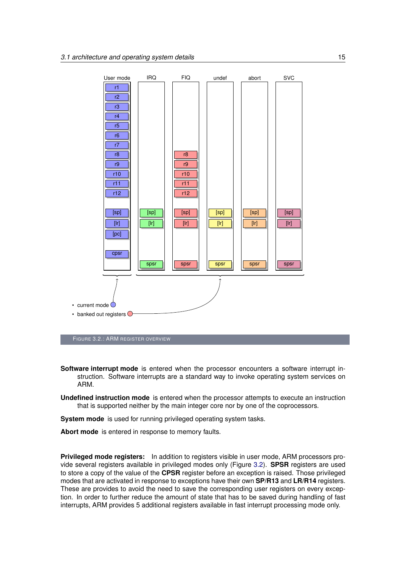<span id="page-24-0"></span>

- **Software interrupt mode** is entered when the processor encounters a software interrupt instruction. Software interrupts are a standard way to invoke operating system services on ARM.
- **Undefined instruction mode** is entered when the processor attempts to execute an instruction that is supported neither by the main integer core nor by one of the coprocessors.

**System mode** is used for running privileged operating system tasks.

**Abort mode** is entered in response to memory faults.

**Privileged mode registers:** In addition to registers visible in user mode, ARM processors provide several registers available in privileged modes only (Figure [3.2\)](#page-24-0). **SPSR** registers are used to store a copy of the value of the **CPSR** register before an exception is raised. Those privileged modes that are activated in response to exceptions have their own **SP/R13** and **LR/R14** registers. These are provides to avoid the need to save the corresponding user registers on every exception. In order to further reduce the amount of state that has to be saved during handling of fast interrupts, ARM provides 5 additional registers available in fast interrupt processing mode only.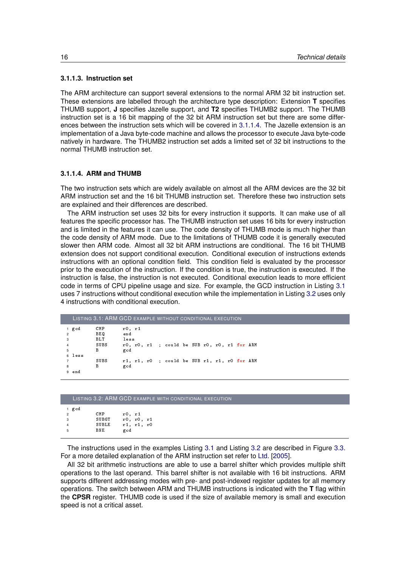## <span id="page-25-0"></span>**3.1.1.3. Instruction set**

The ARM architecture can support several extensions to the normal ARM 32 bit instruction set. These extensions are labelled through the architecture type description: Extension **T** specifies THUMB support, **J** specifies Jazelle support, and **T2** specifies THUMB2 support. The THUMB instruction set is a 16 bit mapping of the 32 bit ARM instruction set but there are some differences between the instruction sets which will be covered in [3.1.1.4.](#page-25-1) The Jazelle extension is an implementation of a Java byte-code machine and allows the processor to execute Java byte-code natively in hardware. The THUMB2 instruction set adds a limited set of 32 bit instructions to the normal THUMB instruction set.

## <span id="page-25-1"></span>**3.1.1.4. ARM and THUMB**

The two instruction sets which are widely available on almost all the ARM devices are the 32 bit ARM instruction set and the 16 bit THUMB instruction set. Therefore these two instruction sets are explained and their differences are described.

The ARM instruction set uses 32 bits for every instruction it supports. It can make use of all features the specific processor has. The THUMB instruction set uses 16 bits for every instruction and is limited in the features it can use. The code density of THUMB mode is much higher than the code density of ARM mode. Due to the limitations of THUMB code it is generally executed slower then ARM code. Almost all 32 bit ARM instructions are conditional. The 16 bit THUMB extension does not support conditional execution. Conditional execution of instructions extends instructions with an optional condition field. This condition field is evaluated by the processor prior to the execution of the instruction. If the condition is true, the instruction is executed. If the instruction is false, the instruction is not executed. Conditional execution leads to more efficient code in terms of CPU pipeline usage and size. For example, the GCD instruction in Listing [3.1](#page-25-2) uses 7 instructions without conditional execution while the implementation in Listing [3.2](#page-25-3) uses only 4 instructions with conditional execution.

<span id="page-25-2"></span>

|                                                  |        | <b>LISTING 3.1: ARM GCD EXAMPLE WITHOUT CONDITIONAL EXECUTION</b> |                       |  |                                              |  |  |  |  |
|--------------------------------------------------|--------|-------------------------------------------------------------------|-----------------------|--|----------------------------------------------|--|--|--|--|
| $\overline{2}$<br>$\mathbf{3}$<br>$\overline{4}$ | 1 gcd  | CMP<br>BE 0<br><b>BLT</b><br>SUBS                                 | r0, r1<br>end<br>less |  | r0, r0, r1 ; could be SUB r0, r0, r1 for ARM |  |  |  |  |
| 5                                                | 6 less | B                                                                 | gcd                   |  |                                              |  |  |  |  |
| $\overline{7}$<br>8                              | 9 end  | SUBS<br>B                                                         | gcd                   |  | r1, r1, r0 ; could be SUB r1, r1, r0 for ARM |  |  |  |  |

<span id="page-25-3"></span>

|     |                              | LISTING 3.2: ARM GCD EXAMPLE WITH CONDITIONAL EXECUTION |
|-----|------------------------------|---------------------------------------------------------|
| gcd | CMP<br>SUBGT<br>SUBLE<br>BNE | r0, r1<br>r0, r0, r1<br>r1, r1, r0<br>gcd               |

The instructions used in the examples Listing [3.1](#page-25-2) and Listing [3.2](#page-25-3) are described in Figure [3.3.](#page-26-2) For a more detailed explanation of the ARM instruction set refer to [Ltd.](#page-99-14) [\[2005\]](#page-99-14).

All 32 bit arithmetic instructions are able to use a barrel shifter which provides multiple shift operations to the last operand. This barrel shifter is not available with 16 bit instructions. ARM supports different addressing modes with pre- and post-indexed register updates for all memory operations. The switch between ARM and THUMB instructions is indicated with the **T** flag within the **CPSR** register. THUMB code is used if the size of available memory is small and execution speed is not a critical asset.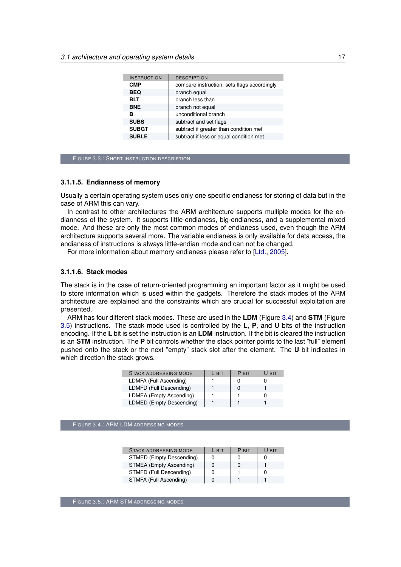<span id="page-26-2"></span>

| <b>INSTRUCTION</b> | <b>DESCRIPTION</b>                          |
|--------------------|---------------------------------------------|
| <b>CMP</b>         | compare instruction, sets flags accordingly |
| <b>BEQ</b>         | branch equal                                |
| <b>BLT</b>         | branch less than                            |
| <b>BNE</b>         | branch not equal                            |
| в                  | unconditional branch                        |
| <b>SUBS</b>        | subtract and set flags                      |
| <b>SUBGT</b>       | subtract if greater than condition met      |
| <b>SUBLE</b>       | subtract if less or equal condition met     |

FIGURE 3.3.: SHORT INSTRUCTION DESCRIPTION

## <span id="page-26-0"></span>**3.1.1.5. Endianness of memory**

Usually a certain operating system uses only one specific endianess for storing of data but in the case of ARM this can vary.

In contrast to other architectures the ARM architecture supports multiple modes for the endianness of the system. It supports little-endianess, big-endianess, and a supplemental mixed mode. And these are only the most common modes of endianess used, even though the ARM architecture supports several more. The variable endianess is only available for data access, the endianess of instructions is always little-endian mode and can not be changed.

For more information about memory endianess please refer to [\[Ltd.,](#page-99-14) [2005\]](#page-99-14).

### <span id="page-26-1"></span>**3.1.1.6. Stack modes**

The stack is in the case of return-oriented programming an important factor as it might be used to store information which is used within the gadgets. Therefore the stack modes of the ARM architecture are explained and the constraints which are crucial for successful exploitation are presented.

<span id="page-26-3"></span>ARM has four different stack modes. These are used in the **LDM** (Figure [3.4\)](#page-26-3) and **STM** (Figure [3.5\)](#page-26-4) instructions. The stack mode used is controlled by the **L**, **P**, and **U** bits of the instruction encoding. If the **L** bit is set the instruction is an **LDM** instruction. If the bit is cleared the instruction is an **STM** instruction. The **P** bit controls whether the stack pointer points to the last "full" element pushed onto the stack or the next "empty" stack slot after the element. The **U** bit indicates in which direction the stack grows.

| <b>STACK ADDRESSING MODE</b> | L BIT | P BIT | U BIT |
|------------------------------|-------|-------|-------|
| LDMFA (Full Ascending)       |       |       |       |
| LDMFD (Full Descending)      |       |       |       |
| LDMEA (Empty Ascending)      |       |       |       |
| LDMED (Empty Descending)     |       |       |       |

<span id="page-26-4"></span>FIGURE 3.4.: ARM LDM ADDRESSING MODES

| <b>STACK ADDRESSING MODE</b> | L BIT | P BIT | U BIT |
|------------------------------|-------|-------|-------|
| STMED (Empty Descending)     |       |       | 0     |
| STMEA (Empty Ascending)      |       |       |       |
| STMFD (Full Descending)      |       |       | 0     |
| STMFA (Full Ascending)       |       |       |       |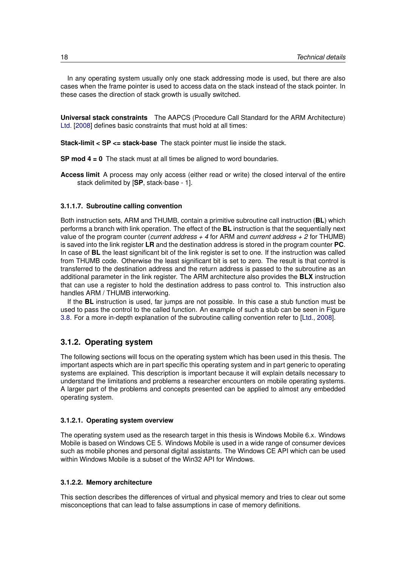In any operating system usually only one stack addressing mode is used, but there are also cases when the frame pointer is used to access data on the stack instead of the stack pointer. In these cases the direction of stack growth is usually switched.

**Universal stack constraints** The AAPCS (Procedure Call Standard for the ARM Architecture) [Ltd.](#page-99-15) [\[2008\]](#page-99-15) defines basic constraints that must hold at all times:

**Stack-limit < SP <= stack-base** The stack pointer must lie inside the stack.

**SP mod 4 = 0** The stack must at all times be aligned to word boundaries.

**Access limit** A process may only access (either read or write) the closed interval of the entire stack delimited by [**SP**, stack-base - 1].

## <span id="page-27-0"></span>**3.1.1.7. Subroutine calling convention**

Both instruction sets, ARM and THUMB, contain a primitive subroutine call instruction (**BL**) which performs a branch with link operation. The effect of the **BL** instruction is that the sequentially next value of the program counter (*current address + 4* for ARM and *current address + 2* for THUMB) is saved into the link register **LR** and the destination address is stored in the program counter **PC**. In case of **BL** the least significant bit of the link register is set to one. If the instruction was called from THUMB code. Otherwise the least significant bit is set to zero. The result is that control is transferred to the destination address and the return address is passed to the subroutine as an additional parameter in the link register. The ARM architecture also provides the **BLX** instruction that can use a register to hold the destination address to pass control to. This instruction also handles ARM / THUMB interworking.

If the **BL** instruction is used, far jumps are not possible. In this case a stub function must be used to pass the control to the called function. An example of such a stub can be seen in Figure [3.8.](#page-33-2) For a more in-depth explanation of the subroutine calling convention refer to [\[Ltd.,](#page-99-15) [2008\]](#page-99-15).

## <span id="page-27-1"></span>**3.1.2. Operating system**

The following sections will focus on the operating system which has been used in this thesis. The important aspects which are in part specific this operating system and in part generic to operating systems are explained. This description is important because it will explain details necessary to understand the limitations and problems a researcher encounters on mobile operating systems. A larger part of the problems and concepts presented can be applied to almost any embedded operating system.

### <span id="page-27-2"></span>**3.1.2.1. Operating system overview**

The operating system used as the research target in this thesis is Windows Mobile 6.x. Windows Mobile is based on Windows CE 5. Windows Mobile is used in a wide range of consumer devices such as mobile phones and personal digital assistants. The Windows CE API which can be used within Windows Mobile is a subset of the Win32 API for Windows.

### <span id="page-27-3"></span>**3.1.2.2. Memory architecture**

This section describes the differences of virtual and physical memory and tries to clear out some misconceptions that can lead to false assumptions in case of memory definitions.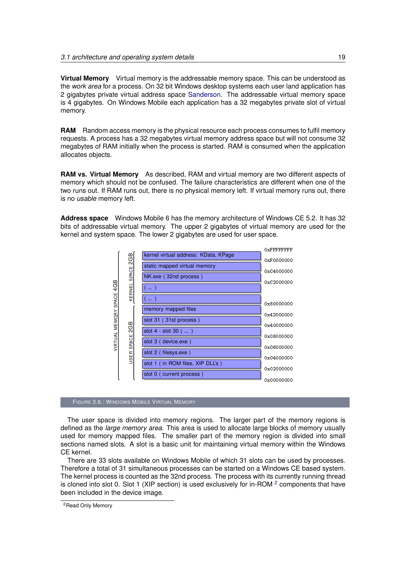**Virtual Memory** Virtual memory is the addressable memory space. This can be understood as the *work area* for a process. On 32 bit Windows desktop systems each user land application has 2 gigabytes private virtual address space [Sanderson.](#page-99-16) The addressable virtual memory space is 4 gigabytes. On Windows Mobile each application has a 32 megabytes private slot of virtual memory.

**RAM** Random access memory is the physical resource each process consumes to fulfil memory requests. A process has a 32 megabytes virtual memory address space but will not consume 32 megabytes of RAM initially when the process is started. RAM is consumed when the application allocates objects.

**RAM vs. Virtual Memory** As described, RAM and virtual memory are two different aspects of memory which should not be confused. The failure characteristics are different when one of the two runs out. If RAM runs out, there is no physical memory left. If virtual memory runs out, there is no *usable* memory left.

**Address space** Windows Mobile 6 has the memory architecture of Windows CE 5.2. It has 32 bits of addressable virtual memory. The upper 2 gigabytes of virtual memory are used for the kernel and system space. The lower 2 gigabytes are used for user space.



#### FIGURE 3.6.: WINDOWS MOBILE VIRTUAL MEMORY

The user space is divided into memory regions. The larger part of the memory regions is defined as the *large memory area*. This area is used to allocate large blocks of memory usually used for memory mapped files. The smaller part of the memory region is divided into small sections named slots. A slot is a basic unit for maintaining virtual memory within the Windows CE kernel.

There are 33 slots available on Windows Mobile of which 31 slots can be used by processes. Therefore a total of 31 simultaneous processes can be started on a Windows CE based system. The kernel process is counted as the 32nd process. The process with its currently running thread is cloned into slot 0. Slot 1 (XIP section) is used exclusively for in-ROM <sup>[2](#page-28-0)</sup> components that have been included in the device image.

<span id="page-28-0"></span><sup>&</sup>lt;sup>2</sup> Read Only Memory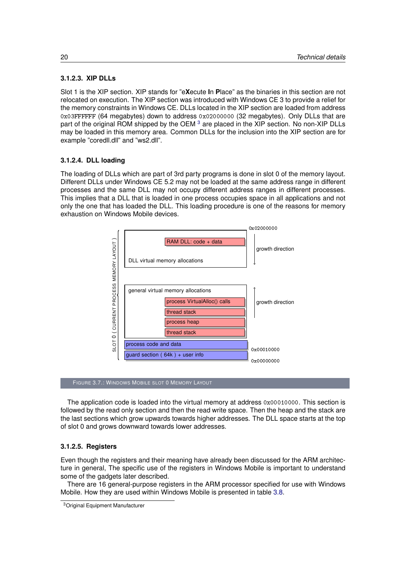## <span id="page-29-0"></span>**3.1.2.3. XIP DLLs**

Slot 1 is the XIP section. XIP stands for "e**X**ecute **I**n **P**lace" as the binaries in this section are not relocated on execution. The XIP section was introduced with Windows CE 3 to provide a relief for the memory constraints in Windows CE. DLLs located in the XIP section are loaded from address 0x03FFFFFF (64 megabytes) down to address 0x02000000 (32 megabytes). Only DLLs that are part of the original ROM shipped by the OEM <sup>[3](#page-29-3)</sup> are placed in the XIP section. No non-XIP DLLs may be loaded in this memory area. Common DLLs for the inclusion into the XIP section are for example "coredll.dll" and "ws2.dll".

## <span id="page-29-1"></span>**3.1.2.4. DLL loading**

The loading of DLLs which are part of 3rd party programs is done in slot 0 of the memory layout. Different DLLs under Windows CE 5.2 may not be loaded at the same address range in different processes and the same DLL may not occupy different address ranges in different processes. This implies that a DLL that is loaded in one process occupies space in all applications and not only the one that has loaded the DLL. This loading procedure is one of the reasons for memory exhaustion on Windows Mobile devices.



FIGURE 3.7.: WINDOWS MOBILE SLOT 0 MEMORY LAYOUT

The application code is loaded into the virtual memory at address  $0x00010000$ . This section is followed by the read only section and then the read write space. Then the heap and the stack are the last sections which grow upwards towards higher addresses. The DLL space starts at the top of slot 0 and grows downward towards lower addresses.

## <span id="page-29-2"></span>**3.1.2.5. Registers**

Even though the registers and their meaning have already been discussed for the ARM architecture in general, The specific use of the registers in Windows Mobile is important to understand some of the gadgets later described.

There are 16 general-purpose registers in the ARM processor specified for use with Windows Mobile. How they are used within Windows Mobile is presented in table [3.8.](#page-30-1)

<span id="page-29-3"></span><sup>3</sup>Original Equipment Manufacturer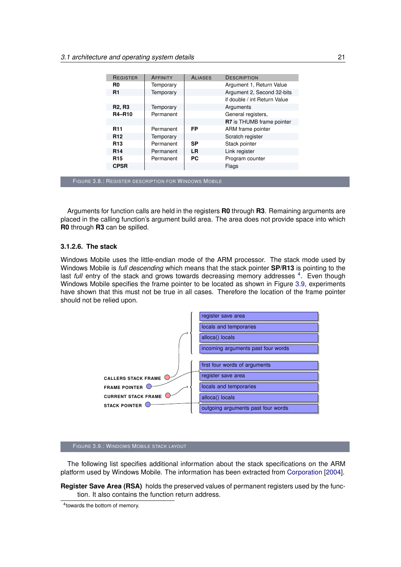<span id="page-30-1"></span>

| <b>REGISTER</b>                     | AFFINITY  | <b>ALIASES</b> | <b>DESCRIPTION</b>           |
|-------------------------------------|-----------|----------------|------------------------------|
| R <sub>0</sub>                      | Temporary |                | Argument 1, Return Value     |
| <b>R1</b>                           | Temporary |                | Argument 2, Second 32-bits   |
|                                     |           |                | if double / int Return Value |
| <b>R<sub>2</sub>, R<sub>3</sub></b> | Temporary |                | Arguments                    |
| <b>R4-R10</b>                       | Permanent |                | General registers,           |
|                                     |           |                | R7 is THUMB frame pointer    |
| <b>R11</b>                          | Permanent | FP             | ARM frame pointer            |
| <b>R12</b>                          | Temporary |                | Scratch register             |
| R <sub>13</sub>                     | Permanent | <b>SP</b>      | Stack pointer                |
| R <sub>14</sub>                     | Permanent | <b>LR</b>      | Link register                |
| <b>R15</b>                          | Permanent | <b>PC</b>      | Program counter              |
| <b>CPSR</b>                         |           |                | Flags                        |
|                                     |           |                |                              |

FIGURE 3.8.: REGISTER DESCRIPTION FOR WINDOWS MOBILE

Arguments for function calls are held in the registers **R0** through **R3**. Remaining arguments are placed in the calling function's argument build area. The area does not provide space into which **R0** through **R3** can be spilled.

## <span id="page-30-0"></span>**3.1.2.6. The stack**

Windows Mobile uses the little-endian mode of the ARM processor. The stack mode used by Windows Mobile is *full descending* which means that the stack pointer **SP/R13** is pointing to the last full entry of the stack and grows towards decreasing memory addresses <sup>[4](#page-30-2)</sup>. Even though Windows Mobile specifies the frame pointer to be located as shown in Figure [3.9,](#page-30-3) experiments have shown that this must not be true in all cases. Therefore the location of the frame pointer should not be relied upon.

<span id="page-30-3"></span>

### FIGURE 3.9.: WINDOWS MOBILE STACK LAYOUT

The following list specifies additional information about the stack specifications on the ARM platform used by Windows Mobile. The information has been extracted from [Corporation](#page-98-12) [\[2004\]](#page-98-12).

**Register Save Area (RSA)** holds the preserved values of permanent registers used by the function. It also contains the function return address.

<span id="page-30-2"></span>4 towards the bottom of memory.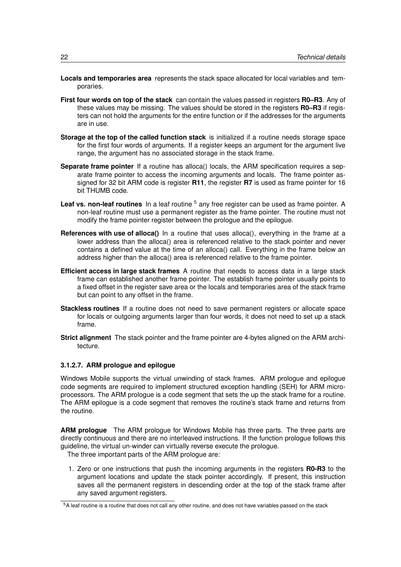- **Locals and temporaries area** represents the stack space allocated for local variables and temporaries.
- **First four words on top of the stack** can contain the values passed in registers **R0–R3**. Any of these values may be missing. The values should be stored in the registers **R0–R3** if registers can not hold the arguments for the entire function or if the addresses for the arguments are in use.
- **Storage at the top of the called function stack** is initialized if a routine needs storage space for the first four words of arguments. If a register keeps an argument for the argument live range, the argument has no associated storage in the stack frame.
- **Separate frame pointer** If a routine has alloca() locals, the ARM specification requires a separate frame pointer to access the incoming arguments and locals. The frame pointer assigned for 32 bit ARM code is register **R11**, the register **R7** is used as frame pointer for 16 bit THUMB code.
- Leaf vs. non-leaf routines In a leaf routine <sup>[5](#page-31-1)</sup> any free register can be used as frame pointer. A non-leaf routine must use a permanent register as the frame pointer. The routine must not modify the frame pointer register between the prologue and the epilogue.
- **References with use of alloca()** In a routine that uses alloca(), everything in the frame at a lower address than the alloca() area is referenced relative to the stack pointer and never contains a defined value at the time of an alloca() call. Everything in the frame below an address higher than the alloca() area is referenced relative to the frame pointer.
- **Efficient access in large stack frames** A routine that needs to access data in a large stack frame can established another frame pointer. The establish frame pointer usually points to a fixed offset in the register save area or the locals and temporaries area of the stack frame but can point to any offset in the frame.
- **Stackless routines** If a routine does not need to save permanent registers or allocate space for locals or outgoing arguments larger than four words, it does not need to set up a stack frame.
- **Strict alignment** The stack pointer and the frame pointer are 4-bytes aligned on the ARM architecture.

## <span id="page-31-0"></span>**3.1.2.7. ARM prologue and epilogue**

Windows Mobile supports the virtual unwinding of stack frames. ARM prologue and epilogue code segments are required to implement structured exception handling (SEH) for ARM microprocessors. The ARM prologue is a code segment that sets the up the stack frame for a routine. The ARM epilogue is a code segment that removes the routine's stack frame and returns from the routine.

**ARM prologue** The ARM prologue for Windows Mobile has three parts. The three parts are directly continuous and there are no interleaved instructions. If the function prologue follows this guideline, the virtual un-winder can virtually reverse execute the prologue. The three important parts of the ARM prologue are:

1. Zero or one instructions that push the incoming arguments in the registers **R0-R3** to the argument locations and update the stack pointer accordingly. If present, this instruction saves all the permanent registers in descending order at the top of the stack frame after any saved argument registers.

<span id="page-31-1"></span> $5A$  leaf routine is a routine that does not call any other routine, and does not have variables passed on the stack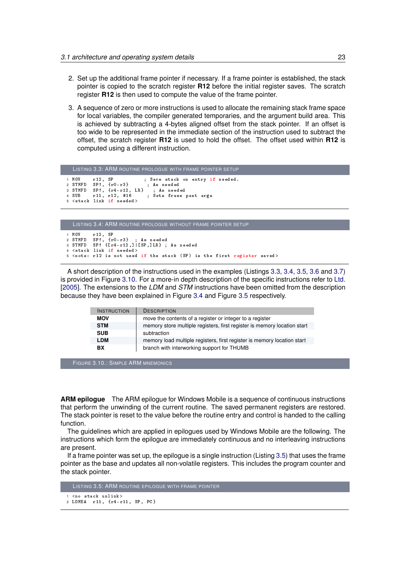- 2. Set up the additional frame pointer if necessary. If a frame pointer is established, the stack pointer is copied to the scratch register **R12** before the initial register saves. The scratch register **R12** is then used to compute the value of the frame pointer.
- 3. A sequence of zero or more instructions is used to allocate the remaining stack frame space for local variables, the compiler generated temporaries, and the argument build area. This is achieved by subtracting a 4-bytes aligned offset from the stack pointer. If an offset is too wide to be represented in the immediate section of the instruction used to subtract the offset, the scratch register **R12** is used to hold the offset. The offset used within **R12** is computed using a different instruction.

```
LISTING 3.3: ARM ROUTINE PROLOGUE WITH FRAME POINTER SETUP
1 MOV r12, SP ; Save stack on entry if needed.<br>2 STMFD SP!, {r0-r3} : As needed
2 STMFD SP!, {r0-r3} ; As needed<br>3 STMFD SP!, {r4-r12}, LR} ; As needed
3 STMFD SP!, \{r4 - r12, LR\}<br>4 SUB r11, r12, #16
                                      4 A Romanus<br>3 Sets frame past args
5 < stack link if needed >
```

```
LISTING 3.4: ARM ROUTINE PROLOGUE WITHOUT FRAME POINTER SETUP
1 MOV r12, SP<br>2 STMFD SP!, {r
2 STMFD SP!, \{r0 - r3\}; As needed<br>3 STMFD SP! \{[r4 - r12, 1][SP, 1LR] \}:
           SP: { [r4 - r12 ,] | [SP, ]LR } ; As needed
4 < stack link if needed >
5 < note : r12 is not used if the stack ( SP ) is the first register saved >
```
A short description of the instructions used in the examples (Listings [3.3,](#page-32-0) [3.4,](#page-32-1) [3.5,](#page-32-2) [3.6](#page-33-3) and [3.7\)](#page-33-4) is provided in Figure [3.10.](#page-32-3) For a more-in depth description of the specific instructions refer to [Ltd.](#page-99-14) [\[2005\]](#page-99-14). The extensions to the *LDM* and *STM* instructions have been omitted from the description because they have been explained in Figure [3.4](#page-26-3) and Figure [3.5](#page-26-4) respectively.

<span id="page-32-3"></span>

| <b>INSTRUCTION</b> | <b>DESCRIPTION</b>                                                       |
|--------------------|--------------------------------------------------------------------------|
| <b>MOV</b>         | move the contents of a register or integer to a register                 |
| <b>STM</b>         | memory store multiple registers, first register is memory location start |
| <b>SUB</b>         | subtraction                                                              |
| <b>LDM</b>         | memory load multiple registers, first register is memory location start  |
| BX                 | branch with interworking support for THUMB                               |

```
FIGURE 3.10.: SIMPLE ARM MNEMONICS
```
**ARM epilogue** The ARM epilogue for Windows Mobile is a sequence of continuous instructions that perform the unwinding of the current routine. The saved permanent registers are restored. The stack pointer is reset to the value before the routine entry and control is handed to the calling function.

The guidelines which are applied in epilogues used by Windows Mobile are the following. The instructions which form the epilogue are immediately continuous and no interleaving instructions are present.

If a frame pointer was set up, the epilogue is a single instruction (Listing [3.5\)](#page-32-2) that uses the frame pointer as the base and updates all non-volatile registers. This includes the program counter and the stack pointer.

```
LISTING 3.5: ARM ROUTINE EPILOGUE WITH FRAME POINTER
1 <no stack unlink >
2 LDMEA r11 , {r4 - r11 , SP , PC }
```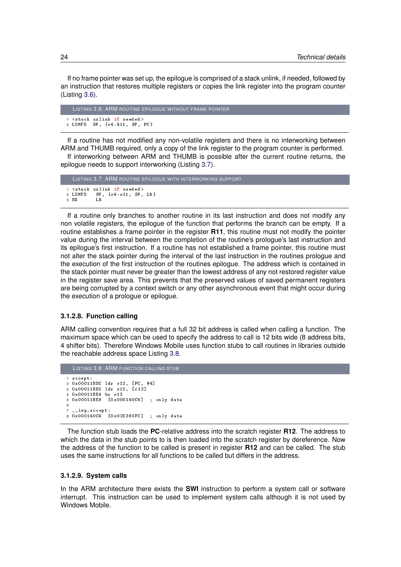If no frame pointer was set up, the epilogue is comprised of a stack unlink, if needed, followed by an instruction that restores multiple registers or copies the link register into the program counter (Listing [3.6\)](#page-33-3).

```
LISTING 3.6: ARM ROUTINE EPILOGUE WITHOUT FRAME POINTER
1 < stack unlink if needed >
2 LDMFD SP , {r4 - R11 , SP , PC }
```
If a routine has not modified any non-volatile registers and there is no interworking between ARM and THUMB required, only a copy of the link register to the program counter is performed.

If interworking between ARM and THUMB is possible after the current routine returns, the epilogue needs to support interworking (Listing [3.7\)](#page-33-4).

```
LISTING 3.7: ARM ROUTINE EPILOGUE WITH INTERWORKING SUPPORT
1 < stack unlink if needed><br>2 LDMFD SP, {r4-r11, SP,
             SP, {r4-r11, SP, LR}<br>LR
3 BX
```
If a routine only branches to another routine in its last instruction and does not modify any non volatile registers, the epilogue of the function that performs the branch can be empty. If a routine establishes a frame pointer in the register **R11**, this routine must not modify the pointer value during the interval between the completion of the routine's prologue's last instruction and its epilogue's first instruction. If a routine has not established a frame pointer, this routine must not alter the stack pointer during the interval of the last instruction in the routines prologue and the execution of the first instruction of the routines epilogue. The address which is contained in the stack pointer must never be greater than the lowest address of any not restored register value in the register save area. This prevents that the preserved values of saved permanent registers are being corrupted by a context switch or any other asynchronous event that might occur during the execution of a prologue or epilogue.

## <span id="page-33-0"></span>**3.1.2.8. Function calling**

ARM calling convention requires that a full 32 bit address is called when calling a function. The maximum space which can be used to specify the address to call is 12 bits wide (8 address bits, 4 shifter bits). Therefore Windows Mobile uses function stubs to call routines in libraries outside the reachable address space Listing [3.8.](#page-33-2)

```
LISTING 3.8: ARM FUNCTION CALLING STUB
1 accept :
2 0 x00011BDC ldr r12 , [ PC , #4]
3 0 x00011BE0 ldr r12 , [ r12 ]
4 0 x00011BE4 bx r12
5 0 x00011BE8 [0 x000140C4 ] ; only data
6
   imp_accept:
8 0 x000140C4 [0 x02D365FC ] ; only data
```
The function stub loads the **PC**-relative address into the scratch register **R12**. The address to which the data in the stub points to is then loaded into the scratch register by dereference. Now the address of the function to be called is present in register **R12** and can be called. The stub uses the same instructions for all functions to be called but differs in the address.

#### <span id="page-33-1"></span>**3.1.2.9. System calls**

In the ARM architecture there exists the **SWI** instruction to perform a system call or software interrupt. This instruction can be used to implement system calls although it is not used by Windows Mobile.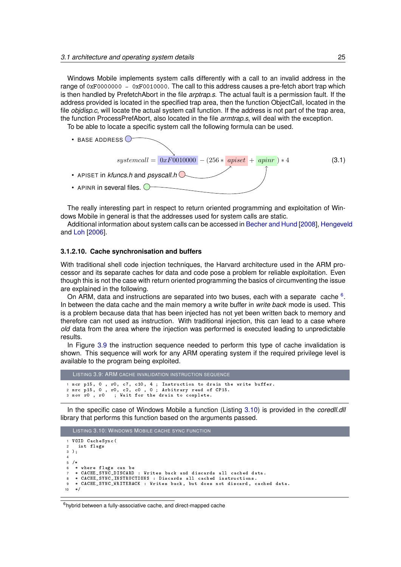Windows Mobile implements system calls differently with a call to an invalid address in the range of 0xF0000000 - 0xF0010000. The call to this address causes a pre-fetch abort trap which is then handled by PrefetchAbort in the file *arptrap.s*. The actual fault is a permission fault. If the address provided is located in the specified trap area, then the function ObjectCall, located in the file *objdisp.c*, will locate the actual system call function. If the address is not part of the trap area, the function ProcessPrefAbort, also located in the file *armtrap.s*, will deal with the exception.

To be able to locate a specific system call the following formula can be used.



The really interesting part in respect to return oriented programming and exploitation of Windows Mobile in general is that the addresses used for system calls are static.

Additional information about system calls can be accessed in [Becher and Hund](#page-98-13) [\[2008\]](#page-98-13), [Hengeveld](#page-99-17) and [Loh](#page-99-18) [\[2006\]](#page-99-18).

#### <span id="page-34-0"></span>**3.1.2.10. Cache synchronisation and buffers**

With traditional shell code injection techniques, the Harvard architecture used in the ARM processor and its separate caches for data and code pose a problem for reliable exploitation. Even though this is not the case with return oriented programming the basics of circumventing the issue are explained in the following.

On ARM, data and instructions are separated into two buses, each with a separate cache  $6$ . In between the data cache and the main memory a write buffer in *write back* mode is used. This is a problem because data that has been injected has not yet been written back to memory and therefore can not used as instruction. With traditional injection, this can lead to a case where *old* data from the area where the injection was performed is executed leading to unpredictable results.

In Figure [3.9](#page-34-2) the instruction sequence needed to perform this type of cache invalidation is shown. This sequence will work for any ARM operating system if the required privilege level is available to the program being exploited.

```
LISTING 3.9: ARM CACHE INVALIDATION INSTRUCTION SEQUENCE
1 mcr p15 , 0 , r0 , c7 , c10 , 4 ; Instruction to drain the write buffer .
2 mrc p15 , 0 , r0 , c2 , c0 , 0 ; Arbitrary read of CP15 .
3 mov r0 , r0 ; Wait for the drain to complete .
```
In the specific case of Windows Mobile a function (Listing [3.10\)](#page-34-3) is provided in the *coredll.dll* library that performs this function based on the arguments passed.

```
LISTING 3.10: WINDOWS MOBILE CACHE SYNC FUNCTION
1 VOID CacheSync (
     int flags
3 );
 4
5 / *6 * where flags can be
7 * CACHE_SYNC_DISCARD : Writes back and discards all cached data .
 8 * CACHE_SYNC_INSTRUCTIONS : Discards all cached instructions .
9 * CACHE_SYNC_WRITEBACK : Writes back , but does not discard , cached data .
10 * /
```
## <span id="page-34-1"></span> $6$ hybrid between a fully-associative cache, and direct-mapped cache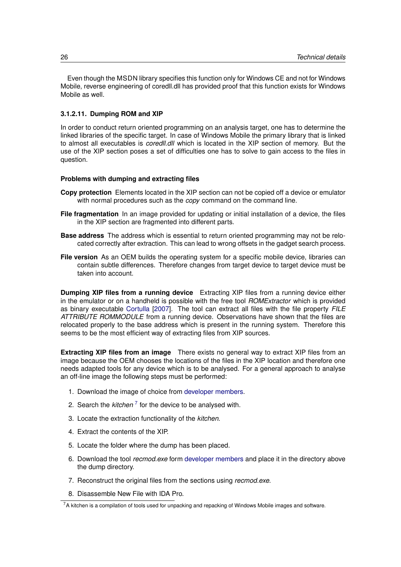Even though the MSDN library specifies this function only for Windows CE and not for Windows Mobile, reverse engineering of coredll.dll has provided proof that this function exists for Windows Mobile as well.

## <span id="page-35-0"></span>**3.1.2.11. Dumping ROM and XIP**

In order to conduct return oriented programming on an analysis target, one has to determine the linked libraries of the specific target. In case of Windows Mobile the primary library that is linked to almost all executables is *coredll.dll* which is located in the XIP section of memory. But the use of the XIP section poses a set of difficulties one has to solve to gain access to the files in question.

### **Problems with dumping and extracting files**

- **Copy protection** Elements located in the XIP section can not be copied off a device or emulator with normal procedures such as the *copy* command on the command line.
- **File fragmentation** In an image provided for updating or initial installation of a device, the files in the XIP section are fragmented into different parts.
- **Base address** The address which is essential to return oriented programming may not be relocated correctly after extraction. This can lead to wrong offsets in the gadget search process.
- **File version** As an OEM builds the operating system for a specific mobile device, libraries can contain subtle differences. Therefore changes from target device to target device must be taken into account.

**Dumping XIP files from a running device** Extracting XIP files from a running device either in the emulator or on a handheld is possible with the free tool *ROMExtractor* which is provided as binary executable [Cortulla](#page-98-14) [\[2007\]](#page-98-14). The tool can extract all files with the file property *FILE ATTRIBUTE ROMMODULE* from a running device. Observations have shown that the files are relocated properly to the base address which is present in the running system. Therefore this seems to be the most efficient way of extracting files from XIP sources.

**Extracting XIP files from an image** There exists no general way to extract XIP files from an image because the OEM chooses the locations of the files in the XIP location and therefore one needs adapted tools for any device which is to be analysed. For a general approach to analyse an off-line image the following steps must be performed:

- 1. Download the image of choice from [developer members.](#page-98-15)
- 2. Search the *kitchen*<sup>[7](#page-35-1)</sup> for the device to be analysed with.
- 3. Locate the extraction functionality of the *kitchen*.
- 4. Extract the contents of the XIP.
- 5. Locate the folder where the dump has been placed.
- 6. Download the tool *recmod.exe* form [developer members](#page-98-15) and place it in the directory above the dump directory.
- 7. Reconstruct the original files from the sections using *recmod.exe*.
- 8. Disassemble New File with IDA Pro.

<span id="page-35-1"></span> $7A$  kitchen is a compilation of tools used for unpacking and repacking of Windows Mobile images and software.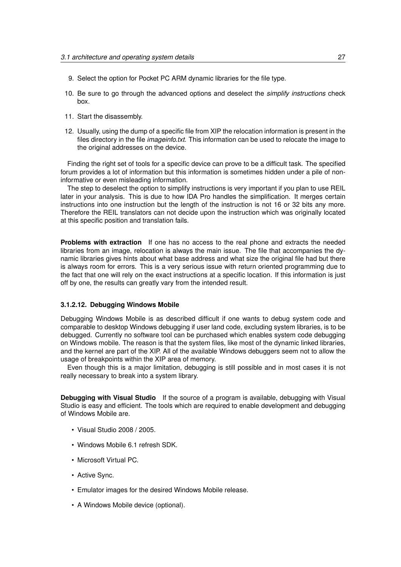- 9. Select the option for Pocket PC ARM dynamic libraries for the file type.
- 10. Be sure to go through the advanced options and deselect the *simplify instructions* check box.
- 11. Start the disassembly.
- 12. Usually, using the dump of a specific file from XIP the relocation information is present in the files directory in the file *imageinfo.txt*. This information can be used to relocate the image to the original addresses on the device.

Finding the right set of tools for a specific device can prove to be a difficult task. The specified forum provides a lot of information but this information is sometimes hidden under a pile of noninformative or even misleading information.

The step to deselect the option to simplify instructions is very important if you plan to use REIL later in your analysis. This is due to how IDA Pro handles the simplification. It merges certain instructions into one instruction but the length of the instruction is not 16 or 32 bits any more. Therefore the REIL translators can not decide upon the instruction which was originally located at this specific position and translation fails.

**Problems with extraction** If one has no access to the real phone and extracts the needed libraries from an image, relocation is always the main issue. The file that accompanies the dynamic libraries gives hints about what base address and what size the original file had but there is always room for errors. This is a very serious issue with return oriented programming due to the fact that one will rely on the exact instructions at a specific location. If this information is just off by one, the results can greatly vary from the intended result.

#### **3.1.2.12. Debugging Windows Mobile**

Debugging Windows Mobile is as described difficult if one wants to debug system code and comparable to desktop Windows debugging if user land code, excluding system libraries, is to be debugged. Currently no software tool can be purchased which enables system code debugging on Windows mobile. The reason is that the system files, like most of the dynamic linked libraries, and the kernel are part of the XIP. All of the available Windows debuggers seem not to allow the usage of breakpoints within the XIP area of memory.

Even though this is a major limitation, debugging is still possible and in most cases it is not really necessary to break into a system library.

**Debugging with Visual Studio** If the source of a program is available, debugging with Visual Studio is easy and efficient. The tools which are required to enable development and debugging of Windows Mobile are.

- Visual Studio 2008 / 2005.
- Windows Mobile 6.1 refresh SDK.
- Microsoft Virtual PC.
- Active Sync.
- Emulator images for the desired Windows Mobile release.
- A Windows Mobile device (optional).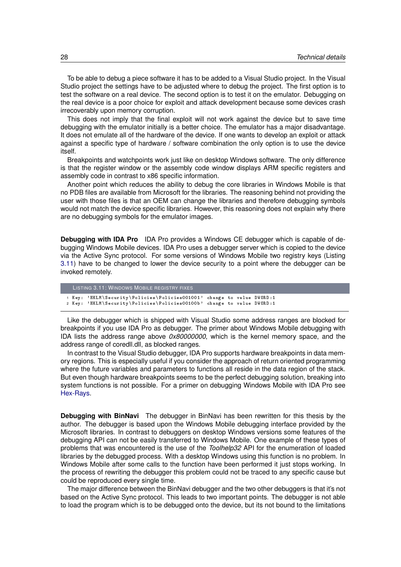To be able to debug a piece software it has to be added to a Visual Studio project. In the Visual Studio project the settings have to be adjusted where to debug the project. The first option is to test the software on a real device. The second option is to test it on the emulator. Debugging on the real device is a poor choice for exploit and attack development because some devices crash irrecoverably upon memory corruption.

This does not imply that the final exploit will not work against the device but to save time debugging with the emulator initially is a better choice. The emulator has a major disadvantage. It does not emulate all of the hardware of the device. If one wants to develop an exploit or attack against a specific type of hardware / software combination the only option is to use the device itself.

Breakpoints and watchpoints work just like on desktop Windows software. The only difference is that the register window or the assembly code window displays ARM specific registers and assembly code in contrast to x86 specific information.

Another point which reduces the ability to debug the core libraries in Windows Mobile is that no PDB files are available from Microsoft for the libraries. The reasoning behind not providing the user with those files is that an OEM can change the libraries and therefore debugging symbols would not match the device specific libraries. However, this reasoning does not explain why there are no debugging symbols for the emulator images.

**Debugging with IDA Pro** IDA Pro provides a Windows CE debugger which is capable of debugging Windows Mobile devices. IDA Pro uses a debugger server which is copied to the device via the Active Sync protocol. For some versions of Windows Mobile two registry keys (Listing [3.11\)](#page-37-0) have to be changed to lower the device security to a point where the debugger can be invoked remotely.

```
LISTING 3.11: WINDOWS MOBILE REGISTRY FIXES
1 Key : ' HKLM \ Security \ Policies \ Policies001001 ' change to value DWORD :1
2 Key : ' HKLM \ Security \ Policies \ Policies00100b ' change to value DWORD :1
```
Like the debugger which is shipped with Visual Studio some address ranges are blocked for breakpoints if you use IDA Pro as debugger. The primer about Windows Mobile debugging with IDA lists the address range above *0x80000000*, which is the kernel memory space, and the address range of coredll.dll, as blocked ranges.

In contrast to the Visual Studio debugger, IDA Pro supports hardware breakpoints in data memory regions. This is especially useful if you consider the approach of return oriented programming where the future variables and parameters to functions all reside in the data region of the stack. But even though hardware breakpoints seems to be the perfect debugging solution, breaking into system functions is not possible. For a primer on debugging Windows Mobile with IDA Pro see [Hex-Rays.](#page-99-0)

**Debugging with BinNavi** The debugger in BinNavi has been rewritten for this thesis by the author. The debugger is based upon the Windows Mobile debugging interface provided by the Microsoft libraries. In contrast to debuggers on desktop Windows versions some features of the debugging API can not be easily transferred to Windows Mobile. One example of these types of problems that was encountered is the use of the *Toolhelp32* API for the enumeration of loaded libraries by the debugged process. With a desktop Windows using this function is no problem. In Windows Mobile after some calls to the function have been performed it just stops working. In the process of rewriting the debugger this problem could not be traced to any specific cause but could be reproduced every single time.

The major difference between the BinNavi debugger and the two other debuggers is that it's not based on the Active Sync protocol. This leads to two important points. The debugger is not able to load the program which is to be debugged onto the device, but its not bound to the limitations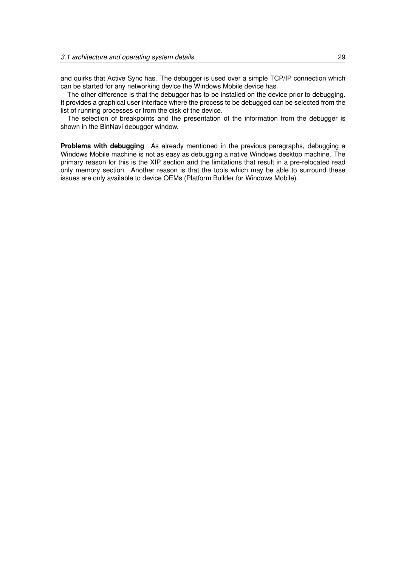and quirks that Active Sync has. The debugger is used over a simple TCP/IP connection which can be started for any networking device the Windows Mobile device has.

The other difference is that the debugger has to be installed on the device prior to debugging. It provides a graphical user interface where the process to be debugged can be selected from the list of running processes or from the disk of the device.

The selection of breakpoints and the presentation of the information from the debugger is shown in the BinNavi debugger window.

**Problems with debugging** As already mentioned in the previous paragraphs, debugging a Windows Mobile machine is not as easy as debugging a native Windows desktop machine. The primary reason for this is the XIP section and the limitations that result in a pre-relocated read only memory section. Another reason is that the tools which may be able to surround these issues are only available to device OEMs (Platform Builder for Windows Mobile).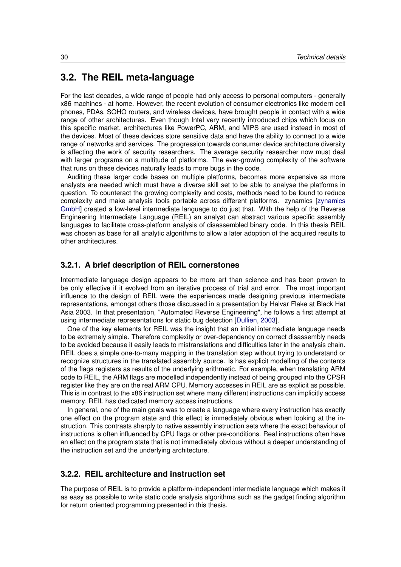# **3.2. The REIL meta-language**

For the last decades, a wide range of people had only access to personal computers - generally x86 machines - at home. However, the recent evolution of consumer electronics like modern cell phones, PDAs, SOHO routers, and wireless devices, have brought people in contact with a wide range of other architectures. Even though Intel very recently introduced chips which focus on this specific market, architectures like PowerPC, ARM, and MIPS are used instead in most of the devices. Most of these devices store sensitive data and have the ability to connect to a wide range of networks and services. The progression towards consumer device architecture diversity is affecting the work of security researchers. The average security researcher now must deal with larger programs on a multitude of platforms. The ever-growing complexity of the software that runs on these devices naturally leads to more bugs in the code.

Auditing these larger code bases on multiple platforms, becomes more expensive as more analysts are needed which must have a diverse skill set to be able to analyse the platforms in question. To counteract the growing complexity and costs, methods need to be found to reduce complexity and make analysis tools portable across different platforms. zynamics [\[zynamics](#page-100-0) [GmbH\]](#page-100-0) created a low-level intermediate language to do just that. With the help of the Reverse Engineering Intermediate Language (REIL) an analyst can abstract various specific assembly languages to facilitate cross-platform analysis of disassembled binary code. In this thesis REIL was chosen as base for all analytic algorithms to allow a later adoption of the acquired results to other architectures.

#### **3.2.1. A brief description of REIL cornerstones**

Intermediate language design appears to be more art than science and has been proven to be only effective if it evolved from an iterative process of trial and error. The most important influence to the design of REIL were the experiences made designing previous intermediate representations, amongst others those discussed in a presentation by Halvar Flake at Black Hat Asia 2003. In that presentation, "Automated Reverse Engineering", he follows a first attempt at using intermediate representations for static bug detection [\[Dullien,](#page-98-0) [2003\]](#page-98-0).

One of the key elements for REIL was the insight that an initial intermediate language needs to be extremely simple. Therefore complexity or over-dependency on correct disassembly needs to be avoided because it easily leads to mistranslations and difficulties later in the analysis chain. REIL does a simple one-to-many mapping in the translation step without trying to understand or recognize structures in the translated assembly source. Is has explicit modelling of the contents of the flags registers as results of the underlying arithmetic. For example, when translating ARM code to REIL, the ARM flags are modelled independently instead of being grouped into the CPSR register like they are on the real ARM CPU. Memory accesses in REIL are as explicit as possible. This is in contrast to the x86 instruction set where many different instructions can implicitly access memory. REIL has dedicated memory access instructions.

In general, one of the main goals was to create a language where every instruction has exactly one effect on the program state and this effect is immediately obvious when looking at the instruction. This contrasts sharply to native assembly instruction sets where the exact behaviour of instructions is often influenced by CPU flags or other pre-conditions. Real instructions often have an effect on the program state that is not immediately obvious without a deeper understanding of the instruction set and the underlying architecture.

## **3.2.2. REIL architecture and instruction set**

The purpose of REIL is to provide a platform-independent intermediate language which makes it as easy as possible to write static code analysis algorithms such as the gadget finding algorithm for return oriented programming presented in this thesis.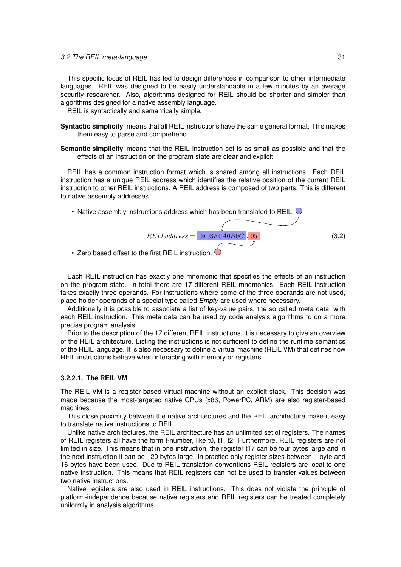This specific focus of REIL has led to design differences in comparison to other intermediate languages. REIL was designed to be easily understandable in a few minutes by an average security researcher. Also, algorithms designed for REIL should be shorter and simpler than algorithms designed for a native assembly language.

REIL is syntactically and semantically simple.

- **Syntactic simplicity** means that all REIL instructions have the same general format. This makes them easy to parse and comprehend.
- **Semantic simplicity** means that the REIL instruction set is as small as possible and that the effects of an instruction on the program state are clear and explicit.

REIL has a common instruction format which is shared among all instructions. Each REIL instruction has a unique REIL address which identifies the relative position of the current REIL instruction to other REIL instructions. A REIL address is composed of two parts. This is different to native assembly addresses.



• Zero based offset to the first REIL instruction

Each REIL instruction has exactly one mnemonic that specifies the effects of an instruction on the program state. In total there are 17 different REIL mnemonics. Each REIL instruction takes exactly three operands. For instructions where some of the three operands are not used, place-holder operands of a special type called *Empty* are used where necessary.

Additionally it is possible to associate a list of key-value pairs, the so called meta data, with each REIL instruction. This meta data can be used by code analysis algorithms to do a more precise program analysis.

Prior to the description of the 17 different REIL instructions, it is necessary to give an overview of the REIL architecture. Listing the instructions is not sufficient to define the runtime semantics of the REIL language. It is also necessary to define a virtual machine (REIL VM) that defines how REIL instructions behave when interacting with memory or registers.

#### **3.2.2.1. The REIL VM**

The REIL VM is a register-based virtual machine without an explicit stack. This decision was made because the most-targeted native CPUs (x86, PowerPC, ARM) are also register-based machines.

This close proximity between the native architectures and the REIL architecture make it easy to translate native instructions to REIL.

Unlike native architectures, the REIL architecture has an unlimited set of registers. The names of REIL registers all have the form t-number, like t0, t1, t2. Furthermore, REIL registers are not limited in size. This means that in one instruction, the register t17 can be four bytes large and in the next instruction it can be 120 bytes large. In practice only register sizes between 1 byte and 16 bytes have been used. Due to REIL translation conventions REIL registers are local to one native instruction. This means that REIL registers can not be used to transfer values between two native instructions.

Native registers are also used in REIL instructions. This does not violate the principle of platform-independence because native registers and REIL registers can be treated completely uniformly in analysis algorithms.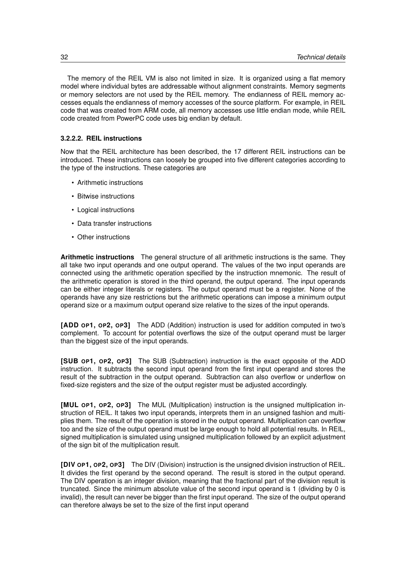The memory of the REIL VM is also not limited in size. It is organized using a flat memory model where individual bytes are addressable without alignment constraints. Memory segments or memory selectors are not used by the REIL memory. The endianness of REIL memory accesses equals the endianness of memory accesses of the source platform. For example, in REIL code that was created from ARM code, all memory accesses use little endian mode, while REIL code created from PowerPC code uses big endian by default.

#### **3.2.2.2. REIL instructions**

Now that the REIL architecture has been described, the 17 different REIL instructions can be introduced. These instructions can loosely be grouped into five different categories according to the type of the instructions. These categories are

- Arithmetic instructions
- Bitwise instructions
- Logical instructions
- Data transfer instructions
- Other instructions

**Arithmetic instructions** The general structure of all arithmetic instructions is the same. They all take two input operands and one output operand. The values of the two input operands are connected using the arithmetic operation specified by the instruction mnemonic. The result of the arithmetic operation is stored in the third operand, the output operand. The input operands can be either integer literals or registers. The output operand must be a register. None of the operands have any size restrictions but the arithmetic operations can impose a minimum output operand size or a maximum output operand size relative to the sizes of the input operands.

**[ADD OP1, OP2, OP3]** The ADD (Addition) instruction is used for addition computed in two's complement. To account for potential overflows the size of the output operand must be larger than the biggest size of the input operands.

**[SUB OP1, OP2, OP3]** The SUB (Subtraction) instruction is the exact opposite of the ADD instruction. It subtracts the second input operand from the first input operand and stores the result of the subtraction in the output operand. Subtraction can also overflow or underflow on fixed-size registers and the size of the output register must be adjusted accordingly.

**[MUL OP1, OP2, OP3]** The MUL (Multiplication) instruction is the unsigned multiplication instruction of REIL. It takes two input operands, interprets them in an unsigned fashion and multiplies them. The result of the operation is stored in the output operand. Multiplication can overflow too and the size of the output operand must be large enough to hold all potential results. In REIL, signed multiplication is simulated using unsigned multiplication followed by an explicit adjustment of the sign bit of the multiplication result.

**[DIV OP1, OP2, OP3]** The DIV (Division) instruction is the unsigned division instruction of REIL. It divides the first operand by the second operand. The result is stored in the output operand. The DIV operation is an integer division, meaning that the fractional part of the division result is truncated. Since the minimum absolute value of the second input operand is 1 (dividing by 0 is invalid), the result can never be bigger than the first input operand. The size of the output operand can therefore always be set to the size of the first input operand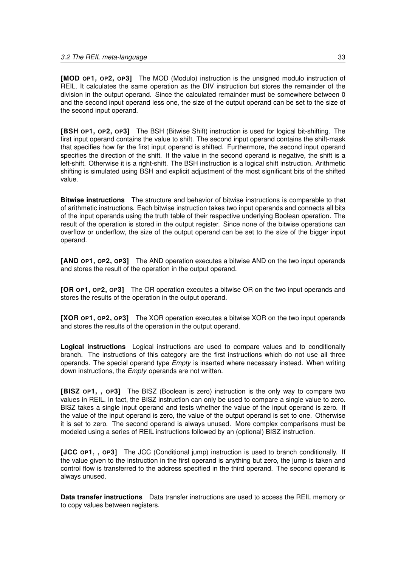**[MOD OP1, OP2, OP3]** The MOD (Modulo) instruction is the unsigned modulo instruction of REIL. It calculates the same operation as the DIV instruction but stores the remainder of the division in the output operand. Since the calculated remainder must be somewhere between 0 and the second input operand less one, the size of the output operand can be set to the size of the second input operand.

**[BSH OP1, OP2, OP3]** The BSH (Bitwise Shift) instruction is used for logical bit-shifting. The first input operand contains the value to shift. The second input operand contains the shift-mask that specifies how far the first input operand is shifted. Furthermore, the second input operand specifies the direction of the shift. If the value in the second operand is negative, the shift is a left-shift. Otherwise it is a right-shift. The BSH instruction is a logical shift instruction. Arithmetic shifting is simulated using BSH and explicit adjustment of the most significant bits of the shifted value.

**Bitwise instructions** The structure and behavior of bitwise instructions is comparable to that of arithmetic instructions. Each bitwise instruction takes two input operands and connects all bits of the input operands using the truth table of their respective underlying Boolean operation. The result of the operation is stored in the output register. Since none of the bitwise operations can overflow or underflow, the size of the output operand can be set to the size of the bigger input operand.

**[AND OP1, OP2, OP3]** The AND operation executes a bitwise AND on the two input operands and stores the result of the operation in the output operand.

**[OR OP1, OP2, OP3]** The OR operation executes a bitwise OR on the two input operands and stores the results of the operation in the output operand.

**[XOR OP1, OP2, OP3]** The XOR operation executes a bitwise XOR on the two input operands and stores the results of the operation in the output operand.

**Logical instructions** Logical instructions are used to compare values and to conditionally branch. The instructions of this category are the first instructions which do not use all three operands. The special operand type *Empty* is inserted where necessary instead. When writing down instructions, the *Empty* operands are not written.

**[BISZ OP1, , OP3]** The BISZ (Boolean is zero) instruction is the only way to compare two values in REIL. In fact, the BISZ instruction can only be used to compare a single value to zero. BISZ takes a single input operand and tests whether the value of the input operand is zero. If the value of the input operand is zero, the value of the output operand is set to one. Otherwise it is set to zero. The second operand is always unused. More complex comparisons must be modeled using a series of REIL instructions followed by an (optional) BISZ instruction.

**[JCC OP1, , OP3]** The JCC (Conditional jump) instruction is used to branch conditionally. If the value given to the instruction in the first operand is anything but zero, the jump is taken and control flow is transferred to the address specified in the third operand. The second operand is always unused.

**Data transfer instructions** Data transfer instructions are used to access the REIL memory or to copy values between registers.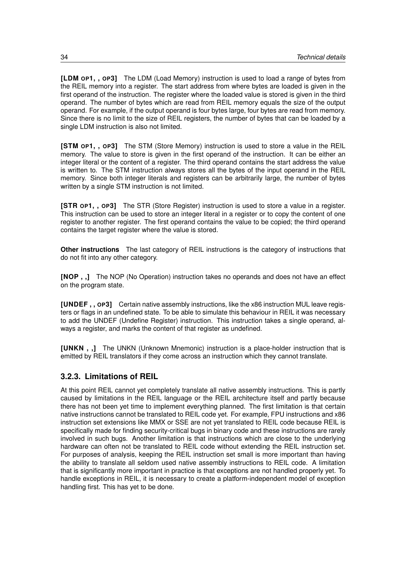**[LDM OP1, , OP3]** The LDM (Load Memory) instruction is used to load a range of bytes from the REIL memory into a register. The start address from where bytes are loaded is given in the first operand of the instruction. The register where the loaded value is stored is given in the third operand. The number of bytes which are read from REIL memory equals the size of the output operand. For example, if the output operand is four bytes large, four bytes are read from memory. Since there is no limit to the size of REIL registers, the number of bytes that can be loaded by a single LDM instruction is also not limited.

**[STM OP1, , OP3]** The STM (Store Memory) instruction is used to store a value in the REIL memory. The value to store is given in the first operand of the instruction. It can be either an integer literal or the content of a register. The third operand contains the start address the value is written to. The STM instruction always stores all the bytes of the input operand in the REIL memory. Since both integer literals and registers can be arbitrarily large, the number of bytes written by a single STM instruction is not limited.

**[STR OP1, , OP3]** The STR (Store Register) instruction is used to store a value in a register. This instruction can be used to store an integer literal in a register or to copy the content of one register to another register. The first operand contains the value to be copied; the third operand contains the target register where the value is stored.

**Other instructions** The last category of REIL instructions is the category of instructions that do not fit into any other category.

**[NOP , ,]** The NOP (No Operation) instruction takes no operands and does not have an effect on the program state.

**[UNDEF , , OP3]** Certain native assembly instructions, like the x86 instruction MUL leave registers or flags in an undefined state. To be able to simulate this behaviour in REIL it was necessary to add the UNDEF (Undefine Register) instruction. This instruction takes a single operand, always a register, and marks the content of that register as undefined.

**[UNKN , ,]** The UNKN (Unknown Mnemonic) instruction is a place-holder instruction that is emitted by REIL translators if they come across an instruction which they cannot translate.

## **3.2.3. Limitations of REIL**

At this point REIL cannot yet completely translate all native assembly instructions. This is partly caused by limitations in the REIL language or the REIL architecture itself and partly because there has not been yet time to implement everything planned. The first limitation is that certain native instructions cannot be translated to REIL code yet. For example, FPU instructions and x86 instruction set extensions like MMX or SSE are not yet translated to REIL code because REIL is specifically made for finding security-critical bugs in binary code and these instructions are rarely involved in such bugs. Another limitation is that instructions which are close to the underlying hardware can often not be translated to REIL code without extending the REIL instruction set. For purposes of analysis, keeping the REIL instruction set small is more important than having the ability to translate all seldom used native assembly instructions to REIL code. A limitation that is significantly more important in practice is that exceptions are not handled properly yet. To handle exceptions in REIL, it is necessary to create a platform-independent model of exception handling first. This has yet to be done.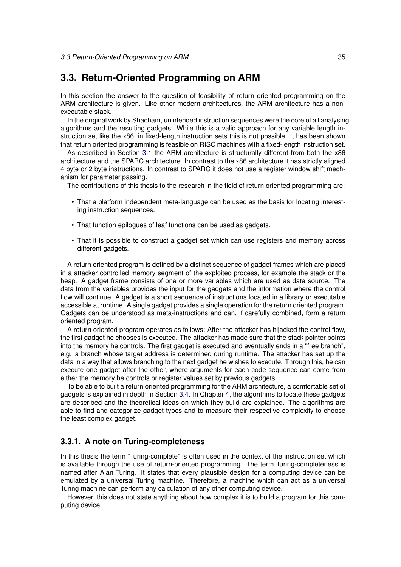# **3.3. Return-Oriented Programming on ARM**

In this section the answer to the question of feasibility of return oriented programming on the ARM architecture is given. Like other modern architectures, the ARM architecture has a nonexecutable stack.

In the original work by Shacham, unintended instruction sequences were the core of all analysing algorithms and the resulting gadgets. While this is a valid approach for any variable length instruction set like the x86, in fixed-length instruction sets this is not possible. It has been shown that return oriented programming is feasible on RISC machines with a fixed-length instruction set.

As described in Section [3.1](#page-22-0) the ARM architecture is structurally different from both the x86 architecture and the SPARC architecture. In contrast to the x86 architecture it has strictly aligned 4 byte or 2 byte instructions. In contrast to SPARC it does not use a register window shift mechanism for parameter passing.

The contributions of this thesis to the research in the field of return oriented programming are:

- That a platform independent meta-language can be used as the basis for locating interesting instruction sequences.
- That function epilogues of leaf functions can be used as gadgets.
- That it is possible to construct a gadget set which can use registers and memory across different gadgets.

A return oriented program is defined by a distinct sequence of gadget frames which are placed in a attacker controlled memory segment of the exploited process, for example the stack or the heap. A gadget frame consists of one or more variables which are used as data source. The data from the variables provides the input for the gadgets and the information where the control flow will continue. A gadget is a short sequence of instructions located in a library or executable accessible at runtime. A single gadget provides a single operation for the return oriented program. Gadgets can be understood as meta-instructions and can, if carefully combined, form a return oriented program.

A return oriented program operates as follows: After the attacker has hijacked the control flow, the first gadget he chooses is executed. The attacker has made sure that the stack pointer points into the memory he controls. The first gadget is executed and eventually ends in a "free branch", e.g. a branch whose target address is determined during runtime. The attacker has set up the data in a way that allows branching to the next gadget he wishes to execute. Through this, he can execute one gadget after the other, where arguments for each code sequence can come from either the memory he controls or register values set by previous gadgets.

To be able to built a return oriented programming for the ARM architecture, a comfortable set of gadgets is explained in depth in Section [3.4.](#page-47-0) In Chapter [4,](#page-70-0) the algorithms to locate these gadgets are described and the theoretical ideas on which they build are explained. The algorithms are able to find and categorize gadget types and to measure their respective complexity to choose the least complex gadget.

## **3.3.1. A note on Turing-completeness**

In this thesis the term "Turing-complete" is often used in the context of the instruction set which is available through the use of return-oriented programming. The term Turing-completeness is named after Alan Turing. It states that every plausible design for a computing device can be emulated by a universal Turing machine. Therefore, a machine which can act as a universal Turing machine can perform any calculation of any other computing device.

However, this does not state anything about how complex it is to build a program for this computing device.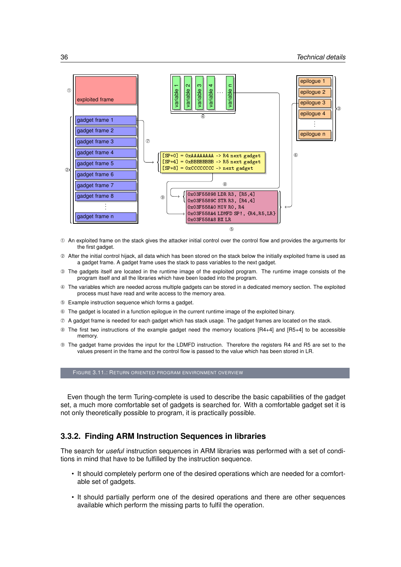<span id="page-45-0"></span>

- ➀ An exploited frame on the stack gives the attacker initial control over the control flow and provides the arguments for the first gadget.
- ➁ After the initial control hijack, all data which has been stored on the stack below the initially exploited frame is used as a gadget frame. A gadget frame uses the stack to pass variables to the next gadget.
- ➂ The gadgets itself are located in the runtime image of the exploited program. The runtime image consists of the program itself and all the libraries which have been loaded into the program.
- ➃ The variables which are needed across multiple gadgets can be stored in a dedicated memory section. The exploited process must have read and write access to the memory area.
- ➄ Example instruction sequence which forms a gadget.
- ➅ The gadget is located in a function epilogue in the current runtime image of the exploited binary.
- ➆ A gadget frame is needed for each gadget which has stack usage. The gadget frames are located on the stack.
- ➇ The first two instructions of the example gadget need the memory locations [R4+4] and [R5+4] to be accessible memory.
- ➈ The gadget frame provides the input for the LDMFD instruction. Therefore the registers R4 and R5 are set to the values present in the frame and the control flow is passed to the value which has been stored in LR.

FIGURE 3.11.: RETURN ORIENTED PROGRAM ENVIRONMENT OVERVIEW

Even though the term Turing-complete is used to describe the basic capabilities of the gadget set, a much more comfortable set of gadgets is searched for. With a comfortable gadget set it is not only theoretically possible to program, it is practically possible.

## **3.3.2. Finding ARM Instruction Sequences in libraries**

The search for *useful* instruction sequences in ARM libraries was performed with a set of conditions in mind that have to be fulfilled by the instruction sequence.

- It should completely perform one of the desired operations which are needed for a comfortable set of gadgets.
- It should partially perform one of the desired operations and there are other sequences available which perform the missing parts to fulfil the operation.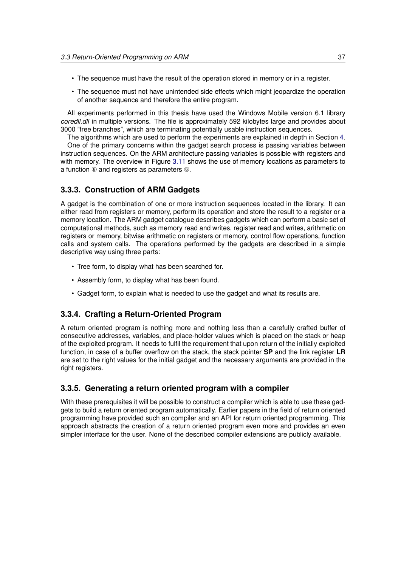- The sequence must have the result of the operation stored in memory or in a register.
- The sequence must not have unintended side effects which might jeopardize the operation of another sequence and therefore the entire program.

All experiments performed in this thesis have used the Windows Mobile version 6.1 library *coredll.dll* in multiple versions. The file is approximately 592 kilobytes large and provides about 3000 "free branches", which are terminating potentially usable instruction sequences.

The algorithms which are used to perform the experiments are explained in depth in Section [4.](#page-70-0) One of the primary concerns within the gadget search process is passing variables between instruction sequences. On the ARM architecture passing variables is possible with registers and with memory. The overview in Figure [3.11](#page-45-0) shows the use of memory locations as parameters to a function ➇ and registers as parameters ➅.

## **3.3.3. Construction of ARM Gadgets**

A gadget is the combination of one or more instruction sequences located in the library. It can either read from registers or memory, perform its operation and store the result to a register or a memory location. The ARM gadget catalogue describes gadgets which can perform a basic set of computational methods, such as memory read and writes, register read and writes, arithmetic on registers or memory, bitwise arithmetic on registers or memory, control flow operations, function calls and system calls. The operations performed by the gadgets are described in a simple descriptive way using three parts:

- Tree form, to display what has been searched for.
- Assembly form, to display what has been found.
- Gadget form, to explain what is needed to use the gadget and what its results are.

## **3.3.4. Crafting a Return-Oriented Program**

A return oriented program is nothing more and nothing less than a carefully crafted buffer of consecutive addresses, variables, and place-holder values which is placed on the stack or heap of the exploited program. It needs to fulfil the requirement that upon return of the initially exploited function, in case of a buffer overflow on the stack, the stack pointer **SP** and the link register **LR** are set to the right values for the initial gadget and the necessary arguments are provided in the right registers.

#### **3.3.5. Generating a return oriented program with a compiler**

With these prerequisites it will be possible to construct a compiler which is able to use these gadgets to build a return oriented program automatically. Earlier papers in the field of return oriented programming have provided such an compiler and an API for return oriented programming. This approach abstracts the creation of a return oriented program even more and provides an even simpler interface for the user. None of the described compiler extensions are publicly available.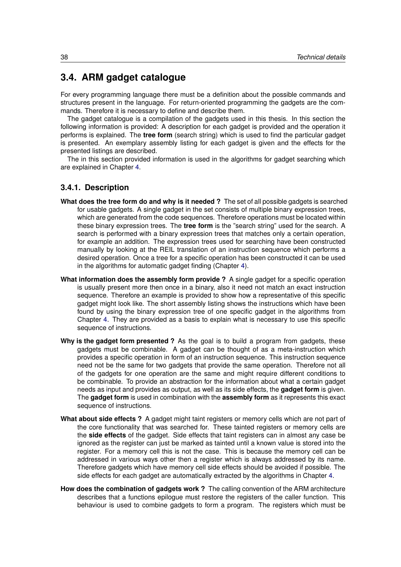# <span id="page-47-0"></span>**3.4. ARM gadget catalogue**

For every programming language there must be a definition about the possible commands and structures present in the language. For return-oriented programming the gadgets are the commands. Therefore it is necessary to define and describe them.

The gadget catalogue is a compilation of the gadgets used in this thesis. In this section the following information is provided: A description for each gadget is provided and the operation it performs is explained. The **tree form** (search string) which is used to find the particular gadget is presented. An exemplary assembly listing for each gadget is given and the effects for the presented listings are described.

The in this section provided information is used in the algorithms for gadget searching which are explained in Chapter [4.](#page-70-0)

## **3.4.1. Description**

- **What does the tree form do and why is it needed ?** The set of all possible gadgets is searched for usable gadgets. A single gadget in the set consists of multiple binary expression trees, which are generated from the code sequences. Therefore operations must be located within these binary expression trees. The **tree form** is the "search string" used for the search. A search is performed with a binary expression trees that matches only a certain operation, for example an addition. The expression trees used for searching have been constructed manually by looking at the REIL translation of an instruction sequence which performs a desired operation. Once a tree for a specific operation has been constructed it can be used in the algorithms for automatic gadget finding (Chapter [4\)](#page-70-0).
- **What information does the assembly form provide ?** A single gadget for a specific operation is usually present more then once in a binary, also it need not match an exact instruction sequence. Therefore an example is provided to show how a representative of this specific gadget might look like. The short assembly listing shows the instructions which have been found by using the binary expression tree of one specific gadget in the algorithms from Chapter [4.](#page-70-0) They are provided as a basis to explain what is necessary to use this specific sequence of instructions.
- **Why is the gadget form presented ?** As the goal is to build a program from gadgets, these gadgets must be combinable. A gadget can be thought of as a meta-instruction which provides a specific operation in form of an instruction sequence. This instruction sequence need not be the same for two gadgets that provide the same operation. Therefore not all of the gadgets for one operation are the same and might require different conditions to be combinable. To provide an abstraction for the information about what a certain gadget needs as input and provides as output, as well as its side effects, the **gadget form** is given. The **gadget form** is used in combination with the **assembly form** as it represents this exact sequence of instructions.
- **What about side effects ?** A gadget might taint registers or memory cells which are not part of the core functionality that was searched for. These tainted registers or memory cells are the **side effects** of the gadget. Side effects that taint registers can in almost any case be ignored as the register can just be marked as tainted until a known value is stored into the register. For a memory cell this is not the case. This is because the memory cell can be addressed in various ways other then a register which is always addressed by its name. Therefore gadgets which have memory cell side effects should be avoided if possible. The side effects for each gadget are automatically extracted by the algorithms in Chapter [4.](#page-70-0)
- **How does the combination of gadgets work ?** The calling convention of the ARM architecture describes that a functions epilogue must restore the registers of the caller function. This behaviour is used to combine gadgets to form a program. The registers which must be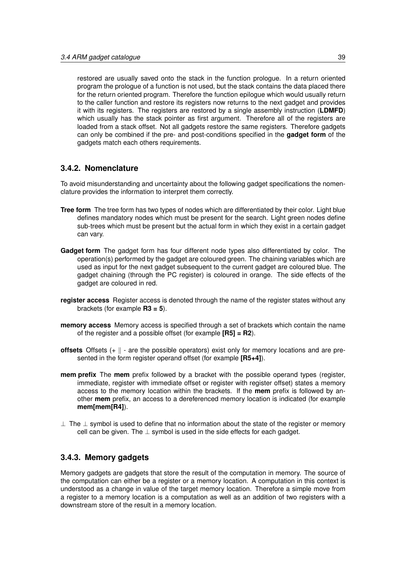restored are usually saved onto the stack in the function prologue. In a return oriented program the prologue of a function is not used, but the stack contains the data placed there for the return oriented program. Therefore the function epilogue which would usually return to the caller function and restore its registers now returns to the next gadget and provides it with its registers. The registers are restored by a single assembly instruction (**LDMFD**) which usually has the stack pointer as first argument. Therefore all of the registers are loaded from a stack offset. Not all gadgets restore the same registers. Therefore gadgets can only be combined if the pre- and post-conditions specified in the **gadget form** of the gadgets match each others requirements.

## **3.4.2. Nomenclature**

To avoid misunderstanding and uncertainty about the following gadget specifications the nomenclature provides the information to interpret them correctly.

- **Tree form** The tree form has two types of nodes which are differentiated by their color. Light blue defines mandatory nodes which must be present for the search. Light green nodes define sub-trees which must be present but the actual form in which they exist in a certain gadget can vary.
- **Gadget form** The gadget form has four different node types also differentiated by color. The operation(s) performed by the gadget are coloured green. The chaining variables which are used as input for the next gadget subsequent to the current gadget are coloured blue. The gadget chaining (through the PC register) is coloured in orange. The side effects of the gadget are coloured in red.
- **register access** Register access is denoted through the name of the register states without any brackets (for example **R3 = 5**).
- **memory access** Memory access is specified through a set of brackets which contain the name of the register and a possible offset (for example **[R5] = R2**).
- **offsets** Offsets  $(+ \parallel \text{ are the possible operators})$  exist only for memory locations and are presented in the form register operand offset (for example **[R5+4]**).
- **mem prefix** The **mem** prefix followed by a bracket with the possible operand types (register, immediate, register with immediate offset or register with register offset) states a memory access to the memory location within the brackets. If the **mem** prefix is followed by another **mem** prefix, an access to a dereferenced memory location is indicated (for example **mem[mem[R4]**).
- $⊥$  The  $⊥$  symbol is used to define that no information about the state of the register or memory cell can be given. The  $\perp$  symbol is used in the side effects for each gadget.

## **3.4.3. Memory gadgets**

Memory gadgets are gadgets that store the result of the computation in memory. The source of the computation can either be a register or a memory location. A computation in this context is understood as a change in value of the target memory location. Therefore a simple move from a register to a memory location is a computation as well as an addition of two registers with a downstream store of the result in a memory location.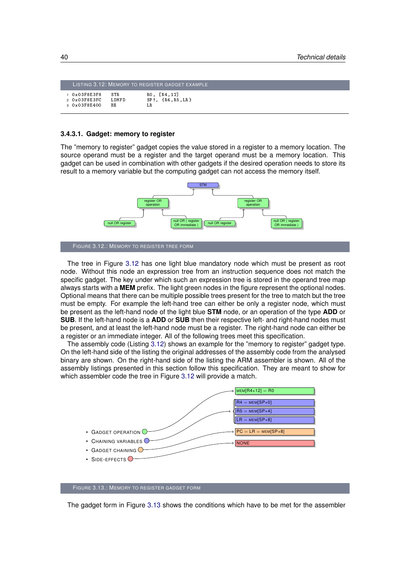<span id="page-49-1"></span>

|                       |           | LISTING 3.12: MEMORY TO REGISTER GADGET EXAMPLE . |
|-----------------------|-----------|---------------------------------------------------|
| 1 0 x 0 3 F 8 E 3 F 8 | ST R      | RO. [R4, 12]                                      |
| 2 0 x 0 3 F 8 E 3 F C | LDMFD     | $SP!,$ $\{R4, R5, LR\}$                           |
| 3 0 x 0 3 F 8 E 4 0 0 | <b>BX</b> | LR                                                |

#### **3.4.3.1. Gadget: memory to register**

The "memory to register" gadget copies the value stored in a register to a memory location. The source operand must be a register and the target operand must be a memory location. This gadget can be used in combination with other gadgets if the desired operation needs to store its result to a memory variable but the computing gadget can not access the memory itself.

<span id="page-49-0"></span>

The tree in Figure [3.12](#page-49-0) has one light blue mandatory node which must be present as root node. Without this node an expression tree from an instruction sequence does not match the specific gadget. The key under which such an expression tree is stored in the operand tree map always starts with a **MEM** prefix. The light green nodes in the figure represent the optional nodes. Optional means that there can be multiple possible trees present for the tree to match but the tree must be empty. For example the left-hand tree can either be only a register node, which must be present as the left-hand node of the light blue **STM** node, or an operation of the type **ADD** or **SUB**. If the left-hand node is a **ADD** or **SUB** then their respective left- and right-hand nodes must be present, and at least the left-hand node must be a register. The right-hand node can either be a register or an immediate integer. All of the following trees meet this specification.

The assembly code (Listing [3.12\)](#page-49-1) shows an example for the "memory to register" gadget type. On the left-hand side of the listing the original addresses of the assembly code from the analysed binary are shown. On the right-hand side of the listing the ARM assembler is shown. All of the assembly listings presented in this section follow this specification. They are meant to show for which assembler code the tree in Figure [3.12](#page-49-0) will provide a match.

<span id="page-49-2"></span>

FIGURE 3.13.: MEMORY TO REGISTER GADGET FORM

The gadget form in Figure [3.13](#page-49-2) shows the conditions which have to be met for the assembler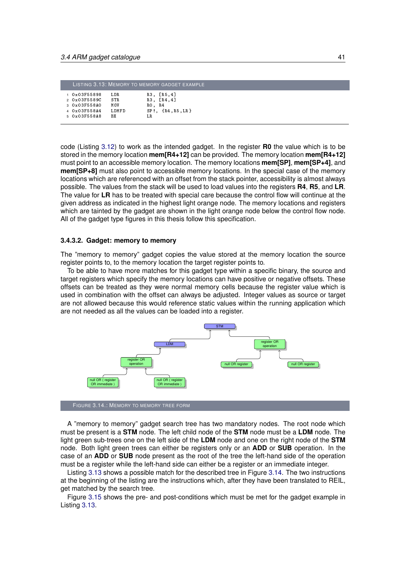<span id="page-50-0"></span>

|                       |       | LISTING 3.13: MEMORY TO MEMORY GADGET EXAMPLE |
|-----------------------|-------|-----------------------------------------------|
| 1 0 x 0 3 F 5 5 8 9 8 | LD R  | R3, [R5, 4]                                   |
| 2 0 x 0 3 F 5 5 8 9 C | STR.  | $R3$ , $[R4, 4]$                              |
| 3 0 x 0 3 F 5 5 8 A 0 | MOV   | RO. R4                                        |
| 4 0 x 0 3 F 5 5 8 A 4 | LDMFD | $SP!, \{R4,R5,LR\}$                           |
| 5 0 x 0 3 F 5 5 8 A 8 | B X   | LR.                                           |
|                       |       |                                               |

code (Listing [3.12\)](#page-49-1) to work as the intended gadget. In the register **R0** the value which is to be stored in the memory location **mem[R4+12]** can be provided. The memory location **mem[R4+12]** must point to an accessible memory location. The memory locations **mem[SP]**, **mem[SP+4]**, and **mem[SP+8]** must also point to accessible memory locations. In the special case of the memory locations which are referenced with an offset from the stack pointer, accessibility is almost always possible. The values from the stack will be used to load values into the registers **R4**, **R5**, and **LR**. The value for **LR** has to be treated with special care because the control flow will continue at the given address as indicated in the highest light orange node. The memory locations and registers which are tainted by the gadget are shown in the light orange node below the control flow node. All of the gadget type figures in this thesis follow this specification.

#### **3.4.3.2. Gadget: memory to memory**

The "memory to memory" gadget copies the value stored at the memory location the source register points to, to the memory location the target register points to.

To be able to have more matches for this gadget type within a specific binary, the source and target registers which specify the memory locations can have positive or negative offsets. These offsets can be treated as they were normal memory cells because the register value which is used in combination with the offset can always be adjusted. Integer values as source or target are not allowed because this would reference static values within the running application which are not needed as all the values can be loaded into a register.

<span id="page-50-1"></span>

FIGURE 3.14.: MEMORY TO MEMORY TREE FORM

A "memory to memory" gadget search tree has two mandatory nodes. The root node which must be present is a **STM** node. The left child node of the **STM** node must be a **LDM** node. The light green sub-trees one on the left side of the **LDM** node and one on the right node of the **STM** node. Both light green trees can either be registers only or an **ADD** or **SUB** operation. In the case of an **ADD** or **SUB** node present as the root of the tree the left-hand side of the operation must be a register while the left-hand side can either be a register or an immediate integer.

Listing [3.13](#page-50-0) shows a possible match for the described tree in Figure [3.14.](#page-50-1) The two instructions at the beginning of the listing are the instructions which, after they have been translated to REIL, get matched by the search tree.

Figure [3.15](#page-51-0) shows the pre- and post-conditions which must be met for the gadget example in Listing [3.13.](#page-50-0)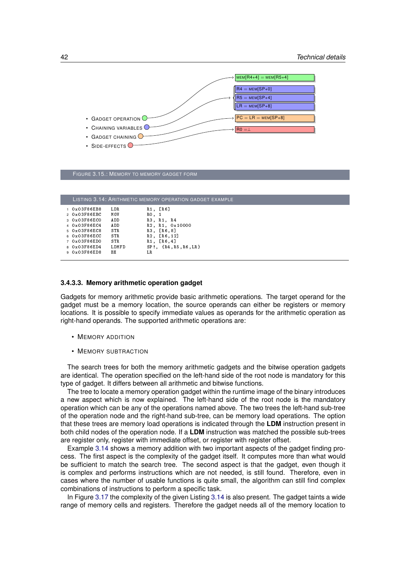<span id="page-51-0"></span>

|  | FIGURE 3.15.: MEMORY TO MEMORY GADGET FORM |  |
|--|--------------------------------------------|--|
|--|--------------------------------------------|--|

<span id="page-51-1"></span>

|                        |       | LISTING 3.14: ARITHMETIC MEMORY OPERATION GADGET EXAMPLE |
|------------------------|-------|----------------------------------------------------------|
| $1.0 \times 03$ F86EB8 | LD R  | $R1$ , $[R6]$                                            |
| 2 0 x 0 3 F 8 6 E B C  | MOV   | RO, 1                                                    |
| 3 0 x 0 3 F 8 6 E C 0  | AD D  | R3, R1, R4                                               |
| 4 0 x 0 3 F 8 6 E C 4  | AD D  | R2, R1, 0x10000                                          |
| 5 0 x 0 3 F 8 6 E C 8  | STR   | R3, [R6,8]                                               |
| 6 0x03F86ECC           | STR   | $R2$ , $[R6, 12]$                                        |
| 7 0 x 0 3 F 8 6 E D 0  | ST R  | R1. [R6, 4]                                              |
| 8 0x03F86ED4           | LDMFD | $SP!, \{R4, R5, R6, LR\}$                                |
| 9 0x03F86ED8           | BX    | LR                                                       |
|                        |       |                                                          |

#### **3.4.3.3. Memory arithmetic operation gadget**

Gadgets for memory arithmetic provide basic arithmetic operations. The target operand for the gadget must be a memory location, the source operands can either be registers or memory locations. It is possible to specify immediate values as operands for the arithmetic operation as right-hand operands. The supported arithmetic operations are:

- MEMORY ADDITION
- MEMORY SUBTRACTION

The search trees for both the memory arithmetic gadgets and the bitwise operation gadgets are identical. The operation specified on the left-hand side of the root node is mandatory for this type of gadget. It differs between all arithmetic and bitwise functions.

The tree to locate a memory operation gadget within the runtime image of the binary introduces a new aspect which is now explained. The left-hand side of the root node is the mandatory operation which can be any of the operations named above. The two trees the left-hand sub-tree of the operation node and the right-hand sub-tree, can be memory load operations. The option that these trees are memory load operations is indicated through the **LDM** instruction present in both child nodes of the operation node. If a **LDM** instruction was matched the possible sub-trees are register only, register with immediate offset, or register with register offset.

Example [3.14](#page-51-1) shows a memory addition with two important aspects of the gadget finding process. The first aspect is the complexity of the gadget itself. It computes more than what would be sufficient to match the search tree. The second aspect is that the gadget, even though it is complex and performs instructions which are not needed, is still found. Therefore, even in cases where the number of usable functions is quite small, the algorithm can still find complex combinations of instructions to perform a specific task.

In Figure [3.17](#page-52-0) the complexity of the given Listing [3.14](#page-51-1) is also present. The gadget taints a wide range of memory cells and registers. Therefore the gadget needs all of the memory location to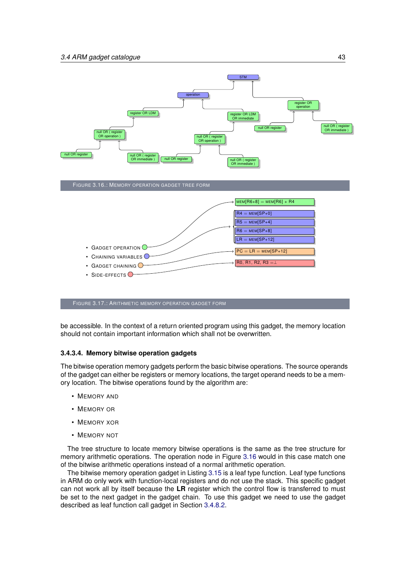<span id="page-52-1"></span>

<span id="page-52-0"></span>FIGURE 3.17.: ARITHMETIC MEMORY OPERATION GADGET FORM

be accessible. In the context of a return oriented program using this gadget, the memory location should not contain important information which shall not be overwritten.

#### **3.4.3.4. Memory bitwise operation gadgets**

The bitwise operation memory gadgets perform the basic bitwise operations. The source operands of the gadget can either be registers or memory locations, the target operand needs to be a memory location. The bitwise operations found by the algorithm are:

- MEMORY AND
- MEMORY OR
- MEMORY XOR
- MEMORY NOT

The tree structure to locate memory bitwise operations is the same as the tree structure for memory arithmetic operations. The operation node in Figure [3.16](#page-52-1) would in this case match one of the bitwise arithmetic operations instead of a normal arithmetic operation.

The bitwise memory operation gadget in Listing [3.15](#page-53-0) is a leaf type function. Leaf type functions in ARM do only work with function-local registers and do not use the stack. This specific gadget can not work all by itself because the **LR** register which the control flow is transferred to must be set to the next gadget in the gadget chain. To use this gadget we need to use the gadget described as leaf function call gadget in Section [3.4.8.2.](#page-67-0)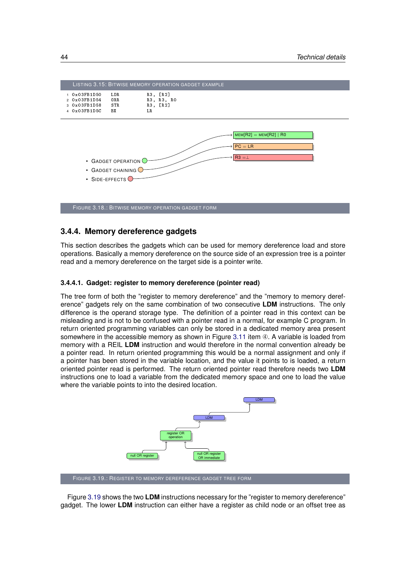<span id="page-53-0"></span>

## **3.4.4. Memory dereference gadgets**

This section describes the gadgets which can be used for memory dereference load and store operations. Basically a memory dereference on the source side of an expression tree is a pointer read and a memory dereference on the target side is a pointer write.

#### **3.4.4.1. Gadget: register to memory dereference (pointer read)**

The tree form of both the "register to memory dereference" and the "memory to memory dereference" gadgets rely on the same combination of two consecutive **LDM** instructions. The only difference is the operand storage type. The definition of a pointer read in this context can be misleading and is not to be confused with a pointer read in a normal, for example C program. In return oriented programming variables can only be stored in a dedicated memory area present somewhere in the accessible memory as shown in Figure [3.11](#page-45-0) item  $\Phi$ . A variable is loaded from memory with a REIL **LDM** instruction and would therefore in the normal convention already be a pointer read. In return oriented programming this would be a normal assignment and only if a pointer has been stored in the variable location, and the value it points to is loaded, a return oriented pointer read is performed. The return oriented pointer read therefore needs two **LDM** instructions one to load a variable from the dedicated memory space and one to load the value where the variable points to into the desired location.

<span id="page-53-1"></span>

FIGURE 3.19.: REGISTER TO MEMORY DEREFERENCE GADGET TREE FORM

Figure [3.19](#page-53-1) shows the two **LDM** instructions necessary for the "register to memory dereference" gadget. The lower **LDM** instruction can either have a register as child node or an offset tree as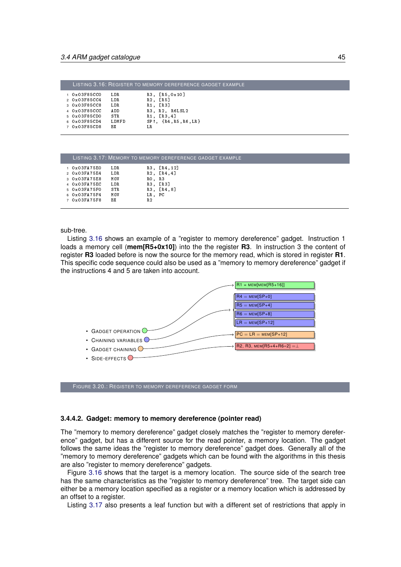<span id="page-54-0"></span>

|                                                                                          |                              | LISTING 3.16: REGISTER TO MEMORY DEREFERENCE GADGET EXAMPLE               |
|------------------------------------------------------------------------------------------|------------------------------|---------------------------------------------------------------------------|
| $1.0 \times 03$ F85CCO<br>2 0 x 0 3 F 8 5 C C 4<br>3 0x03F85CC8<br>4 0 x 0 3 F 8 5 C C C | LD R<br>LD R<br>LDR.<br>AD D | [R5, 0x10]<br>R3.<br>$R2$ , [R5]<br>$R1.$ $[R3]$<br>R3, R2, R6LSL2        |
| 5 0x03F85CD0<br>6 0x03F85CD4<br>7 0x03F85CD8                                             | STR.<br>LDMFD<br>BX          | R <sub>1</sub> , [R <sub>3</sub> , 4]<br>$SP!, \{R4, R5, R6, LR\}$<br>LR. |

<span id="page-54-1"></span>

|                               |            |                | LISTING 3.17: MEMORY TO MEMORY DEREFERENCE GADGET EXAMPLE |  |
|-------------------------------|------------|----------------|-----------------------------------------------------------|--|
| 1 0x03FA75E0                  | LD R       |                | R3, [R4, 12]                                              |  |
| $2 \times 0 \times 03$ FA75E4 | LDR.       |                | $R2$ , $[R4, 4]$                                          |  |
| 3 0x03FA75E8                  | MOV        | $RO$ , $R3$    |                                                           |  |
| 4 0 x 0 3 F A 7 5 E C         | LDR.       |                | R3, [R3]                                                  |  |
| 5 0 x 0 3 F A 7 5 F 0         | <b>STR</b> |                | R3, [R4,8]                                                |  |
| 6 0x03FA75F4                  | MOV        | LR, PC         |                                                           |  |
| 7 0x03FA75F8                  | ВX         | R <sub>2</sub> |                                                           |  |
|                               |            |                |                                                           |  |

sub-tree.

Listing [3.16](#page-54-0) shows an example of a "register to memory dereference" gadget. Instruction 1 loads a memory cell (**mem[R5+0x10]**) into the the register **R3**. In instruction 3 the content of register **R3** loaded before is now the source for the memory read, which is stored in register **R1**. This specific code sequence could also be used as a "memory to memory dereference" gadget if the instructions 4 and 5 are taken into account.



FIGURE 3.20.: REGISTER TO MEMORY DEREFERENCE GADGET FORM

#### **3.4.4.2. Gadget: memory to memory dereference (pointer read)**

The "memory to memory dereference" gadget closely matches the "register to memory dereference" gadget, but has a different source for the read pointer, a memory location. The gadget follows the same ideas the "register to memory dereference" gadget does. Generally all of the "memory to memory dereference" gadgets which can be found with the algorithms in this thesis are also "register to memory dereference" gadgets.

Figure [3.16](#page-54-0) shows that the target is a memory location. The source side of the search tree has the same characteristics as the "register to memory dereference" tree. The target side can either be a memory location specified as a register or a memory location which is addressed by an offset to a register.

Listing [3.17](#page-54-1) also presents a leaf function but with a different set of restrictions that apply in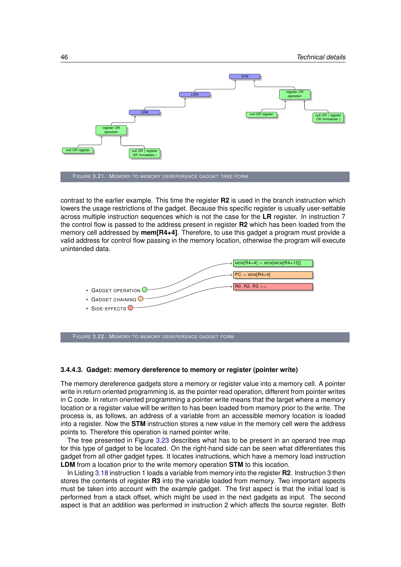

contrast to the earlier example. This time the register **R2** is used in the branch instruction which lowers the usage restrictions of the gadget. Because this specific register is usually user-settable across multiple instruction sequences which is not the case for the **LR** register. In instruction 7 the control flow is passed to the address present in register **R2** which has been loaded from the memory cell addressed by **mem[R4+4]**. Therefore, to use this gadget a program must provide a valid address for control flow passing in the memory location, otherwise the program will execute unintended data.



FIGURE 3.22.: MEMORY TO MEMORY DEREFERENCE GADGET FORM

#### **3.4.4.3. Gadget: memory dereference to memory or register (pointer write)**

The memory dereference gadgets store a memory or register value into a memory cell. A pointer write in return oriented programming is, as the pointer read operation, different from pointer writes in C code. In return oriented programming a pointer write means that the target where a memory location or a register value will be written to has been loaded from memory prior to the write. The process is, as follows, an address of a variable from an accessible memory location is loaded into a register. Now the **STM** instruction stores a new value in the memory cell were the address points to. Therefore this operation is named pointer write.

The tree presented in Figure [3.23](#page-56-0) describes what has to be present in an operand tree map for this type of gadget to be located. On the right-hand side can be seen what differentiates this gadget from all other gadget types. It locates instructions, which have a memory load instruction **LDM** from a location prior to the write memory operation **STM** to this location.

In Listing [3.18](#page-56-1) instruction 1 loads a variable from memory into the register **R2**. Instruction 3 then stores the contents of register **R3** into the variable loaded from memory. Two important aspects must be taken into account with the example gadget. The first aspect is that the initial load is performed from a stack offset, which might be used in the next gadgets as input. The second aspect is that an addition was performed in instruction 2 which affects the source register. Both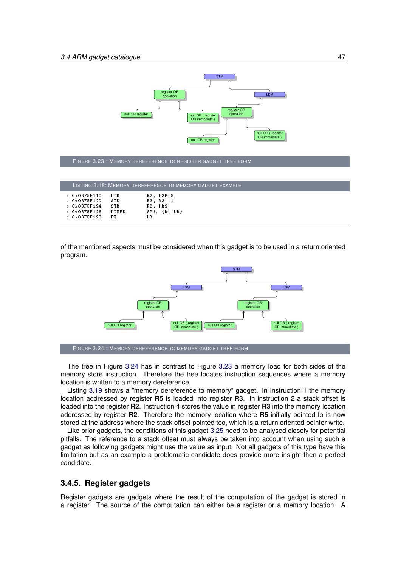<span id="page-56-0"></span>

FIGURE 3.23.: MEMORY DEREFERENCE TO REGISTER GADGET TREE FORM

<span id="page-56-1"></span>

|                                  |       | LISTING 3.18: MEMORY DEREFERENCE TO MEMORY GADGET EXAMPLE |
|----------------------------------|-------|-----------------------------------------------------------|
| $1.0 \times 0.3$ F $5$ F $1.1$ C | LDR.  | R2, [SP,8]                                                |
| 2 0 x 0 3 F 5 F 1 2 0            | AD D  | R3, R3, 1                                                 |
| 3 0 x 0 3 F 5 F 1 2 4            | STR   | $R3.$ $[R2]$                                              |
| 4 0 x 0 3 F 5 F 1 2 8            | LDMFD | $SP: \{R4, LR\}$                                          |
| 5 0 x 0 3 F 5 F 1 2 C            | R X   | LR.                                                       |

<span id="page-56-2"></span>of the mentioned aspects must be considered when this gadget is to be used in a return oriented program.



FIGURE 3.24.: MEMORY DEREFERENCE TO MEMORY GADGET TREE FORM

The tree in Figure [3.24](#page-56-2) has in contrast to Figure [3.23](#page-56-0) a memory load for both sides of the memory store instruction. Therefore the tree locates instruction sequences where a memory location is written to a memory dereference.

Listing [3.19](#page-57-0) shows a "memory dereference to memory" gadget. In Instruction 1 the memory location addressed by register **R5** is loaded into register **R3**. In instruction 2 a stack offset is loaded into the register **R2**. Instruction 4 stores the value in register **R3** into the memory location addressed by register **R2**. Therefore the memory location where **R5** initially pointed to is now stored at the address where the stack offset pointed too, which is a return oriented pointer write.

Like prior gadgets, the conditions of this gadget [3.25](#page-57-1) need to be analysed closely for potential pitfalls. The reference to a stack offset must always be taken into account when using such a gadget as following gadgets might use the value as input. Not all gadgets of this type have this limitation but as an example a problematic candidate does provide more insight then a perfect candidate.

## **3.4.5. Register gadgets**

Register gadgets are gadgets where the result of the computation of the gadget is stored in a register. The source of the computation can either be a register or a memory location. A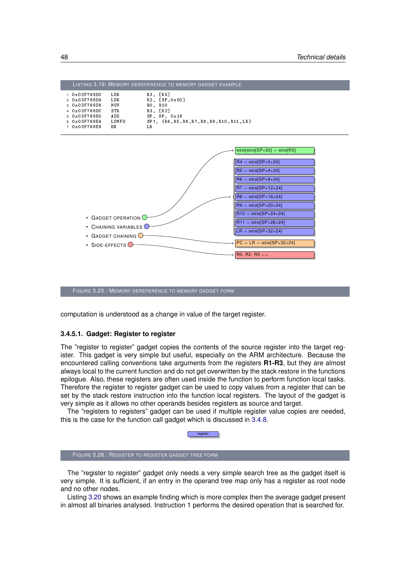<span id="page-57-0"></span>

|              |            |         | LISTING 3.19: MEMORY DEREFERENCE TO MEMORY GADGET EXAMPLE |
|--------------|------------|---------|-----------------------------------------------------------|
| 1 0x03F768D0 | LD R       |         | R3, [R5]                                                  |
| 2 0x03F768D4 | LD R       |         | R2, [SP, 0x50]                                            |
| 3 0x03F768D8 | MOV        | RO, R10 |                                                           |
| 4 0x03F768DC | <b>STR</b> |         | R3. [R2]                                                  |
| 5 0x03F768E0 | AD D       |         | $SP$ , $SP$ , $0x18$                                      |
| 6 0x03F768E4 | LDMFD      |         | SP!, {R4, R5, R6, R7, R8, R9, R10, R11, LR}               |
| 7 0x03F768E8 | RХ         | LR.     |                                                           |

<span id="page-57-1"></span>

FIGURE 3.25.: MEMORY DEREFERENCE TO MEMORY GADGET FORM

computation is understood as a change in value of the target register.

#### **3.4.5.1. Gadget: Register to register**

The "register to register" gadget copies the contents of the source register into the target register. This gadget is very simple but useful, especially on the ARM architecture. Because the encountered calling conventions take arguments from the registers **R1-R3**, but they are almost always local to the current function and do not get overwritten by the stack restore in the functions epilogue. Also, these registers are often used inside the function to perform function local tasks. Therefore the register to register gadget can be used to copy values from a register that can be set by the stack restore instruction into the function local registers. The layout of the gadget is very simple as it allows no other operands besides registers as source and target.

The "registers to registers" gadget can be used if multiple register value copies are needed, this is the case for the function call gadget which is discussed in [3.4.8.](#page-66-0)



The "register to register" gadget only needs a very simple search tree as the gadget itself is very simple. It is sufficient, if an entry in the operand tree map only has a register as root node and no other nodes.

Listing [3.20](#page-58-0) shows an example finding which is more complex then the average gadget present in almost all binaries analysed. Instruction 1 performs the desired operation that is searched for.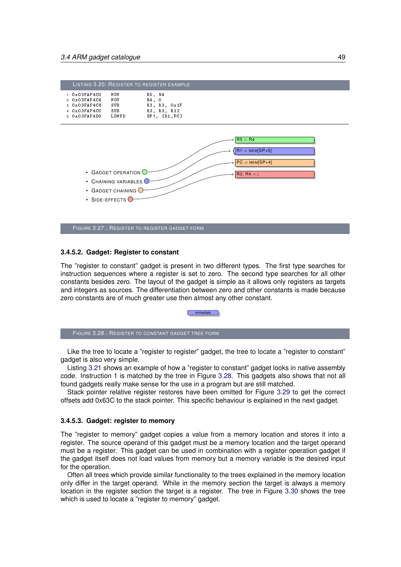<span id="page-58-0"></span>

|                                   |       | LISTING 3.20: REGISTER TO REGISTER EXAMPLE |  |
|-----------------------------------|-------|--------------------------------------------|--|
| $1.0 \times 0.3$ F AF 4 CO        | MOV   | R5, R4                                     |  |
| $2 \times 0 \times 03$ F AF 4 C 4 | MOV   | R4. 0                                      |  |
| 3.0x03FAF4C8                      | SUB   | R3, R3, Ox1F                               |  |
| 40x03FAF4CC                       | SUB   | R3, R3, R12                                |  |
| 5.0x03FAF4D0                      | LDMFD | $SP!$ . $\{R1, PC\}$                       |  |



FIGURE 3.27.: REGISTER TO REGISTER GADGET FORM

#### **3.4.5.2. Gadget: Register to constant**

The "register to constant" gadget is present in two different types. The first type searches for instruction sequences where a register is set to zero. The second type searches for all other constants besides zero. The layout of the gadget is simple as it allows only registers as targets and integers as sources. The differentiation between zero and other constants is made because zero constants are of much greater use then almost any other constant.

immediate

<span id="page-58-1"></span>FIGURE 3.28.: REGISTER TO CONSTANT GADGET TREE FORM

Like the tree to locate a "register to register" gadget, the tree to locate a "register to constant" gadget is also very simple.

Listing [3.21](#page-59-0) shows an example of how a "register to constant" gadget looks in native assembly code. Instruction 1 is matched by the tree in Figure [3.28.](#page-58-1) This gadgets also shows that not all found gadgets really make sense for the use in a program but are still matched.

Stack pointer relative register restores have been omitted for Figure [3.29](#page-59-1) to get the correct offsets add 0x63C to the stack pointer. This specific behaviour is explained in the next gadget.

#### **3.4.5.3. Gadget: register to memory**

The "register to memory" gadget copies a value from a memory location and stores it into a register. The source operand of this gadget must be a memory location and the target operand must be a register. This gadget can be used in combination with a register operation gadget if the gadget itself does not load values from memory but a memory variable is the desired input for the operation.

<span id="page-58-2"></span>Often all trees which provide similar functionality to the trees explained in the memory location only differ in the target operand. While in the memory section the target is always a memory location in the register section the target is a register. The tree in Figure [3.30](#page-59-2) shows the tree which is used to locate a "register to memory" gadget.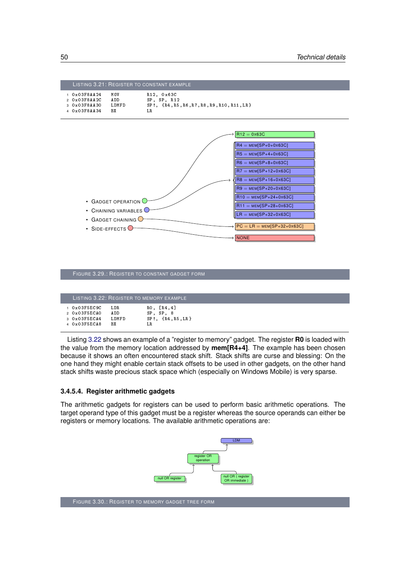<span id="page-59-1"></span><span id="page-59-0"></span>

|  |  |  | FIGURE 3.29.: REGISTER TO CONSTANT GADGET FORM |
|--|--|--|------------------------------------------------|
|--|--|--|------------------------------------------------|

|                         |       | LISTING 3.22: REGISTER TO MEMORY EXAMPLE |
|-------------------------|-------|------------------------------------------|
| $1.0 \times 03$ F5EC9C  | LD R  | $RO$ , $[R4, 4]$                         |
| $2.0 \times 0.3$ F5ECAO | AD D  | $SP$ , $SP$ , $8$                        |
| 3 0 x 0 3 F 5 E C A 4   | LDMFD | $SP!,$ $\{R4, R5, LR\}$                  |
| 4 0 x 0 3 F 5 E C A 8   | ВX    | T.R.                                     |

Listing [3.22](#page-58-2) shows an example of a "register to memory" gadget. The register **R0** is loaded with the value from the memory location addressed by **mem[R4+4]**. The example has been chosen because it shows an often encountered stack shift. Stack shifts are curse and blessing: On the one hand they might enable certain stack offsets to be used in other gadgets, on the other hand stack shifts waste precious stack space which (especially on Windows Mobile) is very sparse.

#### <span id="page-59-3"></span>**3.4.5.4. Register arithmetic gadgets**

<span id="page-59-2"></span>The arithmetic gadgets for registers can be used to perform basic arithmetic operations. The target operand type of this gadget must be a register whereas the source operands can either be registers or memory locations. The available arithmetic operations are:

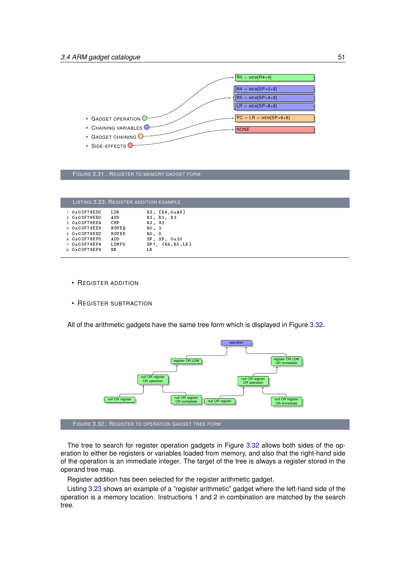

FIGURE 3.31.: REGISTER TO MEMORY GADGET FORM

<span id="page-60-1"></span>

| LISTING 3.23: REGISTER ADDITION EXAMPLE |            |                         |  |  |  |
|-----------------------------------------|------------|-------------------------|--|--|--|
| $1$ $0x03F79EDC$                        | LD R       | R3, [R4, 0 x A 8]       |  |  |  |
| 2 0 x 0 3 F 7 9 E E 0                   | AD D       | R3, R1, R3              |  |  |  |
| 3 0 x 0 3 F 7 9 E E 4                   | <b>CMP</b> | R3, R2                  |  |  |  |
| 4 0x03F79EE8                            | MOVEO      | RO, 2                   |  |  |  |
| 5 0x03F79EEC                            | MOVNE      | RO, O                   |  |  |  |
| 6 0x03F79EF0                            | AD D       | $SP$ , $SP$ , $0x10$    |  |  |  |
| 7 0 x 0 3 F 7 9 E F 4                   | LDMFD      | $SP!,$ $\{R4, R5, LR\}$ |  |  |  |
| 8 0 x 0 3 F 7 9 E F 8                   | ВX         | LR.                     |  |  |  |

- REGISTER ADDITION
- REGISTER SUBTRACTION

All of the arithmetic gadgets have the same tree form which is displayed in Figure [3.32.](#page-60-0)

<span id="page-60-0"></span>

The tree to search for register operation gadgets in Figure [3.32](#page-60-0) allows both sides of the operation to either be registers or variables loaded from memory, and also that the right-hand side of the operation is an immediate integer. The target of the tree is always a register stored in the operand tree map.

Register addition has been selected for the register arithmetic gadget.

Listing [3.23](#page-60-1) shows an example of a "register arithmetic" gadget where the left-hand side of the operation is a memory location. Instructions 1 and 2 in combination are matched by the search tree.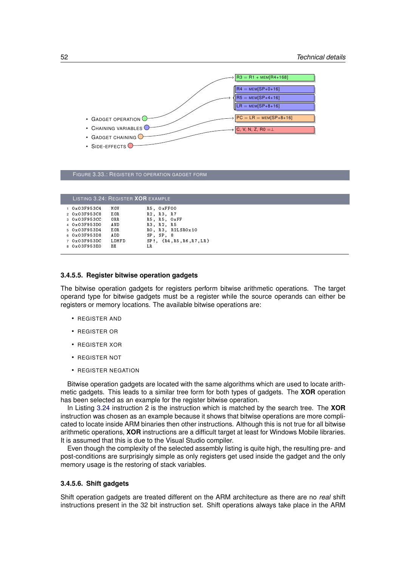

| FIGURE 3.33.: REGISTER TO OPERATION GADGET FORM |  |
|-------------------------------------------------|--|
|-------------------------------------------------|--|

<span id="page-61-0"></span>

| LISTING 3.24: REGISTER <b>XOR</b> EXAMPLE |        |                                |
|-------------------------------------------|--------|--------------------------------|
| $1.0 \times 03$ F953C4                    | MOV    | R5. OxFF00                     |
| 2 0 x 0 3 F 9 5 3 C 8                     | E O R  | R2, R3, R7                     |
| 3 0x03F953CC                              | $0R$ R | R5, R5, OxFF                   |
| 4 0 x 0 3 F 9 5 3 D 0                     | AN D   | R3, R2, R5                     |
| 5 0 x 0 3 F 9 5 3 D 4                     | E O R  | RO, R3, R2LSR0x10              |
| 6 0x03F953D8                              | AD D   | SP. SP. 8                      |
| 7 0x03F953DC                              | LDMFD  | ${R4, R5, R6, R7, LR}$<br>SP!. |
| 8 0x03F953E0                              | ВX     | LR                             |
|                                           |        |                                |

#### <span id="page-61-1"></span>**3.4.5.5. Register bitwise operation gadgets**

The bitwise operation gadgets for registers perform bitwise arithmetic operations. The target operand type for bitwise gadgets must be a register while the source operands can either be registers or memory locations. The available bitwise operations are:

- REGISTER AND
- REGISTER OR
- REGISTER XOR
- REGISTER NOT
- REGISTER NEGATION

Bitwise operation gadgets are located with the same algorithms which are used to locate arithmetic gadgets. This leads to a similar tree form for both types of gadgets. The **XOR** operation has been selected as an example for the register bitwise operation.

In Listing [3.24](#page-61-0) instruction 2 is the instruction which is matched by the search tree. The **XOR** instruction was chosen as an example because it shows that bitwise operations are more complicated to locate inside ARM binaries then other instructions. Although this is not true for all bitwise arithmetic operations, **XOR** instructions are a difficult target at least for Windows Mobile libraries. It is assumed that this is due to the Visual Studio compiler.

Even though the complexity of the selected assembly listing is quite high, the resulting pre- and post-conditions are surprisingly simple as only registers get used inside the gadget and the only memory usage is the restoring of stack variables.

#### **3.4.5.6. Shift gadgets**

Shift operation gadgets are treated different on the ARM architecture as there are no *real* shift instructions present in the 32 bit instruction set. Shift operations always take place in the ARM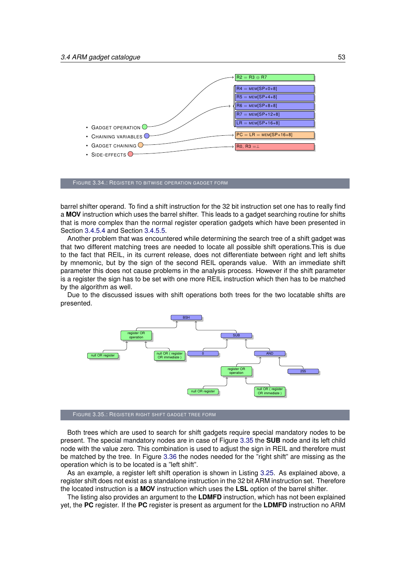

FIGURE 3.34.: REGISTER TO BITWISE OPERATION GADGET FORM

barrel shifter operand. To find a shift instruction for the 32 bit instruction set one has to really find a **MOV** instruction which uses the barrel shifter. This leads to a gadget searching routine for shifts that is more complex than the normal register operation gadgets which have been presented in Section [3.4.5.4](#page-59-3) and Section [3.4.5.5.](#page-61-1)

Another problem that was encountered while determining the search tree of a shift gadget was that two different matching trees are needed to locate all possible shift operations.This is due to the fact that REIL, in its current release, does not differentiate between right and left shifts by mnemonic, but by the sign of the second REIL operands value. With an immediate shift parameter this does not cause problems in the analysis process. However if the shift parameter is a register the sign has to be set with one more REIL instruction which then has to be matched by the algorithm as well.

<span id="page-62-0"></span>Due to the discussed issues with shift operations both trees for the two locatable shifts are presented.



FIGURE 3.35.: REGISTER RIGHT SHIFT GADGET TREE FORM

Both trees which are used to search for shift gadgets require special mandatory nodes to be present. The special mandatory nodes are in case of Figure [3.35](#page-62-0) the **SUB** node and its left child node with the value zero. This combination is used to adjust the sign in REIL and therefore must be matched by the tree. In Figure [3.36](#page-63-0) the nodes needed for the "right shift" are missing as the operation which is to be located is a "left shift".

As an example, a register left shift operation is shown in Listing [3.25.](#page-63-1) As explained above, a register shift does not exist as a standalone instruction in the 32 bit ARM instruction set. Therefore the located instruction is a **MOV** instruction which uses the **LSL** option of the barrel shifter.

The listing also provides an argument to the **LDMFD** instruction, which has not been explained yet, the **PC** register. If the **PC** register is present as argument for the **LDMFD** instruction no ARM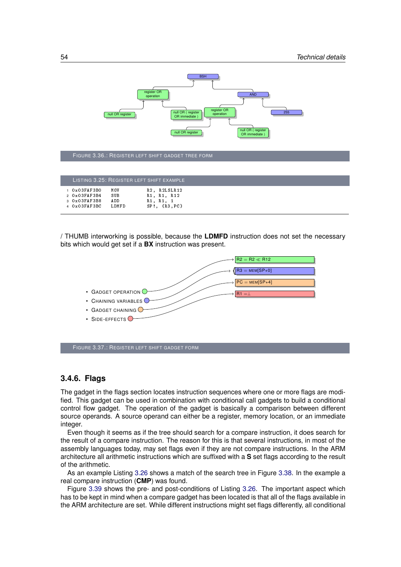<span id="page-63-0"></span>

FIGURE 3.36.: REGISTER LEFT SHIFT GADGET TREE FORM

<span id="page-63-1"></span>

|                                              |             | LISTING 3.25: REGISTER LEFT SHIFT EXAMPLE |
|----------------------------------------------|-------------|-------------------------------------------|
| $0 \times 03$ FAF3BO<br>2 0 x 0 3 F AF 3 B 4 | MOV<br>SU B | R2. R2LSLR12<br>R1, R1, R12               |
| 3 0 x 0 3 F AF 3 B 8                         | AD D        | R1, R1, 1                                 |
| $4.0 \times 03$ FAF3BC                       | LDMFD       | $SP!, \{R3, PC\}$                         |

/ THUMB interworking is possible, because the **LDMFD** instruction does not set the necessary bits which would get set if a **BX** instruction was present.



FIGURE 3.37.: REGISTER LEFT SHIFT GADGET FORM

## **3.4.6. Flags**

The gadget in the flags section locates instruction sequences where one or more flags are modified. This gadget can be used in combination with conditional call gadgets to build a conditional control flow gadget. The operation of the gadget is basically a comparison between different source operands. A source operand can either be a register, memory location, or an immediate integer.

Even though it seems as if the tree should search for a compare instruction, it does search for the result of a compare instruction. The reason for this is that several instructions, in most of the assembly languages today, may set flags even if they are not compare instructions. In the ARM architecture all arithmetic instructions which are suffixed with a **S** set flags according to the result of the arithmetic.

As an example Listing [3.26](#page-64-0) shows a match of the search tree in Figure [3.38.](#page-64-1) In the example a real compare instruction (**CMP**) was found.

Figure [3.39](#page-64-2) shows the pre- and post-conditions of Listing [3.26.](#page-64-0) The important aspect which has to be kept in mind when a compare gadget has been located is that all of the flags available in the ARM architecture are set. While different instructions might set flags differently, all conditional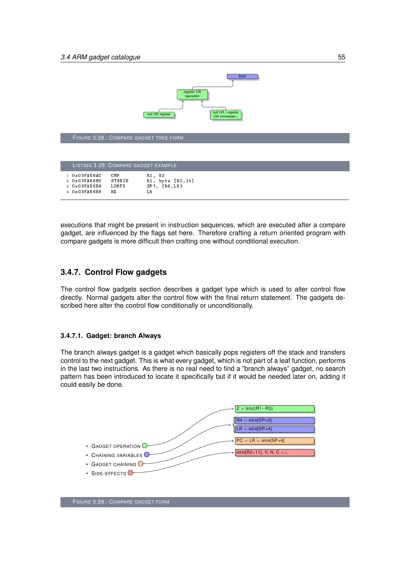

<span id="page-64-1"></span>FIGURE 3.38.: COMPARE GADGET TREE FORM

<span id="page-64-0"></span>

| LISTING 3.26: COMPARE GADGET EXAMPLE |                              |        |                   |
|--------------------------------------|------------------------------|--------|-------------------|
|                                      | $1.0 \times 0.3$ F A E 6 A C | CM P   | R1, R3            |
|                                      | 20x03FAB6BO                  | STRHIB | R1, byte [R2,11]  |
|                                      | 3 0 x 0 3 F A E 6 B 4        | LDMFD  | $SP!, \{R4, LR\}$ |
|                                      | 4 0 x 0 3 F A E 6 B 8        | ВX     | LR.               |
|                                      |                              |        |                   |

executions that might be present in instruction sequences, which are executed after a compare gadget, are influenced by the flags set here. Therefore crafting a return oriented program with compare gadgets is more difficult then crafting one without conditional execution.

# **3.4.7. Control Flow gadgets**

The control flow gadgets section describes a gadget type which is used to alter control flow directly. Normal gadgets alter the control flow with the final return statement. The gadgets described here alter the control flow conditionally or unconditionally.

## **3.4.7.1. Gadget: branch Always**

The branch always gadget is a gadget which basically pops registers off the stack and transfers control to the next gadget. This is what every gadget, which is not part of a leaf function, performs in the last two instructions. As there is no real need to find a "branch always" gadget, no search pattern has been introduced to locate it specifically but if it would be needed later on, adding it could easily be done.

<span id="page-64-2"></span>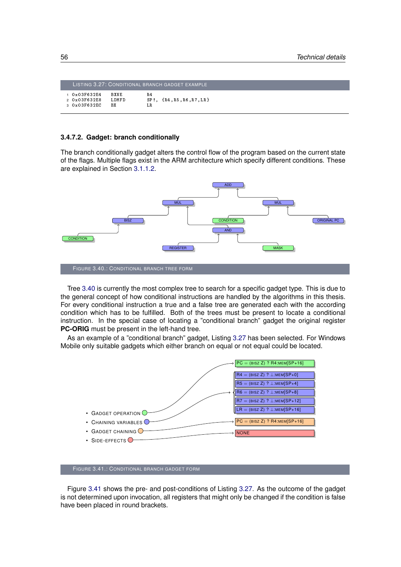<span id="page-65-1"></span>

|              |             | LISTING 3.27: CONDITIONAL BRANCH GADGET EXAMPLE |
|--------------|-------------|-------------------------------------------------|
| 10x03F632E4  | <b>BXNE</b> | <b>R4</b>                                       |
| 2 0x03F632E8 | LDMFD       | $SP!, \{R4, R5, R6, R7, LR\}$                   |
| 3 0x03F632EC | R X         | LR.                                             |

#### <span id="page-65-3"></span>**3.4.7.2. Gadget: branch conditionally**

The branch conditionally gadget alters the control flow of the program based on the current state of the flags. Multiple flags exist in the ARM architecture which specify different conditions. These are explained in Section [3.1.1.2.](#page-23-0)

<span id="page-65-0"></span>

Tree [3.40](#page-65-0) is currently the most complex tree to search for a specific gadget type. This is due to the general concept of how conditional instructions are handled by the algorithms in this thesis. For every conditional instruction a true and a false tree are generated each with the according condition which has to be fulfilled. Both of the trees must be present to locate a conditional instruction. In the special case of locating a "conditional branch" gadget the original register **PC-ORIG** must be present in the left-hand tree.

As an example of a "conditional branch" gadget, Listing [3.27](#page-65-1) has been selected. For Windows Mobile only suitable gadgets which either branch on equal or not equal could be located.

<span id="page-65-2"></span>

FIGURE 3.41.: CONDITIONAL BRANCH GADGET FORM

Figure [3.41](#page-65-2) shows the pre- and post-conditions of Listing [3.27.](#page-65-1) As the outcome of the gadget is not determined upon invocation, all registers that might only be changed if the condition is false have been placed in round brackets.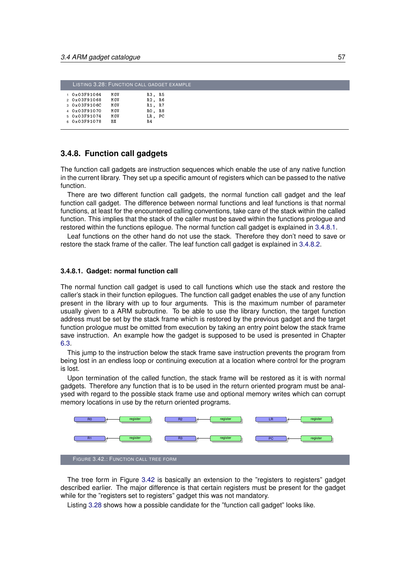<span id="page-66-3"></span>

|   |                      |     | LISTING 3.28: FUNCTION CALL GADGET EXAMPLE |
|---|----------------------|-----|--------------------------------------------|
|   | $0 \times 03$ F91064 | MOV | R3. R5                                     |
|   | 2 0x03F91068         | MOV | R2. R6                                     |
|   | 3 0x03F9106C         | MOV | R1. R7                                     |
|   | 4 0x03F91070         | MOV | RO. R8                                     |
|   | 5 0x03F91074         | MOV | LR, PC                                     |
| 6 | $0 \times 03F91078$  | ВX  | R4                                         |

## <span id="page-66-0"></span>**3.4.8. Function call gadgets**

The function call gadgets are instruction sequences which enable the use of any native function in the current library. They set up a specific amount of registers which can be passed to the native function.

There are two different function call gadgets, the normal function call gadget and the leaf function call gadget. The difference between normal functions and leaf functions is that normal functions, at least for the encountered calling conventions, take care of the stack within the called function. This implies that the stack of the caller must be saved within the functions prologue and restored within the functions epilogue. The normal function call gadget is explained in [3.4.8.1.](#page-66-1)

Leaf functions on the other hand do not use the stack. Therefore they don't need to save or restore the stack frame of the caller. The leaf function call gadget is explained in [3.4.8.2.](#page-67-0)

#### <span id="page-66-1"></span>**3.4.8.1. Gadget: normal function call**

The normal function call gadget is used to call functions which use the stack and restore the caller's stack in their function epilogues. The function call gadget enables the use of any function present in the library with up to four arguments. This is the maximum number of parameter usually given to a ARM subroutine. To be able to use the library function, the target function address must be set by the stack frame which is restored by the previous gadget and the target function prologue must be omitted from execution by taking an entry point below the stack frame save instruction. An example how the gadget is supposed to be used is presented in Chapter [6.3.](#page-92-0)

This jump to the instruction below the stack frame save instruction prevents the program from being lost in an endless loop or continuing execution at a location where control for the program is lost.

Upon termination of the called function, the stack frame will be restored as it is with normal gadgets. Therefore any function that is to be used in the return oriented program must be analysed with regard to the possible stack frame use and optional memory writes which can corrupt memory locations in use by the return oriented programs.

<span id="page-66-2"></span>

The tree form in Figure [3.42](#page-66-2) is basically an extension to the "registers to registers" gadget described earlier. The major difference is that certain registers must be present for the gadget while for the "registers set to registers" gadget this was not mandatory.

Listing [3.28](#page-66-3) shows how a possible candidate for the "function call gadget" looks like.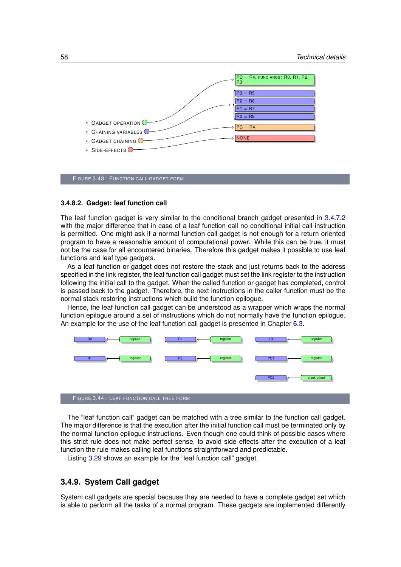

FIGURE 3.43.: FUNCTION CALL GADGET FORM

#### <span id="page-67-0"></span>**3.4.8.2. Gadget: leaf function call**

The leaf function gadget is very similar to the conditional branch gadget presented in [3.4.7.2](#page-65-3) with the major difference that in case of a leaf function call no conditional initial call instruction is permitted. One might ask if a normal function call gadget is not enough for a return oriented program to have a reasonable amount of computational power. While this can be true, it must not be the case for all encountered binaries. Therefore this gadget makes it possible to use leaf functions and leaf type gadgets.

As a leaf function or gadget does not restore the stack and just returns back to the address specified in the link register, the leaf function call gadget must set the link register to the instruction following the initial call to the gadget. When the called function or gadget has completed, control is passed back to the gadget. Therefore, the next instructions in the caller function must be the normal stack restoring instructions which build the function epilogue.

Hence, the leaf function call gadget can be understood as a wrapper which wraps the normal function epilogue around a set of instructions which do not normally have the function epilogue. An example for the use of the leaf function call gadget is presented in Chapter [6.3.](#page-92-0)



The "leaf function call" gadget can be matched with a tree similar to the function call gadget. The major difference is that the execution after the initial function call must be terminated only by the normal function epilogue instructions. Even though one could think of possible cases where this strict rule does not make perfect sense, to avoid side effects after the execution of a leaf function the rule makes calling leaf functions straightforward and predictable.

Listing [3.29](#page-68-0) shows an example for the "leaf function call" gadget.

## **3.4.9. System Call gadget**

System call gadgets are special because they are needed to have a complete gadget set which is able to perform all the tasks of a normal program. These gadgets are implemented differently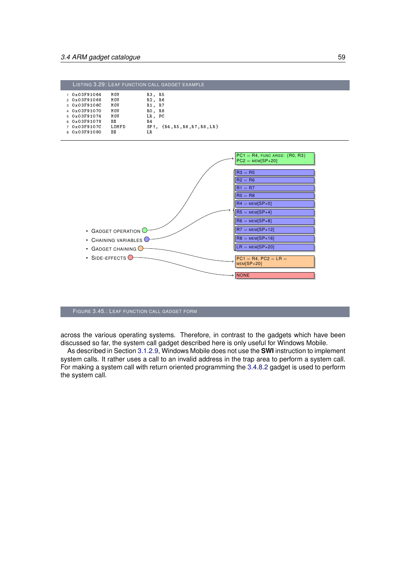<span id="page-68-0"></span>

|              |           | LISTING 3.29: LEAF FUNCTION CALL GADGET EXAMPLE |
|--------------|-----------|-------------------------------------------------|
| 1 0x03F91064 | MOV       | R3.<br>R 5                                      |
| 2 0x03F91068 | MOV       | R2, R6                                          |
| 3 0x03F9106C | MOV       | - R 7<br>R1.                                    |
| 4 0x03F91070 | MOV       | R8<br>RO.                                       |
| 5 0x03F91074 | MOV       | LR. PC                                          |
| 6 0x03F91078 | <b>BX</b> | R <sub>4</sub>                                  |
| 7 0x03F9107C | LDMFD     | $SP!, \{R4, R5, R6, R7, R8, LR\}$               |
| 8 0x03F91080 | RХ        | T.R.                                            |



#### FIGURE 3.45.: LEAF FUNCTION CALL GADGET FORM

across the various operating systems. Therefore, in contrast to the gadgets which have been discussed so far, the system call gadget described here is only useful for Windows Mobile.

As described in Section [3.1.2.9,](#page-33-0) Windows Mobile does not use the **SWI** instruction to implement system calls. It rather uses a call to an invalid address in the trap area to perform a system call. For making a system call with return oriented programming the [3.4.8.2](#page-67-0) gadget is used to perform the system call.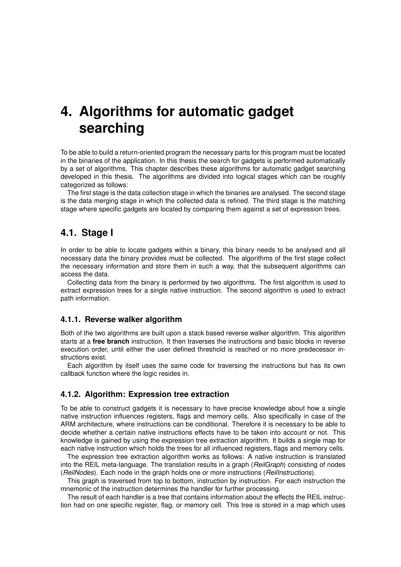# <span id="page-70-0"></span>**4. Algorithms for automatic gadget searching**

To be able to build a return-oriented program the necessary parts for this program must be located in the binaries of the application. In this thesis the search for gadgets is performed automatically by a set of algorithms. This chapter describes these algorithms for automatic gadget searching developed in this thesis. The algorithms are divided into logical stages which can be roughly categorized as follows:

The first stage is the data collection stage in which the binaries are analysed. The second stage is the data merging stage in which the collected data is refined. The third stage is the matching stage where specific gadgets are located by comparing them against a set of expression trees.

# **4.1. Stage I**

In order to be able to locate gadgets within a binary, this binary needs to be analysed and all necessary data the binary provides must be collected. The algorithms of the first stage collect the necessary information and store them in such a way, that the subsequent algorithms can access the data.

Collecting data from the binary is performed by two algorithms. The first algorithm is used to extract expression trees for a single native instruction. The second algorithm is used to extract path information.

## **4.1.1. Reverse walker algorithm**

Both of the two algorithms are built upon a stack based reverse walker algorithm. This algorithm starts at a **free branch** instruction. It then traverses the instructions and basic blocks in reverse execution order, until either the user defined threshold is reached or no more predecessor instructions exist.

Each algorithm by itself uses the same code for traversing the instructions but has its own callback function where the logic resides in.

# <span id="page-70-1"></span>**4.1.2. Algorithm: Expression tree extraction**

To be able to construct gadgets it is necessary to have precise knowledge about how a single native instruction influences registers, flags and memory cells. Also specifically in case of the ARM architecture, where instructions can be conditional. Therefore it is necessary to be able to decide whether a certain native instructions effects have to be taken into account or not. This knowledge is gained by using the expression tree extraction algorithm. It builds a single map for each native instruction which holds the trees for all influenced registers, flags and memory cells.

The expression tree extraction algorithm works as follows: A native instruction is translated into the REIL meta-language. The translation results in a graph (*ReilGraph*) consisting of nodes (*ReilNodes*). Each node in the graph holds one or more instructions (*ReilInstructions*).

This graph is traversed from top to bottom, instruction by instruction. For each instruction the mnemonic of the instruction determines the handler for further processing.

The result of each handler is a tree that contains information about the effects the REIL instruction had on one specific register, flag, or memory cell. This tree is stored in a map which uses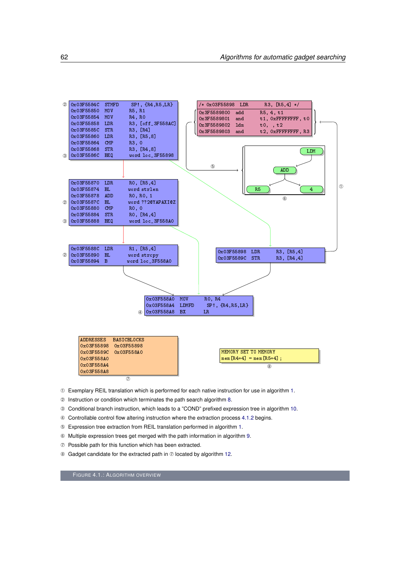

- ➀ Exemplary REIL translation which is performed for each native instruction for use in algorithm [1.](#page-0-0)
- ➁ Instruction or condition which terminates the path search algorithm [8.](#page-0-0)
- ➂ Conditional branch instruction, which leads to a "COND" prefixed expression tree in algorithm [10.](#page-0-0)
- ➃ Controllable control flow altering instruction where the extraction process [4.1.2](#page-70-1) begins.
- ➄ Expression tree extraction from REIL translation performed in algorithm [1.](#page-0-0)
- ➅ Multiple expression trees get merged with the path information in algorithm [9.](#page-0-0)
- ➆ Possible path for this function which has been extracted.
- ➇ Gadget candidate for the extracted path in ➆ located by algorithm [12.](#page-0-0)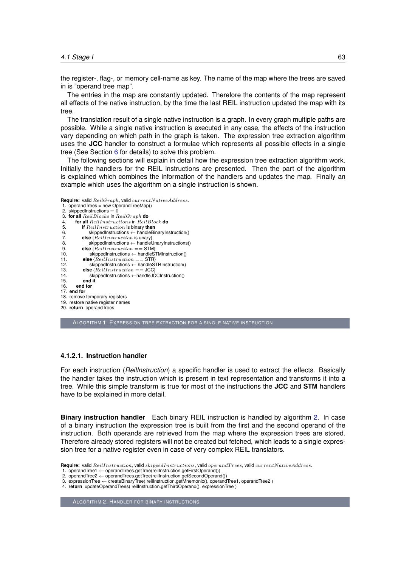the register-, flag-, or memory cell-name as key. The name of the map where the trees are saved in is "operand tree map".

The entries in the map are constantly updated. Therefore the contents of the map represent all effects of the native instruction, by the time the last REIL instruction updated the map with its tree.

The translation result of a single native instruction is a graph. In every graph multiple paths are possible. While a single native instruction is executed in any case, the effects of the instruction vary depending on which path in the graph is taken. The expression tree extraction algorithm uses the **JCC** handler to construct a formulae which represents all possible effects in a single tree (See Section [6](#page-0-0) for details) to solve this problem.

The following sections will explain in detail how the expression tree extraction algorithm work. Initially the handlers for the REIL instructions are presented. Then the part of the algorithm is explained which combines the information of the handlers and updates the map. Finally an example which uses the algorithm on a single instruction is shown.

```
Require: valid ReilGraph, valid currentNativeAddress.
 1. operandTrees = new OperandTreeMap()
 2. skippedInstructions = 03. for all ReilBlocks in ReilGraph do
 4. for all ReilInstructions in ReilBlock do
 5. if Reill instruction is binary then<br>6. is exampled in the skipped instructions \leftarrow handle Bi<br>7. else \{Reill instruction is unary
                  6. skippedInstructions ← handleBinaryInstruction()
 7. else {Reillnstruction is unary}<br>8. skippedInstructions \leftarrow handlel
8. skippedInstructions ← handleUnaryInstructions()<br>9. else {ReilInstruction == STM}<br>10. skippedInstructions ← handleSTMInstruction()
              else {Reillnstruction == STM}
```
10. skippedInstructions ← handleSTMInstruction()<br>11. **else** { $Reill$  nstruction = STR}

11. **else**  $\{Reillnstruction == STR\}$ <br>12. **skippedInstructions**  $\leftarrow$  handleS

12. skippedInstructions ← handleSTRInstruction()<br>13. **else** { $Reillnstruction == JCC$ }

13. **else** { $Reillnstruction == JCC$ }<br>14. skippedInstructions  $\leftarrow$  handleJC

14. skippedInstructions ←handleJCCInstruction()<br>15. **end if** end if

16. **end for**

17. **end for**

18. remove temporary registers

19. restore native register names

20. **return** operandTrees

ALGORITHM 1: EXPRESSION TREE EXTRACTION FOR A SINGLE NATIVE INSTRUCTION

#### **4.1.2.1. Instruction handler**

For each instruction (*ReilInstruction*) a specific handler is used to extract the effects. Basically the handler takes the instruction which is present in text representation and transforms it into a tree. While this simple transform is true for most of the instructions the **JCC** and **STM** handlers have to be explained in more detail.

**Binary instruction handler** Each binary REIL instruction is handled by algorithm [2.](#page-0-0) In case of a binary instruction the expression tree is built from the first and the second operand of the instruction. Both operands are retrieved from the map where the expression trees are stored. Therefore already stored registers will not be created but fetched, which leads to a single expression tree for a native register even in case of very complex REIL translators.

1. operandTree1 ← operandTrees.getTree(reilInstruction.getFirstOperand()) 2. operandTree2 ← operandTrees.getTree(reilInstruction.getSecondOperand())

3. expressionTree ← createBinaryTree( reilInstruction.getMnemonic(), operandTree1, operandTree2 ) 4. **return** updateOperandTrees( reilInstruction.getThirdOperand(), expressionTree )

ALGORITHM 2: HANDLER FOR BINARY INSTRUCTIONS

**Require:** valid ReilInstruction, valid skippedInstructions, valid operandT rees, valid currentNativeAddress.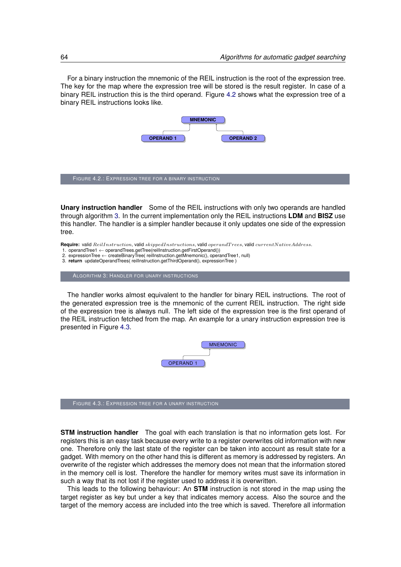For a binary instruction the mnemonic of the REIL instruction is the root of the expression tree. The key for the map where the expression tree will be stored is the result register. In case of a binary REIL instruction this is the third operand. Figure [4.2](#page-73-0) shows what the expression tree of a binary REIL instructions looks like.

<span id="page-73-0"></span>

**Unary instruction handler** Some of the REIL instructions with only two operands are handled through algorithm [3.](#page-0-0) In the current implementation only the REIL instructions **LDM** and **BISZ** use this handler. The handler is a simpler handler because it only updates one side of the expression tree.

**Require:** valid ReilInstruction, valid skippedInstructions, valid operandT rees, valid currentNativeAddress.

- 1. operandTree1 ← operandTrees.getTree(reilInstruction.getFirstOperand()) 2. expressionTree ← createBinaryTree( reilInstruction.getMnemonic(), operandTree1, null)
- 
- 3. **return** updateOperandTrees( reilInstruction.getThirdOperand(), expressionTree )

ALGORITHM 3: HANDLER FOR UNARY INSTRUCTIONS

<span id="page-73-1"></span>The handler works almost equivalent to the handler for binary REIL instructions. The root of the generated expression tree is the mnemonic of the current REIL instruction. The right side of the expression tree is always null. The left side of the expression tree is the first operand of the REIL instruction fetched from the map. An example for a unary instruction expression tree is presented in Figure [4.3.](#page-73-1)



FIGURE 4.3.: EXPRESSION TREE FOR A UNARY INSTRUCTION

**STM instruction handler** The goal with each translation is that no information gets lost. For registers this is an easy task because every write to a register overwrites old information with new one. Therefore only the last state of the register can be taken into account as result state for a gadget. With memory on the other hand this is different as memory is addressed by registers. An overwrite of the register which addresses the memory does not mean that the information stored in the memory cell is lost. Therefore the handler for memory writes must save its information in such a way that its not lost if the register used to address it is overwritten.

This leads to the following behaviour: An **STM** instruction is not stored in the map using the target register as key but under a key that indicates memory access. Also the source and the target of the memory access are included into the tree which is saved. Therefore all information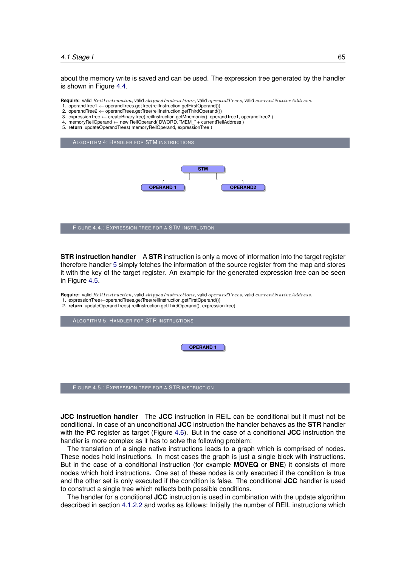#### *4.1 Stage I* 65

about the memory write is saved and can be used. The expression tree generated by the handler is shown in Figure [4.4.](#page-74-0)

**Require:** valid  $Reillnstruction$ , valid  $skipedInstructions$ , valid operandTrees, valid currentNativeAddress.

- 1. operandTree1 ← operandTrees.getTree(reilInstruction.getFirstOperand())
- 2. operandTree2 ← operandTrees.getTree(reilInstruction.getThirdOperand()) 3. expressionTree ← createBinaryTree( reilInstruction.getMnemonic(), operandTree1, operandTree2 )
- 4. memoryReilOperand ← new ReilOperand( DWORD, "MEM\_" + currentReilAddress )
- 5. **return** updateOperandTrees( memoryReilOperand, expressionTree )

<span id="page-74-0"></span>

**STR instruction handler** A **STR** instruction is only a move of information into the target register therefore handler [5](#page-0-0) simply fetches the information of the source register from the map and stores it with the key of the target register. An example for the generated expression tree can be seen in Figure [4.5.](#page-74-1)

**Require:** valid  $ReillInstruction$ , valid  $skipedInstructions$ , valid operandTrees, valid currentNativeAddress. 1. expressionTree←operandTrees.getTree(reilInstruction.getFirstOperand())

2. **return** updateOperandTrees( reilInstruction.getThirdOperand(), expressionTree)

<span id="page-74-1"></span>ALGORITHM 5: HANDLER FOR STR INSTRUCTIONS **OPERAND 1** FIGURE 4.5.: EXPRESSION TREE FOR A STR INSTRUCTION

**JCC instruction handler** The **JCC** instruction in REIL can be conditional but it must not be conditional. In case of an unconditional **JCC** instruction the handler behaves as the **STR** handler with the **PC** register as target (Figure [4.6\)](#page-75-0). But in the case of a conditional **JCC** instruction the handler is more complex as it has to solve the following problem:

The translation of a single native instructions leads to a graph which is comprised of nodes. These nodes hold instructions. In most cases the graph is just a single block with instructions. But in the case of a conditional instruction (for example **MOVEQ** or **BNE**) it consists of more nodes which hold instructions. One set of these nodes is only executed if the condition is true and the other set is only executed if the condition is false. The conditional **JCC** handler is used to construct a single tree which reflects both possible conditions.

The handler for a conditional **JCC** instruction is used in combination with the update algorithm described in section [4.1.2.2](#page-76-0) and works as follows: Initially the number of REIL instructions which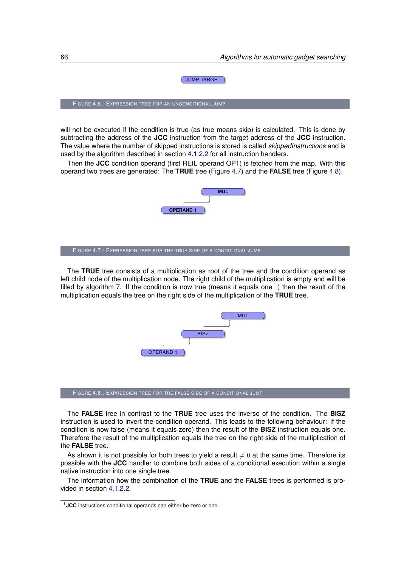#### JUMP TARGET

<span id="page-75-0"></span>FIGURE 4.6.: EXPRESSION TREE FOR AN UNCONDITIONAL JUMP

will not be executed if the condition is true (as true means skip) is calculated. This is done by subtracting the address of the **JCC** instruction from the target address of the **JCC** instruction. The value where the number of skipped instructions is stored is called *skippedInstructions* and is used by the algorithm described in section [4.1.2.2](#page-76-0) for all instruction handlers.

Then the **JCC** condition operand (first REIL operand OP1) is fetched from the map. With this operand two trees are generated: The **TRUE** tree (Figure [4.7\)](#page-75-1) and the **FALSE** tree (Figure [4.8\)](#page-75-2).

<span id="page-75-1"></span>

<span id="page-75-2"></span>The **TRUE** tree consists of a multiplication as root of the tree and the condition operand as left child node of the multiplication node. The right child of the multiplication is empty and will be filled by algorithm [7.](#page-0-0) If the condition is now true (means it equals one  $<sup>1</sup>$  $<sup>1</sup>$  $<sup>1</sup>$ ) then the result of the</sup> multiplication equals the tree on the right side of the multiplication of the **TRUE** tree.



FIGURE 4.8.: EXPRESSION TREE FOR THE FALSE SIDE OF A CONDITIONAL JUMP

The **FALSE** tree in contrast to the **TRUE** tree uses the inverse of the condition. The **BISZ** instruction is used to invert the condition operand. This leads to the following behaviour: If the condition is now false (means it equals zero) then the result of the **BISZ** instruction equals one. Therefore the result of the multiplication equals the tree on the right side of the multiplication of the **FALSE** tree.

As shown it is not possible for both trees to yield a result  $\neq 0$  at the same time. Therefore its possible with the **JCC** handler to combine both sides of a conditional execution within a single native instruction into one single tree.

The information how the combination of the **TRUE** and the **FALSE** trees is performed is provided in section [4.1.2.2.](#page-76-0)

<span id="page-75-3"></span><sup>1</sup>**JCC** instructions conditional operands can either be zero or one.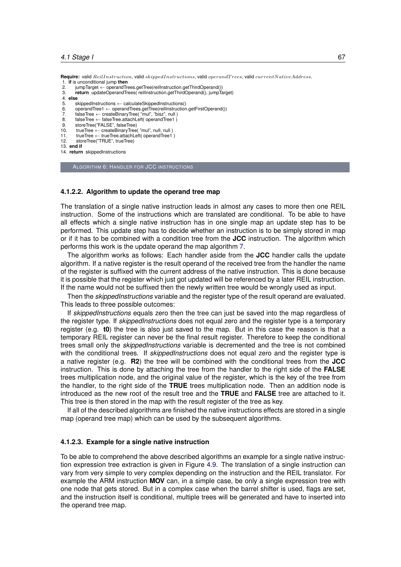**Require:** valid ReilInstruction, valid skippedInstructions, valid operandT rees, valid currentNativeAddress. 1. **if** is unconditional jump **then**

- 2. jumpTarget ← operandTrees.getTree(reilInstruction.getThirdOperand())<br>3. **return** updateOperandTrees(reilInstruction.getThirdOperand(). jumpTa
- return updateOperandTrees( reilInstruction.getThirdOperand(), jumpTarget)
- 4. **else**
- 5. skippedInstructions ← calculateSkippedInstructions()<br>6 operandTree1 ← operandTrees getTree(reillnstruction
- 6. operandTree1 ← operandTrees.getTree(reilInstruction.getFirstOperand())
- 7. falseTree ← createBinaryTree( "mul", "bisz", null ) 8. falseTree ← falseTree.attachLeft( operandTree1 )
- 
- 9. storeTree("FALSE", falseTree)<br>10. trueTree  $\leftarrow$  createBinaryTree
- 10. trueTree ← createBinaryTree( "mul", null, null)<br>11. trueTree ← trueTree.attachLeft( operandTree1  $trueTree \leftarrow trueTree}.$  attachLeft( operandTree1)
- 12. storeTree("TRUE", trueTree)
- 13. **end if**
- 14. **return** skippedInstructions

ALGORITHM 6: HANDLER FOR JCC INSTRUCTIONS

#### <span id="page-76-0"></span>**4.1.2.2. Algorithm to update the operand tree map**

The translation of a single native instruction leads in almost any cases to more then one REIL instruction. Some of the instructions which are translated are conditional. To be able to have all effects which a single native instruction has in one single map an update step has to be performed. This update step has to decide whether an instruction is to be simply stored in map or if it has to be combined with a condition tree from the **JCC** instruction. The algorithm which performs this work is the update operand the map algorithm [7.](#page-0-0)

The algorithm works as follows: Each handler aside from the **JCC** handler calls the update algorithm. If a native register is the result operand of the received tree from the handler the name of the register is suffixed with the current address of the native instruction. This is done because it is possible that the register which just got updated will be referenced by a later REIL instruction. If the name would not be suffixed then the newly written tree would be wrongly used as input.

Then the *skippedInstructions* variable and the register type of the result operand are evaluated. This leads to three possible outcomes:

If *skippedInstructions* equals zero then the tree can just be saved into the map regardless of the register type. If *skippedInstructions* does not equal zero and the register type is a temporary register (e.g. **t0**) the tree is also just saved to the map. But in this case the reason is that a temporary REIL register can never be the final result register. Therefore to keep the conditional trees small only the *skippedInstructions* variable is decremented and the tree is not combined with the conditional trees. If *skippedInstructions* does not equal zero and the register type is a native register (e.g. **R2**) the tree will be combined with the conditional trees from the **JCC** instruction. This is done by attaching the tree from the handler to the right side of the **FALSE** trees multiplication node, and the original value of the register, which is the key of the tree from the handler, to the right side of the **TRUE** trees multiplication node. Then an addition node is introduced as the new root of the result tree and the **TRUE** and **FALSE** tree are attached to it. This tree is then stored in the map with the result register of the tree as key.

If all of the described algorithms are finished the native instructions effects are stored in a single map (operand tree map) which can be used by the subsequent algorithms.

#### **4.1.2.3. Example for a single native instruction**

To be able to comprehend the above described algorithms an example for a single native instruction expression tree extraction is given in Figure [4.9.](#page-77-0) The translation of a single instruction can vary from very simple to very complex depending on the instruction and the REIL translator. For example the ARM instruction **MOV** can, in a simple case, be only a single expression tree with one node that gets stored. But in a complex case when the barrel shifter is used, flags are set, and the instruction itself is conditional, multiple trees will be generated and have to inserted into the operand tree map.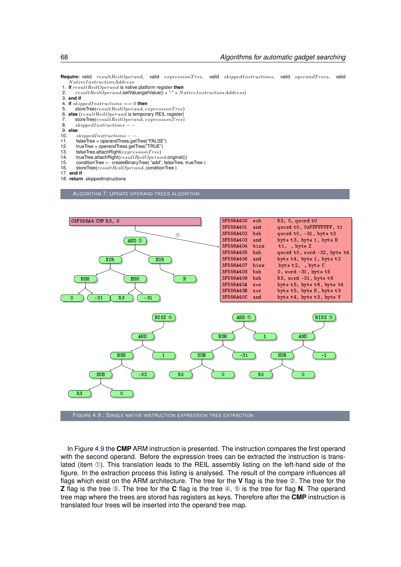Require: valid resultReilOperand, valid expressionTree, valid skippedInstructions, valid operandTrees, valid  $\label{eq:1} NativeInstruction Address$ 

- 1. **if** result ReilOperand is native platform register **then**<br>2. result ReilOperand setValue(getValue() + "-" + N
- $resultReilOperand.setValue(getValue() + "-" + NativeInstructionAddress)$
- 3. **end if**
- 4. **if**  $skippelInstructions == 0$  **then**<br>5 **storeTree**( $resultReilOnerand$ )
- 
- 5. storeTree( $resultReilOperand, expressionTree$ )<br>6. else { $resultReilOperand$  is temporary REIL register}<br>7. storeTree( $resultReilOperand, expressionTree$ )
- 6. **else** {resultReilOperand is temporary REIL register} 7. storeTree(resultReilOperand, expressionT ree)
- 8. skippedInstructions −
- 9. **else**
	-
- 10. *skippedInstructions* –<br>11. falseTree = operandTrees.g 11. falseTree = operandTrees.getTree("FALSE")<br>12. trueTree = operandTrees.getTree("TRUE")
- 
- 12.  $trueTree = operandTree.getTree("TRUE")$ <br>13. falseTree.attachRight(expressionTree) 13. falseTree.attachRight(expressionTree)<br>14. trueTree.attachRight(resultReilOperan
- 
- 14. trueTree.attachRight(resultReilOperand.original())<br>15. conditionTree ← createBinaryTree("add", falseTree, trueTree)
- 16. storeTree( $resultReilOperand$ , conditionTree)
- 17. **end if**
- 18. **return** skippedInstructions

ALGORITHM 7: UPDATE OPERAND TREES ALGORITHM

<span id="page-77-0"></span>

In Figure [4.9](#page-77-0) the **CMP** ARM instruction is presented. The instruction compares the first operand with the second operand. Before the expression trees can be extracted the instruction is translated (item ➀). This translation leads to the REIL assembly listing on the left-hand side of the figure. In the extraction process this listing is analysed. The result of the compare influences all flags which exist on the ARM architecture. The tree for the **V** flag is the tree ➁. The tree for the **Z** flag is the tree ➂. The tree for the **C** flag is the tree ➃, ➄ is the tree for flag **N**. The operand tree map where the trees are stored has registers as keys. Therefore after the **CMP** instruction is translated four trees will be inserted into the operand tree map.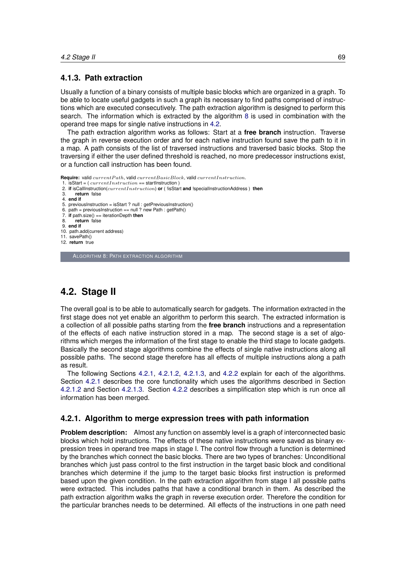#### <span id="page-78-2"></span>**4.1.3. Path extraction**

Usually a function of a binary consists of multiple basic blocks which are organized in a graph. To be able to locate useful gadgets in such a graph its necessary to find paths comprised of instructions which are executed consecutively. The path extraction algorithm is designed to perform this search. The information which is extracted by the algorithm [8](#page-0-0) is used in combination with the operand tree maps for single native instructions in [4.2.](#page-78-0)

The path extraction algorithm works as follows: Start at a **free branch** instruction. Traverse the graph in reverse execution order and for each native instruction found save the path to it in a map. A path consists of the list of traversed instructions and traversed basic blocks. Stop the traversing if either the user defined threshold is reached, no more predecessor instructions exist, or a function call instruction has been found.

**Require:** valid currentPath, valid currentBasicBlock, valid currentInstruction.

- 1. isStart =  $currentInstruction$  = startInstruction  $)$
- 2. **if** isCallInstruction(currentInstruction) **or** ( !isStart **and** !specialInstructionAddress ) **then** 3. **return** false
- 
- 4. **end if**
- 
- 5. previousInstruction = isStart ? null : getPreviousInstruction() 6. path = previousInstruction == null ? new Path : getPath()
- 7. **if** path.size() == iterationDepth **then**
- return false
- 9. **end if**
- 10. path.add(current address)
- 11. savePath()
- 12. **return** true

ALGORITHM 8: PATH EXTRACTION ALGORITHM

## <span id="page-78-0"></span>**4.2. Stage II**

The overall goal is to be able to automatically search for gadgets. The information extracted in the first stage does not yet enable an algorithm to perform this search. The extracted information is a collection of all possible paths starting from the **free branch** instructions and a representation of the effects of each native instruction stored in a map. The second stage is a set of algorithms which merges the information of the first stage to enable the third stage to locate gadgets. Basically the second stage algorithms combine the effects of single native instructions along all possible paths. The second stage therefore has all effects of multiple instructions along a path as result.

The following Sections [4.2.1,](#page-78-1) [4.2.1.2,](#page-79-0) [4.2.1.3,](#page-79-1) and [4.2.2](#page-81-0) explain for each of the algorithms. Section [4.2.1](#page-78-1) describes the core functionality which uses the algorithms described in Section [4.2.1.2](#page-79-0) and Section [4.2.1.3.](#page-79-1) Section [4.2.2](#page-81-0) describes a simplification step which is run once all information has been merged.

#### <span id="page-78-1"></span>**4.2.1. Algorithm to merge expression trees with path information**

**Problem description:** Almost any function on assembly level is a graph of interconnected basic blocks which hold instructions. The effects of these native instructions were saved as binary expression trees in operand tree maps in stage I. The control flow through a function is determined by the branches which connect the basic blocks. There are two types of branches: Unconditional branches which just pass control to the first instruction in the target basic block and conditional branches which determine if the jump to the target basic blocks first instruction is preformed based upon the given condition. In the path extraction algorithm from stage I all possible paths were extracted. This includes paths that have a conditional branch in them. As described the path extraction algorithm walks the graph in reverse execution order. Therefore the condition for the particular branches needs to be determined. All effects of the instructions in one path need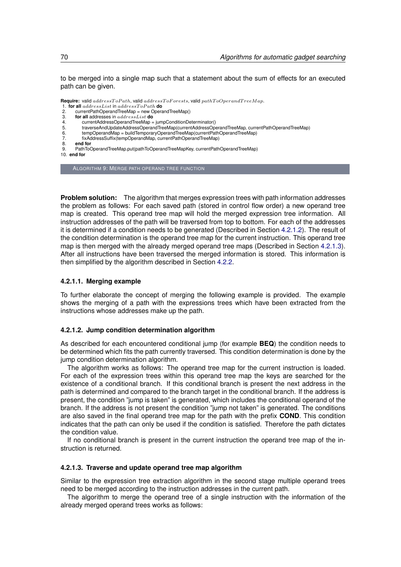to be merged into a single map such that a statement about the sum of effects for an executed path can be given.

**Require:** valid  $addressToPath$ , valid  $addressToForests$ , valid  $pathToOperandTreeMap$ .

- 1. **for all**  $addressList$  in  $addressToPath$  **do**<br>2. currentPathOperandTreeMap = new Opera
- 2. currentPathOperandTreeMap = new OperandTreeMap()<br>3. **for all** addresses in  $addressList$  **do**
- 3. **for all** addresses in addressList **do**
- 4. currentAddressOperandTreeMap = jumpConditionDeterminator() 5. traverseAndUpdateAddressOperandTreeMap(currentAddressOperandTreeMap, currentPathOperandTreeMap)
- 6. tempOperandMap = buildTemporaryOperandTreeMap(currentPathOperandTreeMap)
- 7. fixAddressSuffix(tempOperandMap, currentPathOperandTreeMap)<br>8. **end for**
- 8. **end for**
- PathToOperandTreeMap.put(pathToOperandTreeMapKey, currentPathOperandTreeMap)
- 10. **end for**

ALGORITHM 9: MERGE PATH OPERAND TREE FUNCTION

**Problem solution:** The algorithm that merges expression trees with path information addresses the problem as follows: For each saved path (stored in control flow order) a new operand tree map is created. This operand tree map will hold the merged expression tree information. All instruction addresses of the path will be traversed from top to bottom. For each of the addresses it is determined if a condition needs to be generated (Described in Section [4.2.1.2\)](#page-79-0). The result of the condition determination is the operand tree map for the current instruction. This operand tree map is then merged with the already merged operand tree maps (Described in Section [4.2.1.3\)](#page-79-1). After all instructions have been traversed the merged information is stored. This information is then simplified by the algorithm described in Section [4.2.2.](#page-81-0)

#### **4.2.1.1. Merging example**

To further elaborate the concept of merging the following example is provided. The example shows the merging of a path with the expressions trees which have been extracted from the instructions whose addresses make up the path.

#### <span id="page-79-0"></span>**4.2.1.2. Jump condition determination algorithm**

As described for each encountered conditional jump (for example **BEQ**) the condition needs to be determined which fits the path currently traversed. This condition determination is done by the jump condition determination algorithm.

The algorithm works as follows: The operand tree map for the current instruction is loaded. For each of the expression trees within this operand tree map the keys are searched for the existence of a conditional branch. If this conditional branch is present the next address in the path is determined and compared to the branch target in the conditional branch. If the address is present, the condition "jump is taken" is generated, which includes the conditional operand of the branch. If the address is not present the condition "jump not taken" is generated. The conditions are also saved in the final operand tree map for the path with the prefix **COND**. This condition indicates that the path can only be used if the condition is satisfied. Therefore the path dictates the condition value.

If no conditional branch is present in the current instruction the operand tree map of the instruction is returned.

#### <span id="page-79-1"></span>**4.2.1.3. Traverse and update operand tree map algorithm**

Similar to the expression tree extraction algorithm in the second stage multiple operand trees need to be merged according to the instruction addresses in the current path.

The algorithm to merge the operand tree of a single instruction with the information of the already merged operand trees works as follows: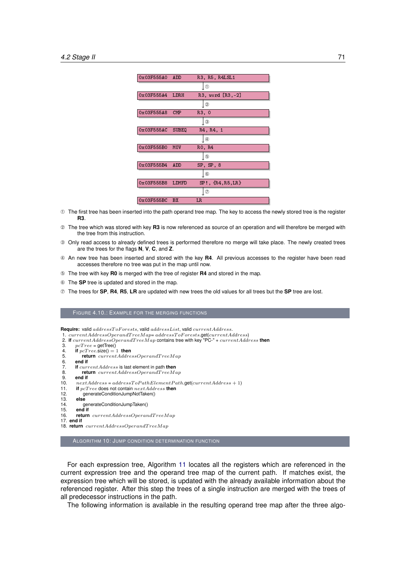<span id="page-80-0"></span>

| 0x03F555A0 | <b>ADD</b>   | R3, R5, R4LSL1         |
|------------|--------------|------------------------|
|            |              | ①                      |
| 0x03F555A4 | LDRH         | $R3$ , word $[R3, -2]$ |
|            |              | ②                      |
| 0x03F555A8 | <b>CMP</b>   | R3, 0                  |
|            |              | 3                      |
| 0x03F555AC | <b>SUBEQ</b> | R4, R4, 1              |
|            |              | $^{\circledA}$         |
| 0x03F555B0 | <b>MOV</b>   | RO, R4                 |
|            |              | $^\circledR$           |
| 0x03F555B4 | <b>ADD</b>   | SP, SP, 8              |
|            |              | 6                      |
| 0x03F555B8 | LDMFD        | $SP!, \{R4,R5,LR\}$    |
|            |              | $\circledcirc$         |
| 0x03F555BC | <b>BX</b>    | LR.                    |

- ➀ The first tree has been inserted into the path operand tree map. The key to access the newly stored tree is the register **R3**.
- ➁ The tree which was stored with key **R3** is now referenced as source of an operation and will therefore be merged with the tree from this instruction.
- ➂ Only read access to already defined trees is performed therefore no merge will take place. The newly created trees are the trees for the flags **N**, **V**, **C**, and **Z**.
- ➃ An new tree has been inserted and stored with the key **R4**. All previous accesses to the register have been read accesses therefore no tree was put in the map until now.
- ➄ The tree with key **R0** is merged with the tree of register **R4** and stored in the map.
- ➅ The **SP** tree is updated and stored in the map.
- ➆ The trees for **SP**, **R4**, **R5**, **LR** are updated with new trees the old values for all trees but the **SP** tree are lost.

#### FIGURE 4.10.: EXAMPLE FOR THE MERGING FUNCTIONS

**Require:** valid  $addressToForests$ , valid  $addressList$ , valid  $currentAddress$ .

1. currentAddressOperandT reeMap= addressT oF orests.get(currentAddress) 2. **if** currentAddressOperandT reeMap contains tree with key "PC-" + currentAddress **then**

|     | $\epsilon$ . If carrent Address Operation reem ap contains nee with $\kappa$ $\epsilon$ $\epsilon$ $\epsilon$ + carrent Addr |
|-----|------------------------------------------------------------------------------------------------------------------------------|
| З.  | $pcTree = getTree()$                                                                                                         |
| 4.  | if $pcTree.size() = 1$ then                                                                                                  |
| 5.  | <b>return</b> $currentAddressOperandTreeMap$                                                                                 |
| 6.  | end if                                                                                                                       |
| 7.  | <b>if</b> current <i>Address</i> is last element in path <b>then</b>                                                         |
| 8.  | <b>return</b> $currentAddressOperandTreeMap$                                                                                 |
| 9.  | end if                                                                                                                       |
| 10. | $nextAddress = addressToPathElementPath.get(currentAddress + 1)$                                                             |
| 11. | if $pcTree$ does not contain $nextAddress$ then                                                                              |
| 12. | generateConditionJumpNotTaken()                                                                                              |
| 13. | else                                                                                                                         |
| 14. | generateConditionJumpTaken()                                                                                                 |
| 15. | end if                                                                                                                       |
| 16. | <b>return</b> currentAddressOperandTreeMap                                                                                   |
|     | $17.$ end if                                                                                                                 |
|     | 18. <b>return</b> currentAddressOperandTreeMap                                                                               |
|     |                                                                                                                              |

ALGORITHM 10: JUMP CONDITION DETERMINATION FUNCTION

For each expression tree, Algorithm [11](#page-0-0) locates all the registers which are referenced in the current expression tree and the operand tree map of the current path. If matches exist, the expression tree which will be stored, is updated with the already available information about the referenced register. After this step the trees of a single instruction are merged with the trees of all predecessor instructions in the path.

The following information is available in the resulting operand tree map after the three algo-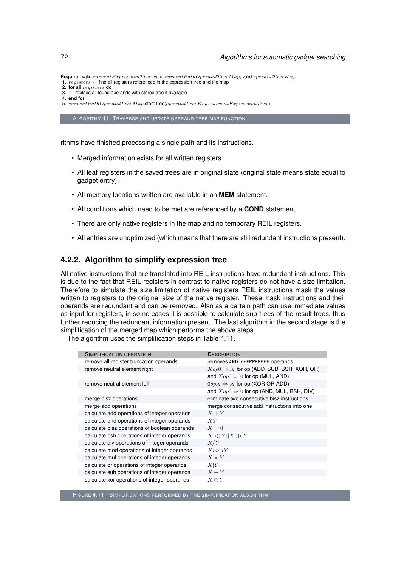**Require:** valid currentExpressionT ree, valid currentP athOperandT reeMap, valid operandT reeKey.  $1.3\,registers$   $\Leftarrow$  find all registers referenced in the expression tree and the map

- 2. **for all** registers **do** 3. replace all found operands with stored tree if available
- 4. **end for**

5. current PathOperandTreeMap.storeTree(operandTreeKey, currentExpressionTree)

ALGORITHM 11: TRAVERSE AND UPDATE OPERAND TREE MAP FUNCTION

rithms have finished processing a single path and its instructions.

- Merged information exists for all written registers.
- All leaf registers in the saved trees are in original state (original state means state equal to gadget entry).
- All memory locations written are available in an **MEM** statement.
- All conditions which need to be met are referenced by a **COND** statement.
- There are only native registers in the map and no temporary REIL registers.
- All entries are unoptimized (which means that there are still redundant instructions present).

#### <span id="page-81-0"></span>**4.2.2. Algorithm to simplify expression tree**

All native instructions that are translated into REIL instructions have redundant instructions. This is due to the fact that REIL registers in contrast to native registers do not have a size limitation. Therefore to simulate the size limitation of native registers REIL instructions mask the values written to registers to the original size of the native register. These mask instructions and their operands are redundant and can be removed. Also as a certain path can use immediate values as input for registers, in some cases it is possible to calculate sub-trees of the result trees, thus further reducing the redundant information present. The last algorithm in the second stage is the simplification of the merged map which performs the above steps.

<span id="page-81-1"></span>The algorithm uses the simplification steps in Table [4.11.](#page-81-1)

| SIMPLIFICATION OPERATION                      | <b>DESCRIPTION</b>                                   |
|-----------------------------------------------|------------------------------------------------------|
| remove all register truncation operands       | removes AND 0xFFFFFFFF operands                      |
| remove neutral element right                  | $Xop0 \Rightarrow X$ for op (ADD, SUB, BSH, XOR, OR) |
|                                               | and $Xop0 \Rightarrow 0$ for op (MUL, AND)           |
| remove neutral element left                   | $0opX \Rightarrow X$ for op (XOR OR ADD)             |
|                                               | and $Xop0 \Rightarrow 0$ for op (AND, MUL, BSH, DIV) |
| merge bisz operations                         | eliminate two consecutive bisz instructions.         |
| merge add operations                          | merge consecutive add instructions into one.         |
| calculate add operations of integer operands  | $X+Y$                                                |
| calculate and operations of integer operands  | XY                                                   |
| calculate bisz operations of boolean operands | $X=0$                                                |
| calculate bsh operations of integer operands  | $X \ll Y  X \gg Y$                                   |
| calculate div operations of integer operands  | X/Y                                                  |
| calculate mod operations of integer operands  | $X \mod Y$                                           |
| calculate mul operations of integer operands  | $X \times Y$                                         |
| calculate or operations of integer operands   | X Y                                                  |
| calculate sub operations of integer operands  | $X-Y$                                                |
| calculate xor operations of integer operands  | $X \oplus Y$                                         |
|                                               |                                                      |

FIGURE 4.11.: SIMPLIFICATIONS PERFORMED BY THE SIMPLIFICATION ALGORITHM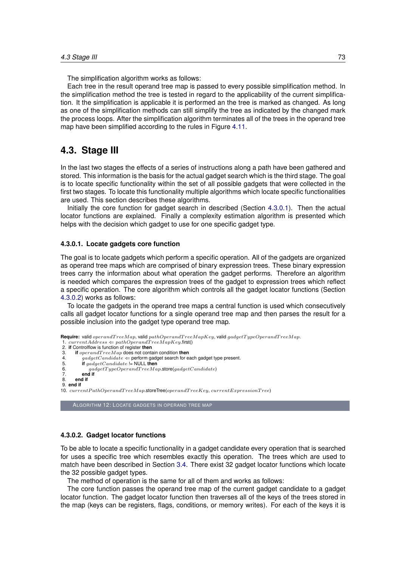The simplification algorithm works as follows:

Each tree in the result operand tree map is passed to every possible simplification method. In the simplification method the tree is tested in regard to the applicability of the current simplification. It the simplification is applicable it is performed an the tree is marked as changed. As long as one of the simplification methods can still simplify the tree as indicated by the changed mark the process loops. After the simplification algorithm terminates all of the trees in the operand tree map have been simplified according to the rules in Figure [4.11.](#page-81-1)

## **4.3. Stage III**

In the last two stages the effects of a series of instructions along a path have been gathered and stored. This information is the basis for the actual gadget search which is the third stage. The goal is to locate specific functionality within the set of all possible gadgets that were collected in the first two stages. To locate this functionality multiple algorithms which locate specific functionalities are used. This section describes these algorithms.

Initially the core function for gadget search in described (Section [4.3.0.1\)](#page-82-0). Then the actual locator functions are explained. Finally a complexity estimation algorithm is presented which helps with the decision which gadget to use for one specific gadget type.

#### <span id="page-82-0"></span>**4.3.0.1. Locate gadgets core function**

The goal is to locate gadgets which perform a specific operation. All of the gadgets are organized as operand tree maps which are comprised of binary expression trees. These binary expression trees carry the information about what operation the gadget performs. Therefore an algorithm is needed which compares the expression trees of the gadget to expression trees which reflect a specific operation. The core algorithm which controls all the gadget locator functions (Section [4.3.0.2\)](#page-82-1) works as follows:

To locate the gadgets in the operand tree maps a central function is used which consecutively calls all gadget locator functions for a single operand tree map and then parses the result for a possible inclusion into the gadget type operand tree map.

```
Require: valid operandTreeMap, valid pathOperandTreeMapKey, valid gadgetTypeOperandTreeMap.
1. currentAddress \Leftarrow pathOperandTreeMapKey}.first()
2. if Controlflow is function of register then
3. if operandT reeMap does not contain condition then
4. \hat{g}adgetC and iate \Leftarrow perform gadget search for each gadget type present.<br>5. if gadgetC and idate = NULL then
5. if gadgetCandidate != NULL then<br>6. and gadgetTypeOperandTreeMa
             \label{eq:qndgetTypeOperandTreeMap} gadgetTypeOperandTreeMap.\texttt{store}(gadgetCandidate)7. end if
      8. end if
9. end if
10. currentPathOperandTreeMap.storeTree(operandTreeKey, currentExpressionTree)
     ALGORITHM 12: LOCATE GADGETS IN OPERAND TREE MAP
```
#### <span id="page-82-1"></span>**4.3.0.2. Gadget locator functions**

To be able to locate a specific functionality in a gadget candidate every operation that is searched for uses a specific tree which resembles exactly this operation. The trees which are used to match have been described in Section [3.4.](#page-47-0) There exist 32 gadget locator functions which locate the 32 possible gadget types.

The method of operation is the same for all of them and works as follows:

The core function passes the operand tree map of the current gadget candidate to a gadget locator function. The gadget locator function then traverses all of the keys of the trees stored in the map (keys can be registers, flags, conditions, or memory writes). For each of the keys it is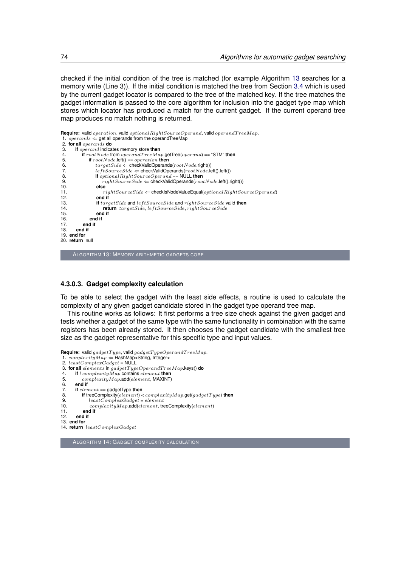checked if the initial condition of the tree is matched (for example Algorithm [13](#page-0-0) searches for a memory write (Line 3)). If the initial condition is matched the tree from Section [3.4](#page-47-0) which is used by the current gadget locator is compared to the tree of the matched key. If the tree matches the gadget information is passed to the core algorithm for inclusion into the gadget type map which stores which locator has produced a match for the current gadget. If the current operand tree map produces no match nothing is returned.

```
Require: valid operation, valid optional RightSourceOperand, valid operandTreeMap.
1. operands \Leftarrow get all operands from the operandTreeMap<br>2. for all operands do
2. for all operands do
3. if operand indicates memory store then<br>4. if rootNode from operandTreeMa
4. if rootNode from openandTreeMap.getTree(operand) == "STM" then<br>5 if rootNode left() == operation then
5. if rootNode. left() == operation then<br>6. trace, \text{Side} \Leftarrow \text{checkValidOperand}targetSide \LeftarrowcheckValidOperands(rootNode.right())
 7. left((). leftSourceSide \Leftarrow checkValidOperands(rootNode.left().left())
 8. if optionalRightSourceOperand == NULL then
9. right()<br>10. else right()
10. else
11. rightSourceSide \Leftarrow checklsNodeValueEqual(optionalRightSourceOperating 12.12. end if
13. if targetSide and leftSourceSide and rightSourceSide valid then<br>14. if itchcomparation targetSide. et tSourceSide. rightSourceSide
14. return targetSide, leftSourceSide, rightSourceSide<br>15. end if
15. end if
16. end if
17. end if
       18. end if
19. end for
20. return null
     ALGORITHM 13: MEMORY ARITHMETIC GADGETS CORE
```
#### **4.3.0.3. Gadget complexity calculation**

To be able to select the gadget with the least side effects, a routine is used to calculate the complexity of any given gadget candidate stored in the gadget type operand tree map.

This routine works as follows: It first performs a tree size check against the given gadget and tests whether a gadget of the same type with the same functionality in combination with the same registers has been already stored. It then chooses the gadget candidate with the smallest tree size as the gadget representative for this specific type and input values.

```
Require: valid gadgetType, valid gadgetTypeOperandTreeMap.<br>1. complexityMap \Leftarrow HashMap<String, Integer>
2. leastComplexGadget = \text{NULL}3. for all elements in gadgetTypeOperandTreeMap.keys() do<br>4. if \text{d} complexity Map contains element then
4. if ! complexityMap contains element then
           complexityMap.add(element, MAXINT)
6. end if
7. if element == gadgetType then<br>8. if treeComplexity(element)
8. if treeComplexity(element) < complexityMap.get(gadgetType) then<br>9. leastComplexGadget = element
9. least ComplexGadget = element<br>10. complexity Man.add(element. tre
10. complexityMap.add(element, treeComplexity(element)<br>11 end if
11. end if
        12. end if
13. end for
14. return leastComplexGadget
```
ALGORITHM 14: GADGET COMPLEXITY CALCULATION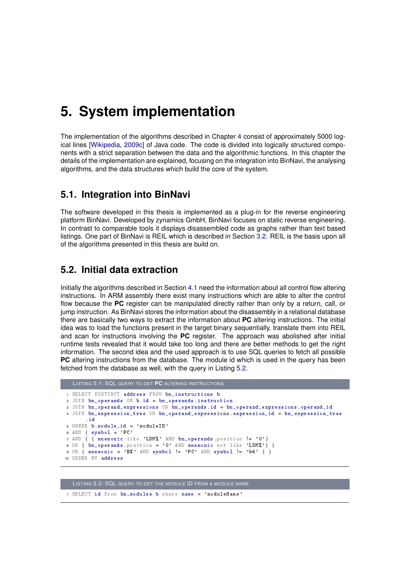## **5. System implementation**

The implementation of the algorithms described in Chapter [4](#page-70-0) consist of approximately 5000 log-ical lines [\[Wikipedia,](#page-100-0) [2009c\]](#page-100-0) of Java code. The code is divided into logically structured components with a strict separation between the data and the algorithmic functions. In this chapter the details of the implementation are explained, focusing on the integration into BinNavi, the analysing algorithms, and the data structures which build the core of the system.

## **5.1. Integration into BinNavi**

The software developed in this thesis is implemented as a plug-in for the reverse engineering platform BinNavi. Developed by zynamics GmbH, BinNavi focuses on static reverse engineering. In contrast to comparable tools it displays disassembled code as graphs rather than text based listings. One part of BinNavi is REIL which is described in Section [3.2.](#page-39-0) REIL is the basis upon all of the algorithms presented in this thesis are build on.

## **5.2. Initial data extraction**

Initially the algorithms described in Section [4.1](#page-70-1) need the information about all control flow altering instructions. In ARM assembly there exist many instructions which are able to alter the control flow because the **PC** register can be manipulated directly rather than only by a return, call, or jump instruction. As BinNavi stores the information about the disassembly in a relational database there are basically two ways to extract the information about **PC** altering instructions. The initial idea was to load the functions present in the target binary sequentially, translate them into REIL and scan for instructions involving the **PC** register. The approach was abolished after initial runtime tests revealed that it would take too long and there are better methods to get the right information. The second idea and the used approach is to use SQL queries to fetch all possible **PC** altering instructions from the database. The module id which is used in the query has been fetched from the database as well, with the query in Listing [5.2.](#page-84-0)

```
LISTING 5.1: SQL QUERY TO GET PC ALTERING INSTRUCTIONS
1 SELECT DISTINCT address FROM bn_instructions b
2 JOIN bn_operands ON b . id = bn_operands . instruction
3 JOIN bn_operand_expressions ON bn_operands . id = bn_operand_expressions . operand_id
4 JOIN bn_expression_tree ON bn_operand_expressions . expression_id = bn_expression_tree
       . id
5 WHERE b . module_id = 'moduleID '
6 AND ( symbol{z} + PC )
7 AND ( ( mnemonic like 'LDM%' AND bn_operands . position != '0' )
8 OR ( \overrightarrow{bn\_operators} . position = '0' AND mnemonic not like 'LDM',') )
9 OR ( mnemonic = 'BX' AND symbol != 'PC' AND symbol != 'b4' ) )
10 ORDER BY address
```
<span id="page-84-0"></span>LISTING 5.2: SQL QUERY TO GET THE MODULE ID FROM A MODULE NAME

1 SELECT id from bn modules b where name = 'moduleName'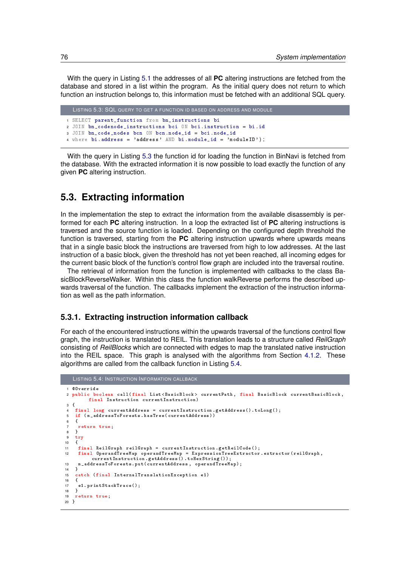With the query in Listing [5.1](#page-84-1) the addresses of all **PC** altering instructions are fetched from the database and stored in a list within the program. As the initial query does not return to which function an instruction belongs to, this information must be fetched with an additional SQL query.

```
LISTING 5.3: SQL QUERY TO GET A FUNCTION ID BASED ON ADDRESS AND MODULE
1 SELECT parent_function from bn_instructions bi
2 JOIN bn_codenode_instructions bci ON bci . instruction = bi . id
3 JOIN bn_code_nodes bcn ON bcn . node_id = bci . node_id
4 where bi.address = 'address' AND bi.module_id = 'moduleID');
```
With the query in Listing [5.3](#page-85-0) the function id for loading the function in BinNavi is fetched from the database. With the extracted information it is now possible to load exactly the function of any given **PC** altering instruction.

## **5.3. Extracting information**

In the implementation the step to extract the information from the available disassembly is performed for each **PC** altering instruction. In a loop the extracted list of **PC** altering instructions is traversed and the source function is loaded. Depending on the configured depth threshold the function is traversed, starting from the **PC** altering instruction upwards where upwards means that in a single basic block the instructions are traversed from high to low addresses. At the last instruction of a basic block, given the threshold has not yet been reached, all incoming edges for the current basic block of the function's control flow graph are included into the traversal routine.

The retrieval of information from the function is implemented with callbacks to the class BasicBlockReverseWalker. Within this class the function walkReverse performs the described upwards traversal of the function. The callbacks implement the extraction of the instruction information as well as the path information.

#### <span id="page-85-2"></span>**5.3.1. Extracting instruction information callback**

For each of the encountered instructions within the upwards traversal of the functions control flow graph, the instruction is translated to REIL. This translation leads to a structure called *ReilGraph* consisting of *ReilBlocks* which are connected with edges to map the translated native instruction into the REIL space. This graph is analysed with the algorithms from Section [4.1.2.](#page-70-2) These algorithms are called from the callback function in Listing [5.4.](#page-85-1)

```
LISTING 5.4: INSTRUCTION INFORMATION CALLBACK
1 @Override
2 public boolean call (final List < BasicBlock > currentPath, final BasicBlock currentBasicBlock,
          final Instruction currentInstruction )
3 {
 4 final long currentAddress = currentInstruction.getAddress().toLong();<br>5 if (m addressToForests.hasTree(currentAddress))
 5 if ( m_addressToForests . hasTree ( currentAddress ))
   \overline{\mathbf{f}}7 return true ;
8 }
9 try
\begin{matrix} 10 & 1 \\ 11 & 1 \end{matrix}11 final ReilGraph reilGraph = currentInstruction .getReilCode();<br>12 final OperandTreeMap operandTreeMap = ExpressionTreeExtractor
     12 final OperandTreeMap operandTreeMap = ExpressionTreeExtractor . extractor ( reilGraph ,
            currentInstruction . getAddress () . toHexString () );
13 m_addressToForests . put ( currentAddress , operandTreeMap );
\begin{matrix} 14 & 3 \\ 15 & 6 \end{matrix}.<br>catch (final InternalTranslationException e1)
16 {
17 e1 . printStackTrace () ;
18 }
19 return true ;
20 }
```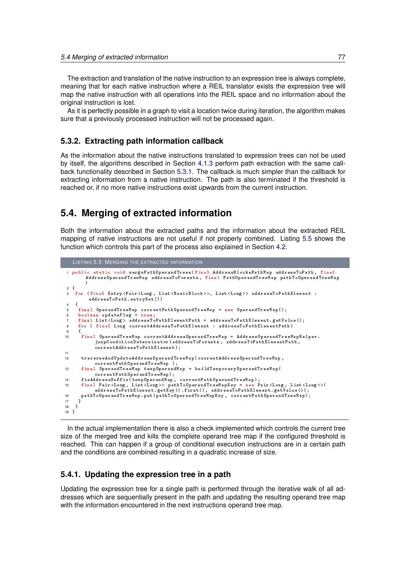The extraction and translation of the native instruction to an expression tree is always complete, meaning that for each native instruction where a REIL translator exists the expression tree will map the native instruction with all operations into the REIL space and no information about the original instruction is lost.

As it is perfectly possible in a graph to visit a location twice during iteration, the algorithm makes sure that a previously processed instruction will not be processed again.

### **5.3.2. Extracting path information callback**

As the information about the native instructions translated to expression trees can not be used by itself, the algorithms described in Section [4.1.3](#page-78-2) perform path extraction with the same callback functionality described in Section [5.3.1.](#page-85-2) The callback is much simpler than the callback for extracting information from a native instruction. The path is also terminated if the threshold is reached or, if no more native instructions exist upwards from the current instruction.

## **5.4. Merging of extracted information**

Both the information about the extracted paths and the information about the extracted REIL mapping of native instructions are not useful if not properly combined. Listing [5.5](#page-86-0) shows the function which controls this part of the process also explained in Section [4.2.](#page-78-0)

```
LISTING 5.5: MERGING THE EXTRACTED INFORMATION
 1 public static void mergePathOperandTrees ( final AddressBlocksPathMap addressToPath , final
        AddressOperandTreeMap addressToForests , final PathOperandTreeMap pathToOperandTreeMap
        )
2 {
3 for (final Entry < Pair < Long, List < BasicBlock >>, List < Long >> addressToPathElement :
         addressToPath . entrySet () )
   \overline{\mathcal{A}}5 final OperandTreeMap currentPathOperandTreeMap = new OperandTreeMap ();<br>6 boolean undateFlag = true:
     6 boolean updateFlag = true ;
7 final List < Long > addressToPathElementPath = addressToPathElement.getValue ();<br>8 for (final Long currentAddressToPathElement : addressToPathElementPath)
     for ( final Long currentAddressToPathElement : addressToPathElementPath)
9 {
10 final OperandTreeMap currentAddressOperandTreeMap = AddressOperandTreeMapHelper .
            jumpConditionDeterminator ( addressToForests , addressToPathElementPath ,
            currentAddressToPathElement ) ;
11
12 traverseAndUpdateAddressOperandTreeMap ( currentAddressOperandTreeMap ,
            currentPathOperandTreeMap );
13 final OperandTreeMap tempOperandMap = buildTemporaryOperandTreeMap (
            currentPathOperandTreeMap ) ;
14 fixAddressSuffix(tempOperandMap, currentPathOperandTreeMap);<br>15 final Pair<Long, List<Long>> pathToOperandTreeMapKey = new 1
      15 final Pair < Long , List < Long > > pathToOperandTreeMapKey = new Pair < Long , List < Long > >(
            addressToPathElement . getKey () . first () , addressToPathElement . getValue () );
16 pathToOperandTreeMap . put ( pathToOperandTreeMapKey , currentPathOperandTreeMap );
    17 }
18 }
19 }
```
In the actual implementation there is also a check implemented which controls the current tree size of the merged tree and kills the complete operand tree map if the configured threshold is reached. This can happen if a group of conditional execution instructions are in a certain path and the conditions are combined resulting in a quadratic increase of size.

### **5.4.1. Updating the expression tree in a path**

Updating the expression tree for a single path is performed through the iterative walk of all addresses which are sequentially present in the path and updating the resulting operand tree map with the information encountered in the next instructions operand tree map.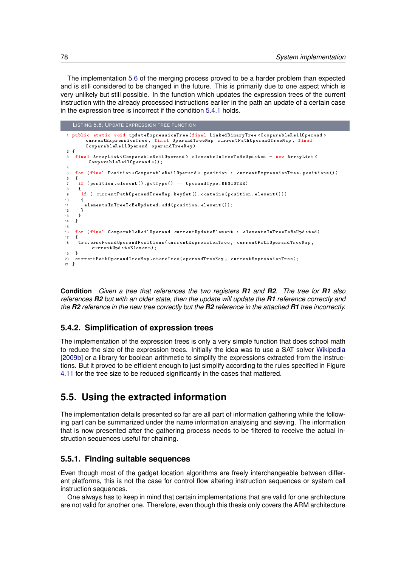The implementation [5.6](#page-87-0) of the merging process proved to be a harder problem than expected and is still considered to be changed in the future. This is primarily due to one aspect which is very unlikely but still possible. In the function which updates the expression trees of the current instruction with the already processed instructions earlier in the path an update of a certain case in the expression tree is incorrect if the condition [5.4.1](#page-0-0) holds.

```
LISTING 5.6: UPDATE EXPRESSION TREE FUNCTION
 1 public static void updateExpressionTree ( final LinkedBinaryTree < ComparableReilOperand >
         currentExpressionTree, final OperandTreeMap currentPathOperandTreeMap, final<br>ComparableReilOperand operandTreeKey)
2 \begin{matrix} 2 \\ 3 \end{matrix}3 final ArrayList < ComparableReilOperand > elementsInTreeToBeUpdated = new ArrayList <
         ComparableReilOperand >() ;
4
5 for ( final Position < ComparableReilOperand > position : currentExpressionTree . positions () )
\frac{6}{7}7 if ( position . element () . getType () == OperandType . REGISTER )
8 {
       if ( currentPathOperandTreeMap . keySet () . contains ( position . element () ) )
10 {
11 elementsInTreeToBeUpdated . add ( position . element () );
\begin{matrix} 12 & 3 \\ 13 & 3 \end{matrix}13 }
14 }
15
16 for ( final ComparableReilOperand currentUpdateElement : elementsInTreeToBeUpdated )
17 {
18 traverseFoundOperandPositions ( currentExpressionTree , currentPathOperandTreeMap ,
           currentUpdateElement );
\begin{array}{c} 19 \\ 20 \end{array} c
    currentPathOperandTreeMap.storeTree ( operandTreeKey, currentExpressionTree);
21 }
```
**Condition** *Given a tree that references the two registers R1 and R2. The tree for R1 also references R2 but with an older state, then the update will update the R1 reference correctly and the R2 reference in the new tree correctly but the R2 reference in the attached R1 tree incorrectly.*

## **5.4.2. Simplification of expression trees**

The implementation of the expression trees is only a very simple function that does school math to reduce the size of the expression trees. Initially the idea was to use a SAT solver [Wikipedia](#page-100-1) [\[2009b\]](#page-100-1) or a library for boolean arithmetic to simplify the expressions extracted from the instructions. But it proved to be efficient enough to just simplify according to the rules specified in Figure [4.11](#page-81-1) for the tree size to be reduced significantly in the cases that mattered.

## **5.5. Using the extracted information**

The implementation details presented so far are all part of information gathering while the following part can be summarized under the name information analysing and sieving. The information that is now presented after the gathering process needs to be filtered to receive the actual instruction sequences useful for chaining.

## **5.5.1. Finding suitable sequences**

Even though most of the gadget location algorithms are freely interchangeable between different platforms, this is not the case for control flow altering instruction sequences or system call instruction sequences.

One always has to keep in mind that certain implementations that are valid for one architecture are not valid for another one. Therefore, even though this thesis only covers the ARM architecture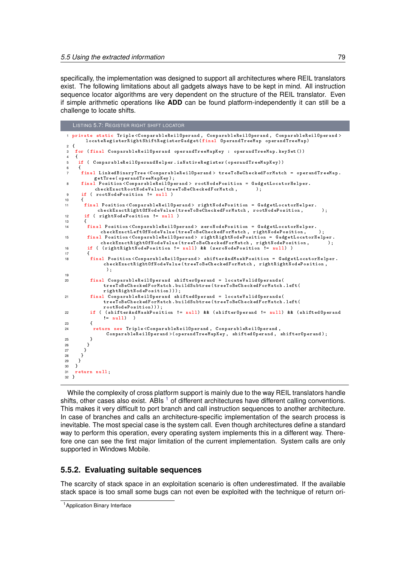specifically, the implementation was designed to support all architectures where REIL translators exist. The following limitations about all gadgets always have to be kept in mind. All instruction sequence locator algorithms are very dependent on the structure of the REIL translator. Even if simple arithmetic operations like **ADD** can be found platform-independently it can still be a challenge to locate shifts.

```
LISTING 5.7: REGISTER RIGHT SHIFT LOCATOR
1 private static Triple < ComparableReilOperand , ComparableReilOperand , ComparableReilOperand >
        locateRegisterRightShiftRegisterGadget ( final OperandTreeMap operandTreeMap )
\begin{matrix}2\\3\end{matrix}.<br>for (final ComparableReilOperand operandTreeMapKey : operandTreeMap.keySet())
4 {
     5 if ( ComparableReilOperandHelper . isNativeRegister ( operandTreeMapKey ))
\begin{matrix} 6 & 6 \\ 7 & 6 \end{matrix}7 final LinkedBinaryTree < ComparableReilOperand > treeToBeCheckedForMatch = operandTreeMap .
 getTree ( operandTreeMapKey );
8 final Position < ComparableReilOperand > rootNodePosition = GadgetLocatorHelper .
           checkExactRootNodeValue (treeToBeCheckedForMatch,
9 if ( rootNodePosition != null )
10 {
11 final Position < ComparableReilOperand > rightNodePosition = GadgetLocatorHelper .
            checkExactRightOfNodeValue (treeToBeCheckedForMatch, rootNodePosition, );
12 if ( rightNodePosition != null )
13 {
        14 final Position < ComparableReilOperand > zeroNodePosition = GadgetLocatorHelper .
              checkExactLeftOfNodeValue (treeToBeCheckedForMatch, rightNodePosition,
15 final Position < ComparableReilOperand > rightRightNodePosition = GadgetLocatorHelper .
checkExactRightOfNodeValue (treeToBeCheckedForMatch , rightNodePosition , ) ;<br>16 if ( (rightRightNodePosition != null ) && (zeroNodePosition != null ) )
17 {
18 final Position < ComparableReilOperand > shifterAndMaskPosition = GadgetLocatorHelper .
               checkExactRightOfNodeValue ( treeToBeCheckedForMatch , rightRightNodePosition , " 255
                ");
19
20 final ComparableReilOperand shifterOperand = locateValidOperands (
               treeToBeCheckedForMatch . buildSubtree ( treeToBeCheckedForMatch . left (
               rightRightNodePosition )) );
21 final ComparableReilOperand shiftedOperand = locateValidOperands (
               treeToBeCheckedForMatch . buildSubtree ( treeToBeCheckedForMatch . left (
               rootNodePosition )) );
22 if ( ( shifterAndMaskPosition != null ) && ( shifterOperand != null ) && ( shiftedOperand
               != null) )
23 {
24 return new Triple < ComparableReilOperand , ComparableReilOperand ,
                ComparableReilOperand >( operandTreeMapKey , shiftedOperand , shifterOperand );
25 }
\begin{array}{ccc} 26 & & & \end{array}<br>27 }
      \begin{matrix} \downarrow \\ \downarrow \end{matrix}28 }
\begin{matrix} 29 & 30 \\ 30 & 3 \end{matrix}\overline{3}31 return null ;
32 }
```
While the complexity of cross platform support is mainly due to the way REIL translators handle shifts, other cases also exist. ABIs  $<sup>1</sup>$  $<sup>1</sup>$  $<sup>1</sup>$  of different architectures have different calling conventions.</sup> This makes it very difficult to port branch and call instruction sequences to another architecture. In case of branches and calls an architecture-specific implementation of the search process is inevitable. The most special case is the system call. Even though architectures define a standard way to perform this operation, every operating system implements this in a different way. Therefore one can see the first major limitation of the current implementation. System calls are only supported in Windows Mobile.

## **5.5.2. Evaluating suitable sequences**

The scarcity of stack space in an exploitation scenario is often underestimated. If the available stack space is too small some bugs can not even be exploited with the technique of return ori-

<span id="page-88-0"></span><sup>1</sup>Application Binary Interface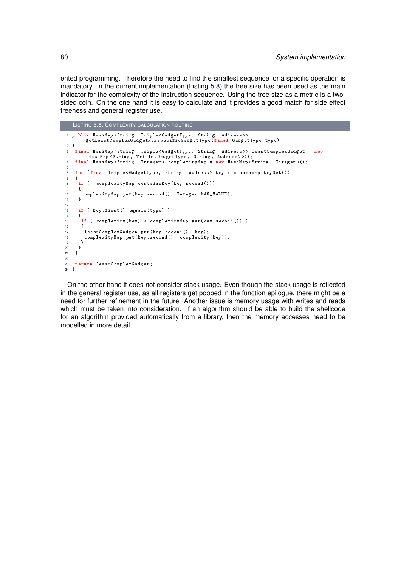ented programming. Therefore the need to find the smallest sequence for a specific operation is mandatory. In the current implementation (Listing [5.8\)](#page-89-0) the tree size has been used as the main indicator for the complexity of the instruction sequence. Using the tree size as a metric is a twosided coin. On the one hand it is easy to calculate and it provides a good match for side effect freeness and general register use.

```
LISTING 5.8: COMPLEXITY CALCULATION ROUTINE
 1 public HashMap < String , Triple < GadgetType , String , Address >>
getLeastComplexGadgetForSpecificGadgetType ( final GadgetType type )
\frac{2}{3}3 final HashMap < String , Triple < GadgetType , String , Address >> leastComplexGadget = new
 HashMap < String , Triple < GadgetType , String , Address > >() ;
4 final HashMap < String , Integer > complexityMap = new HashMap < String , Integer >() ;
5
6 for ( final Triple < GadgetType , String , Address > key : m_hashmap . keySet () )
\frac{7}{8}8 if ( !complexityMap.containsKey (key.second ()))<br>9 {
\begin{matrix} 9 \\ 10 \end{matrix} \qquad \begin{matrix} \textbf{0} \\ \textbf{1} \end{matrix}10 complexityMap.put (key.second (), Integer.MAX_VALUE);<br>11 }
      11 }
12
13 if ( key . first ( ) . equals ( type ) )
14 {
15 if ( complexity (key) < complexity Map.get (key.second ()) )
16<br>17leastComplexGadget.put (key.second (), key);
18 complexityMap . put ( key . second () , complexity ( key )) ;
19 }
\begin{matrix} 20 \\ 21 \end{matrix} }
21 }<br>22
22
23 return leastComplexGadget ;
24 }
```
On the other hand it does not consider stack usage. Even though the stack usage is reflected in the general register use, as all registers get popped in the function epilogue, there might be a need for further refinement in the future. Another issue is memory usage with writes and reads which must be taken into consideration. If an algorithm should be able to build the shellcode for an algorithm provided automatically from a library, then the memory accesses need to be modelled in more detail.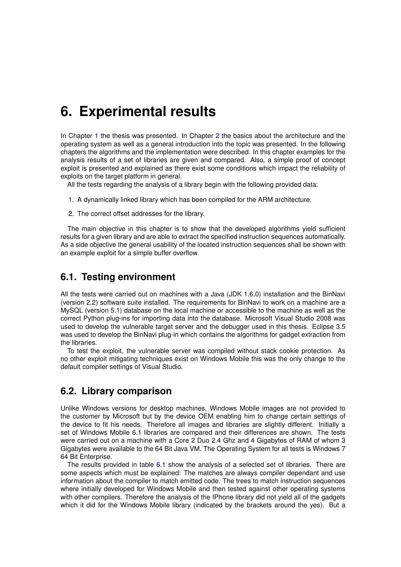## **6. Experimental results**

In Chapter [1](#page-12-0) the thesis was presented. In Chapter [2](#page-16-0) the basics about the architecture and the operating system as well as a general introduction into the topic was presented. In the following chapters the algorithms and the implementation were described. In this chapter examples for the analysis results of a set of libraries are given and compared. Also, a simple proof of concept exploit is presented and explained as there exist some conditions which impact the reliability of exploits on the target platform in general.

All the tests regarding the analysis of a library begin with the following provided data:

- 1. A dynamically linked library which has been compiled for the ARM architecture.
- 2. The correct offset addresses for the library.

The main objective in this chapter is to show that the developed algorithms yield sufficient results for a given library and are able to extract the specified instruction sequences automatically. As a side objective the general usability of the located instruction sequences shall be shown with an example exploit for a simple buffer overflow.

## **6.1. Testing environment**

All the tests were carried out on machines with a Java (JDK 1.6.0) installation and the BinNavi (version 2.2) software suite installed. The requirements for BinNavi to work on a machine are a MySQL (version 5.1) database on the local machine or accessible to the machine as well as the correct Python plug-ins for importing data into the database. Microsoft Visual Studio 2008 was used to develop the vulnerable target server and the debugger used in this thesis. Eclipse 3.5 was used to develop the BinNavi plug-in which contains the algorithms for gadget extraction from the libraries.

To test the exploit, the vulnerable server was compiled without stack cookie protection. As no other exploit mitigating techniques exist on Windows Mobile this was the only change to the default compiler settings of Visual Studio.

## **6.2. Library comparison**

Unlike Windows versions for desktop machines, Windows Mobile images are not provided to the customer by Microsoft but by the device OEM enabling him to change certain settings of the device to fit his needs. Therefore all images and libraries are slightly different. Initially a set of Windows Mobile 6.1 libraries are compared and their differences are shown. The tests were carried out on a machine with a Core 2 Duo 2.4 Ghz and 4 Gigabytes of RAM of whom 3 Gigabytes were available to the 64 Bit Java VM. The Operating System for all tests is Windows 7 64 Bit Enterprise.

The results provided in table [6.1](#page-91-0) show the analysis of a selected set of libraries. There are some aspects which must be explained: The matches are always compiler dependant and use information about the compiler to match emitted code. The trees to match instruction sequences where initially developed for Windows Mobile and then tested against other operating systems with other compilers. Therefore the analysis of the IPhone library did not yield all of the gadgets which it did for the Windows Mobile library (indicated by the brackets around the yes). But a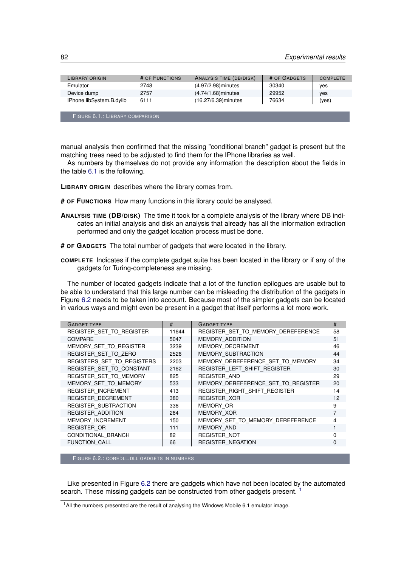<span id="page-91-0"></span>

| LIBRARY ORIGIN           | # OF FUNCTIONS | ANALYSIS TIME (DB/DISK) | # OF GADGETS | <b>COMPLETE</b> |
|--------------------------|----------------|-------------------------|--------------|-----------------|
| Emulator                 | 2748           | (4.97/2.98) minutes     | 30340        | ves             |
| Device dump              | 2757           | (4.74/1.68) minutes     | 29952        | ves             |
| IPhone libSystem.B.dylib | 6111           | (16.27/6.39) minutes    | 76634        | (yes)           |

FIGURE 6.1.: LIBRARY COMPARISON

manual analysis then confirmed that the missing "conditional branch" gadget is present but the matching trees need to be adjusted to find them for the IPhone libraries as well.

As numbers by themselves do not provide any information the description about the fields in the table [6.1](#page-91-0) is the following.

**LIBRARY ORIGIN** describes where the library comes from.

- **# OF FUNCTIONS** How many functions in this library could be analysed.
- **ANALYSIS TIME (DB/DISK)** The time it took for a complete analysis of the library where DB indicates an initial analysis and disk an analysis that already has all the information extraction performed and only the gadget location process must be done.

**# OF GADGETS** The total number of gadgets that were located in the library.

**COMPLETE** Indicates if the complete gadget suite has been located in the library or if any of the gadgets for Turing-completeness are missing.

The number of located gadgets indicate that a lot of the function epilogues are usable but to be able to understand that this large number can be misleading the distribution of the gadgets in Figure [6.2](#page-91-1) needs to be taken into account. Because most of the simpler gadgets can be located in various ways and might even be present in a gadget that itself performs a lot more work.

<span id="page-91-1"></span>

| #     | <b>GADGET TYPE</b>                 | #              |
|-------|------------------------------------|----------------|
| 11644 | REGISTER SET TO MEMORY DEREFERENCE | 58             |
| 5047  | MEMORY ADDITION                    | 51             |
| 3239  | MEMORY DECREMENT                   | 46             |
| 2526  | MEMORY SUBTRACTION                 | 44             |
| 2203  | MEMORY DEREFERENCE SET TO MEMORY   | 34             |
| 2162  | REGISTER LEFT SHIFT REGISTER       | 30             |
| 825   | <b>REGISTER AND</b>                | 29             |
| 533   | MEMORY DEREFERENCE SET TO REGISTER | 20             |
| 413   | REGISTER_RIGHT_SHIFT_REGISTER      | 14             |
| 380   | <b>REGISTER XOR</b>                | 12             |
| 336   | MEMORY OR                          | 9              |
| 264   | MEMORY XOR                         | 7              |
| 150   | MEMORY SET TO MEMORY DEREFERENCE   | $\overline{4}$ |
| 111   | MEMORY AND                         | $\mathbf{1}$   |
| 82    | <b>REGISTER NOT</b>                | $\Omega$       |
| 66    | <b>REGISTER NEGATION</b>           | $\Omega$       |
|       |                                    |                |

FIGURE 6.2.: COREDLL.DLL GADGETS IN NUMBERS

Like presented in Figure [6.2](#page-91-1) there are gadgets which have not been located by the automated search. These missing gadgets can be constructed from other gadgets present.<sup>[1](#page-91-2)</sup>

<span id="page-91-2"></span> $1$  All the numbers presented are the result of analysing the Windows Mobile 6.1 emulator image.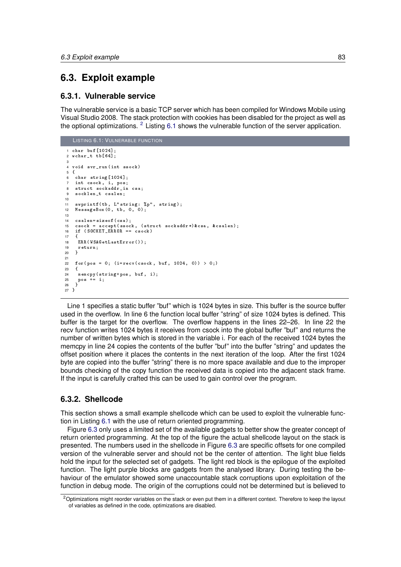## **6.3. Exploit example**

#### **6.3.1. Vulnerable service**

The vulnerable service is a basic TCP server which has been compiled for Windows Mobile using Visual Studio 2008. The stack protection with cookies has been disabled for the project as well as the optional optimizations.  $2$  Listing [6.1](#page-92-1) shows the vulnerable function of the server application.

```
LISTING 6.1: VULNERABLE FUNCTION
1 char buf [1024];
2 wchar_t tb [64];
3
 4 void svr_run ( int ssock )
5 {
6 char string [1024];<br>
7 int csock i nosi
     int csock, i, pos;
8 struct sockaddr_in csa;<br>9 socklen t csalen:
     socklen t csalen;
10
11 swprintf (tb , L" string : %p", string );
12 MessageBox (0 , tb , 0 , 0) ;
13
14 \c{ssalen} = \text{sizeof}(\text{csa});<br>15 \c{ssock} = \text{accept}(\text{ssoc})\csc k = \text{accept}(\text{ssock}, \text{ (struct } \text{sockaddr*}) \& \text{csa}, \text{& } \text{csalen});
16 if (SOCKET_ERROR == csock)\frac{17}{18}18 ERR (WSAGetLastError ());<br>19 return;
19 return;<br>20 }
    \overline{2}21
22 for (pos = 0; (i = recv (csck, buf, 1024, 0)) > 0;)
    \overline{3}24 memcpy (string +pos, buf, i);
25 pos += i ;<br>26 }
   \overline{a}27 }
```
Line 1 specifies a static buffer "buf" which is 1024 bytes in size. This buffer is the source buffer used in the overflow. In line 6 the function local buffer "string" of size 1024 bytes is defined. This buffer is the target for the overflow. The overflow happens in the lines 22–26. In line 22 the recv function writes 1024 bytes it receives from csock into the global buffer "buf" and returns the number of written bytes which is stored in the variable i. For each of the received 1024 bytes the memcpy in line 24 copies the contents of the buffer "buf" into the buffer "string" and updates the offset position where it places the contents in the next iteration of the loop. After the first 1024 byte are copied into the buffer "string" there is no more space available and due to the improper bounds checking of the copy function the received data is copied into the adjacent stack frame. If the input is carefully crafted this can be used to gain control over the program.

## **6.3.2. Shellcode**

This section shows a small example shellcode which can be used to exploit the vulnerable function in Listing [6.1](#page-92-1) with the use of return oriented programming.

Figure [6.3](#page-93-0) only uses a limited set of the available gadgets to better show the greater concept of return oriented programming. At the top of the figure the actual shellcode layout on the stack is presented. The numbers used in the shellcode in Figure [6.3](#page-93-0) are specific offsets for one compiled version of the vulnerable server and should not be the center of attention. The light blue fields hold the input for the selected set of gadgets. The light red block is the epilogue of the exploited function. The light purple blocks are gadgets from the analysed library. During testing the behaviour of the emulator showed some unaccountable stack corruptions upon exploitation of the function in debug mode. The origin of the corruptions could not be determined but is believed to

<span id="page-92-0"></span> $2$ Optimizations might reorder variables on the stack or even put them in a different context. Therefore to keep the layout of variables as defined in the code, optimizations are disabled.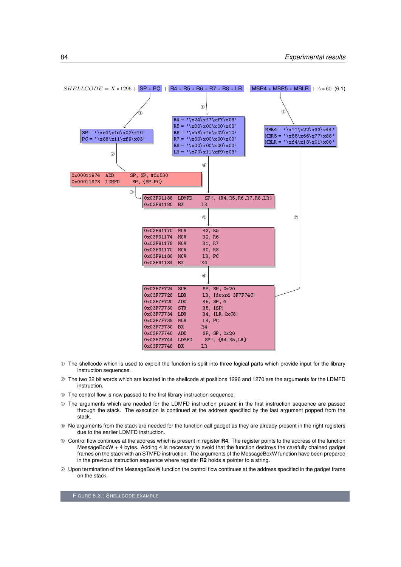<span id="page-93-0"></span>

- ➀ The shellcode which is used to exploit the function is split into three logical parts which provide input for the library instruction sequences.
- ➁ The two 32 bit words which are located in the shellcode at positions 1296 and 1270 are the arguments for the LDMFD instruction.
- ➂ The control flow is now passed to the first library instruction sequence.
- ➃ The arguments which are needed for the LDMFD instruction present in the first instruction sequence are passed through the stack. The execution is continued at the address specified by the last argument popped from the stack.
- ➄ No arguments from the stack are needed for the function call gadget as they are already present in the right registers due to the earlier LDMFD instruction.
- ➅ Control flow continues at the address which is present in register **R4**. The register points to the address of the function MessageBoxW + 4 bytes. Adding 4 is necessary to avoid that the function destroys the carefully chained gadget frames on the stack with an STMFD instruction. The arguments of the MessageBoxW function have been prepared in the previous instruction sequence where register **R2** holds a pointer to a string.
- $\oslash$  Upon termination of the MessageBoxW function the control flow continues at the address specified in the gadget frame on the stack.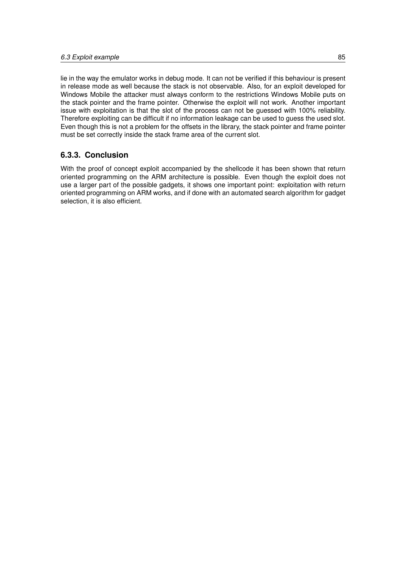lie in the way the emulator works in debug mode. It can not be verified if this behaviour is present in release mode as well because the stack is not observable. Also, for an exploit developed for Windows Mobile the attacker must always conform to the restrictions Windows Mobile puts on the stack pointer and the frame pointer. Otherwise the exploit will not work. Another important issue with exploitation is that the slot of the process can not be guessed with 100% reliability. Therefore exploiting can be difficult if no information leakage can be used to guess the used slot. Even though this is not a problem for the offsets in the library, the stack pointer and frame pointer must be set correctly inside the stack frame area of the current slot.

## **6.3.3. Conclusion**

With the proof of concept exploit accompanied by the shellcode it has been shown that return oriented programming on the ARM architecture is possible. Even though the exploit does not use a larger part of the possible gadgets, it shows one important point: exploitation with return oriented programming on ARM works, and if done with an automated search algorithm for gadget selection, it is also efficient.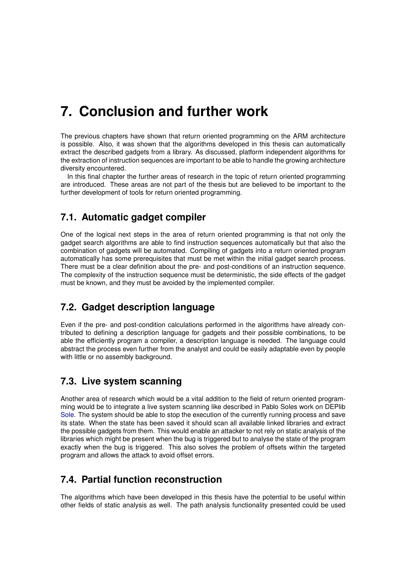## **7. Conclusion and further work**

The previous chapters have shown that return oriented programming on the ARM architecture is possible. Also, it was shown that the algorithms developed in this thesis can automatically extract the described gadgets from a library. As discussed, platform independent algorithms for the extraction of instruction sequences are important to be able to handle the growing architecture diversity encountered.

In this final chapter the further areas of research in the topic of return oriented programming are introduced. These areas are not part of the thesis but are believed to be important to the further development of tools for return oriented programming.

## **7.1. Automatic gadget compiler**

One of the logical next steps in the area of return oriented programming is that not only the gadget search algorithms are able to find instruction sequences automatically but that also the combination of gadgets will be automated. Compiling of gadgets into a return oriented program automatically has some prerequisites that must be met within the initial gadget search process. There must be a clear definition about the pre- and post-conditions of an instruction sequence. The complexity of the instruction sequence must be deterministic, the side effects of the gadget must be known, and they must be avoided by the implemented compiler.

## **7.2. Gadget description language**

Even if the pre- and post-condition calculations performed in the algorithms have already contributed to defining a description language for gadgets and their possible combinations, to be able the efficiently program a compiler, a description language is needed. The language could abstract the process even further from the analyst and could be easily adaptable even by people with little or no assembly background.

## **7.3. Live system scanning**

Another area of research which would be a vital addition to the field of return oriented programming would be to integrate a live system scanning like described in Pablo Soles work on DEPlib [Sole.](#page-100-2) The system should be able to stop the execution of the currently running process and save its state. When the state has been saved it should scan all available linked libraries and extract the possible gadgets from them. This would enable an attacker to not rely on static analysis of the libraries which might be present when the bug is triggered but to analyse the state of the program exactly when the bug is triggered. This also solves the problem of offsets within the targeted program and allows the attack to avoid offset errors.

## **7.4. Partial function reconstruction**

The algorithms which have been developed in this thesis have the potential to be useful within other fields of static analysis as well. The path analysis functionality presented could be used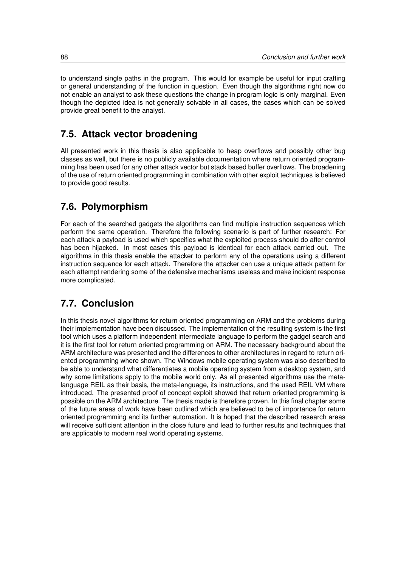to understand single paths in the program. This would for example be useful for input crafting or general understanding of the function in question. Even though the algorithms right now do not enable an analyst to ask these questions the change in program logic is only marginal. Even though the depicted idea is not generally solvable in all cases, the cases which can be solved provide great benefit to the analyst.

## **7.5. Attack vector broadening**

All presented work in this thesis is also applicable to heap overflows and possibly other bug classes as well, but there is no publicly available documentation where return oriented programming has been used for any other attack vector but stack based buffer overflows. The broadening of the use of return oriented programming in combination with other exploit techniques is believed to provide good results.

## **7.6. Polymorphism**

For each of the searched gadgets the algorithms can find multiple instruction sequences which perform the same operation. Therefore the following scenario is part of further research: For each attack a payload is used which specifies what the exploited process should do after control has been hijacked. In most cases this payload is identical for each attack carried out. The algorithms in this thesis enable the attacker to perform any of the operations using a different instruction sequence for each attack. Therefore the attacker can use a unique attack pattern for each attempt rendering some of the defensive mechanisms useless and make incident response more complicated.

## **7.7. Conclusion**

In this thesis novel algorithms for return oriented programming on ARM and the problems during their implementation have been discussed. The implementation of the resulting system is the first tool which uses a platform independent intermediate language to perform the gadget search and it is the first tool for return oriented programming on ARM. The necessary background about the ARM architecture was presented and the differences to other architectures in regard to return oriented programming where shown. The Windows mobile operating system was also described to be able to understand what differentiates a mobile operating system from a desktop system, and why some limitations apply to the mobile world only. As all presented algorithms use the metalanguage REIL as their basis, the meta-language, its instructions, and the used REIL VM where introduced. The presented proof of concept exploit showed that return oriented programming is possible on the ARM architecture. The thesis made is therefore proven. In this final chapter some of the future areas of work have been outlined which are believed to be of importance for return oriented programming and its further automation. It is hoped that the described research areas will receive sufficient attention in the close future and lead to further results and techniques that are applicable to modern real world operating systems.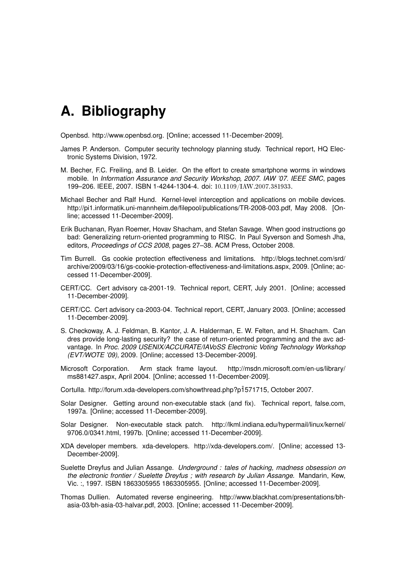## **A. Bibliography**

Openbsd. http://www.openbsd.org. [Online; accessed 11-December-2009].

- James P. Anderson. Computer security technology planning study. Technical report, HQ Electronic Systems Division, 1972.
- M. Becher, F.C. Freiling, and B. Leider. On the effort to create smartphone worms in windows mobile. In *Information Assurance and Security Workshop, 2007. IAW '07. IEEE SMC*, pages 199–206. IEEE, 2007. ISBN 1-4244-1304-4. doi: 10.1109/IAW.2007.381933.
- Michael Becher and Ralf Hund. Kernel-level interception and applications on mobile devices. http://pi1.informatik.uni-mannheim.de/filepool/publications/TR-2008-003.pdf, May 2008. [Online; accessed 11-December-2009].
- Erik Buchanan, Ryan Roemer, Hovav Shacham, and Stefan Savage. When good instructions go bad: Generalizing return-oriented programming to RISC. In Paul Syverson and Somesh Jha, editors, *Proceedings of CCS 2008*, pages 27–38. ACM Press, October 2008.
- Tim Burrell. Gs cookie protection effectiveness and limitations. http://blogs.technet.com/srd/ archive/2009/03/16/gs-cookie-protection-effectiveness-and-limitations.aspx, 2009. [Online; accessed 11-December-2009].
- CERT/CC. Cert advisory ca-2001-19. Technical report, CERT, July 2001. [Online; accessed 11-December-2009].
- CERT/CC. Cert advisory ca-2003-04. Technical report, CERT, January 2003. [Online; accessed 11-December-2009].
- S. Checkoway, A. J. Feldman, B. Kantor, J. A. Halderman, E. W. Felten, and H. Shacham. Can dres provide long-lasting security? the case of return-oriented programming and the avc advantage. In *Proc. 2009 USENIX/ACCURATE/IAVoSS Electronic Voting Technology Workshop (EVT/WOTE '09)*, 2009. [Online; accessed 13-December-2009].
- Microsoft Corporation. Arm stack frame layout. http://msdn.microsoft.com/en-us/library/ ms881427.aspx, April 2004. [Online; accessed 11-December-2009].
- Cortulla. http://forum.xda-developers.com/showthread.php?p1571715, October 2007.
- Solar Designer. Getting around non-executable stack (and fix). Technical report, false.com, 1997a. [Online; accessed 11-December-2009].
- Solar Designer. Non-executable stack patch. http://lkml.indiana.edu/hypermail/linux/kernel/ 9706.0/0341.html, 1997b. [Online; accessed 11-December-2009].
- XDA developer members. xda-developers. http://xda-developers.com/. [Online; accessed 13- December-2009].
- Suelette Dreyfus and Julian Assange. *Underground : tales of hacking, madness obsession on the electronic frontier / Suelette Dreyfus ; with research by Julian Assange*. Mandarin, Kew, Vic. :, 1997. ISBN 1863305955 1863305955. [Online; accessed 11-December-2009].
- Thomas Dullien. Automated reverse engineering. http://www.blackhat.com/presentations/bhasia-03/bh-asia-03-halvar.pdf, 2003. [Online; accessed 11-December-2009].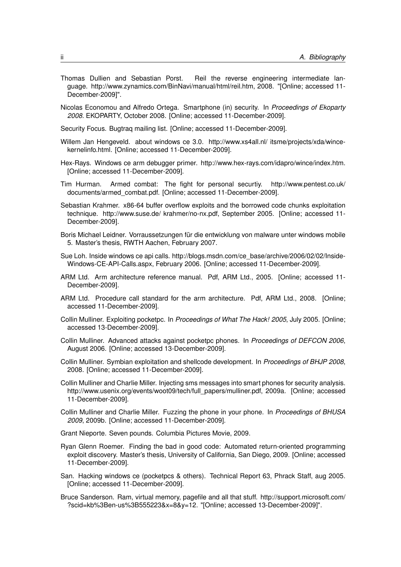- Thomas Dullien and Sebastian Porst. Reil the reverse engineering intermediate language. http://www.zynamics.com/BinNavi/manual/html/reil.htm, 2008. "[Online; accessed 11- December-2009]".
- Nicolas Economou and Alfredo Ortega. Smartphone (in) security. In *Proceedings of Ekoparty 2008*. EKOPARTY, October 2008. [Online; accessed 11-December-2009].

Security Focus. Bugtraq mailing list. [Online; accessed 11-December-2009].

- Willem Jan Hengeveld. about windows ce 3.0. http://www.xs4all.nl/ itsme/projects/xda/wincekernelinfo.html. [Online; accessed 11-December-2009].
- Hex-Rays. Windows ce arm debugger primer. http://www.hex-rays.com/idapro/wince/index.htm. [Online; accessed 11-December-2009].
- Tim Hurman. Armed combat: The fight for personal securtiy. http://www.pentest.co.uk/ documents/armed\_combat.pdf. [Online; accessed 11-December-2009].
- Sebastian Krahmer. x86-64 buffer overflow exploits and the borrowed code chunks exploitation technique. http://www.suse.de/ krahmer/no-nx.pdf, September 2005. [Online; accessed 11- December-2009].

Boris Michael Leidner. Vorraussetzungen für die entwicklung von malware unter windows mobile 5. Master's thesis, RWTH Aachen, February 2007.

Sue Loh. Inside windows ce api calls. http://blogs.msdn.com/ce\_base/archive/2006/02/02/Inside-Windows-CE-API-Calls.aspx, February 2006. [Online; accessed 11-December-2009].

- ARM Ltd. Arm architecture reference manual. Pdf, ARM Ltd., 2005. [Online; accessed 11- December-2009].
- ARM Ltd. Procedure call standard for the arm architecture. Pdf, ARM Ltd., 2008. [Online; accessed 11-December-2009].
- Collin Mulliner. Exploiting pocketpc. In *Proceedings of What The Hack! 2005*, July 2005. [Online; accessed 13-December-2009].
- Collin Mulliner. Advanced attacks against pocketpc phones. In *Proceedings of DEFCON 2006*, August 2006. [Online; accessed 13-December-2009].
- Collin Mulliner. Symbian exploitation and shellcode development. In *Proceedings of BHJP 2008*, 2008. [Online; accessed 11-December-2009].
- Collin Mulliner and Charlie Miller. Injecting sms messages into smart phones for security analysis. http://www.usenix.org/events/woot09/tech/full\_papers/mulliner.pdf, 2009a. [Online; accessed 11-December-2009].
- Collin Mulliner and Charlie Miller. Fuzzing the phone in your phone. In *Proceedings of BHUSA 2009*, 2009b. [Online; accessed 11-December-2009].

Grant Nieporte. Seven pounds. Columbia Pictures Movie, 2009.

- Ryan Glenn Roemer. Finding the bad in good code: Automated return-oriented programming exploit discovery. Master's thesis, University of California, San Diego, 2009. [Online; accessed 11-December-2009].
- San. Hacking windows ce (pocketpcs & others). Technical Report 63, Phrack Staff, aug 2005. [Online; accessed 11-December-2009].
- Bruce Sanderson. Ram, virtual memory, pagefile and all that stuff. http://support.microsoft.com/ ?scid=kb%3Ben-us%3B555223&x=8&y=12. "[Online; accessed 13-December-2009]".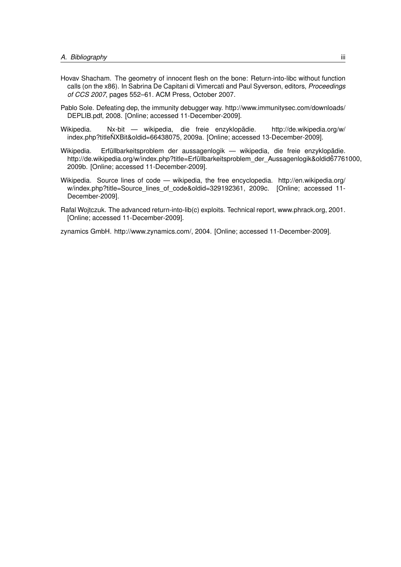- Hovav Shacham. The geometry of innocent flesh on the bone: Return-into-libc without function calls (on the x86). In Sabrina De Capitani di Vimercati and Paul Syverson, editors, *Proceedings of CCS 2007*, pages 552–61. ACM Press, October 2007.
- <span id="page-100-2"></span>Pablo Sole. Defeating dep, the immunity debugger way. http://www.immunitysec.com/downloads/ DEPLIB.pdf, 2008. [Online; accessed 11-December-2009].
- Wikipedia. Nx-bit wikipedia, die freie enzyklopädie. http://de.wikipedia.org/w/ index.php?titleNXBit&oldid=66438075, 2009a. [Online; accessed 13-December-2009]. ¯
- <span id="page-100-1"></span>Wikipedia. Erfüllbarkeitsproblem der aussagenlogik — wikipedia, die freie enzyklopädie. http://de.wikipedia.org/w/index.php?title=Erfüllbarkeitsproblem\_der\_Aussagenlogik&oldid67761000, 2009b. [Online; accessed 11-December-2009].
- <span id="page-100-0"></span>Wikipedia. Source lines of code — wikipedia, the free encyclopedia. http://en.wikipedia.org/ w/index.php?title=Source\_lines\_of\_code&oldid=329192361, 2009c. [Online: accessed 11-December-2009].
- Rafal Wojtczuk. The advanced return-into-lib(c) exploits. Technical report, www.phrack.org, 2001. [Online; accessed 11-December-2009].

zynamics GmbH. http://www.zynamics.com/, 2004. [Online; accessed 11-December-2009].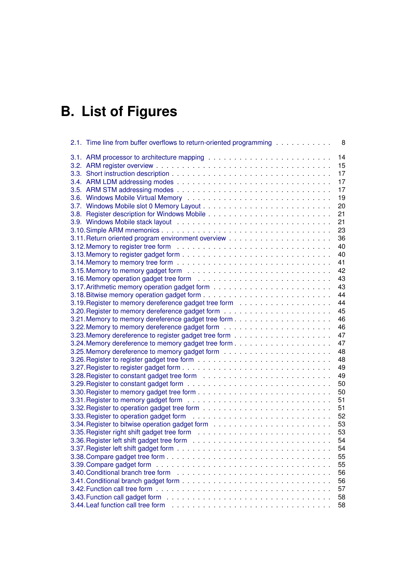# **B. List of Figures**

| 2.1. Time line from buffer overflows to return-oriented programming<br>8                                                    |
|-----------------------------------------------------------------------------------------------------------------------------|
| 14                                                                                                                          |
| 15                                                                                                                          |
| 17                                                                                                                          |
| 17                                                                                                                          |
| 17                                                                                                                          |
| 19                                                                                                                          |
| 20                                                                                                                          |
| 21                                                                                                                          |
| 21                                                                                                                          |
| 23                                                                                                                          |
| 36                                                                                                                          |
| 40                                                                                                                          |
| 40                                                                                                                          |
| 41                                                                                                                          |
|                                                                                                                             |
| 42                                                                                                                          |
| 43                                                                                                                          |
| 43                                                                                                                          |
| 44                                                                                                                          |
| 44                                                                                                                          |
| 45                                                                                                                          |
| 46                                                                                                                          |
| 46                                                                                                                          |
| 47                                                                                                                          |
| 47                                                                                                                          |
| 48                                                                                                                          |
| 48                                                                                                                          |
| 49                                                                                                                          |
| 49                                                                                                                          |
| 50                                                                                                                          |
| 50                                                                                                                          |
| 51                                                                                                                          |
| 51                                                                                                                          |
| 52                                                                                                                          |
| 53                                                                                                                          |
| 53                                                                                                                          |
| 54                                                                                                                          |
|                                                                                                                             |
| 54                                                                                                                          |
| 55                                                                                                                          |
| 55                                                                                                                          |
| 56                                                                                                                          |
| 56                                                                                                                          |
| 57                                                                                                                          |
| 3.43. Function call gadget form $\ldots \ldots \ldots \ldots \ldots \ldots \ldots \ldots \ldots \ldots \ldots \ldots$<br>58 |
| 58                                                                                                                          |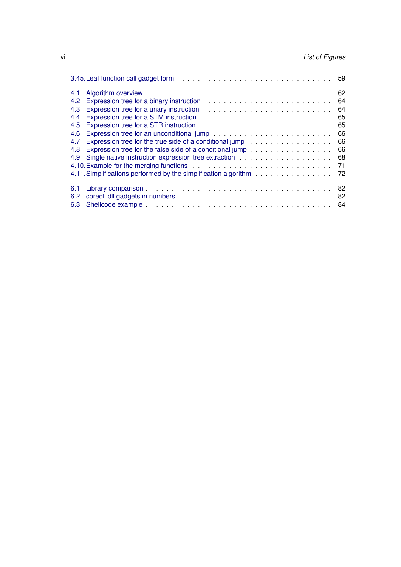|                                                                    | 64 |
|--------------------------------------------------------------------|----|
|                                                                    | 64 |
|                                                                    | 65 |
|                                                                    |    |
|                                                                    | 66 |
| 4.7. Expression tree for the true side of a conditional jump       | 66 |
| 4.8. Expression tree for the false side of a conditional jump      | 66 |
|                                                                    | 68 |
|                                                                    |    |
| 4.11. Simplifications performed by the simplification algorithm 72 |    |
|                                                                    |    |
|                                                                    |    |
|                                                                    |    |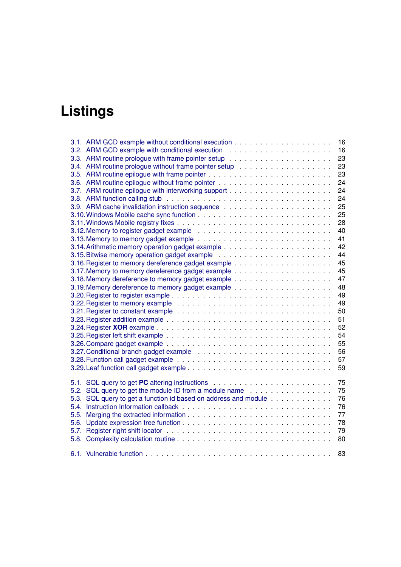# **Listings**

|      |                                                                 | 16       |
|------|-----------------------------------------------------------------|----------|
|      |                                                                 | 16       |
|      |                                                                 | 23       |
|      |                                                                 | 23       |
|      |                                                                 | 23       |
|      |                                                                 | 24       |
|      |                                                                 | 24       |
|      |                                                                 | 24       |
|      |                                                                 | 25       |
|      |                                                                 | 25       |
|      |                                                                 | 28       |
|      |                                                                 | 40       |
|      |                                                                 | 41       |
|      |                                                                 | 42       |
|      |                                                                 | 44       |
|      |                                                                 | 45       |
|      |                                                                 | 45       |
|      |                                                                 | 47       |
|      |                                                                 | 48       |
|      |                                                                 | 49       |
|      |                                                                 | 49       |
|      |                                                                 | 50       |
|      | 51                                                              |          |
|      |                                                                 | 52       |
|      |                                                                 | 54       |
|      |                                                                 | 55       |
|      |                                                                 | 56       |
|      |                                                                 | 57       |
|      |                                                                 | 59       |
|      |                                                                 | 75       |
|      | 5.2. SQL query to get the module ID from a module name          | 75       |
|      |                                                                 | 76       |
|      | 5.3. SQL query to get a function id based on address and module | 76       |
|      |                                                                 |          |
|      |                                                                 | 77       |
| 5.6. |                                                                 | 78<br>79 |
|      |                                                                 |          |
|      |                                                                 | 80       |
|      |                                                                 | 83       |